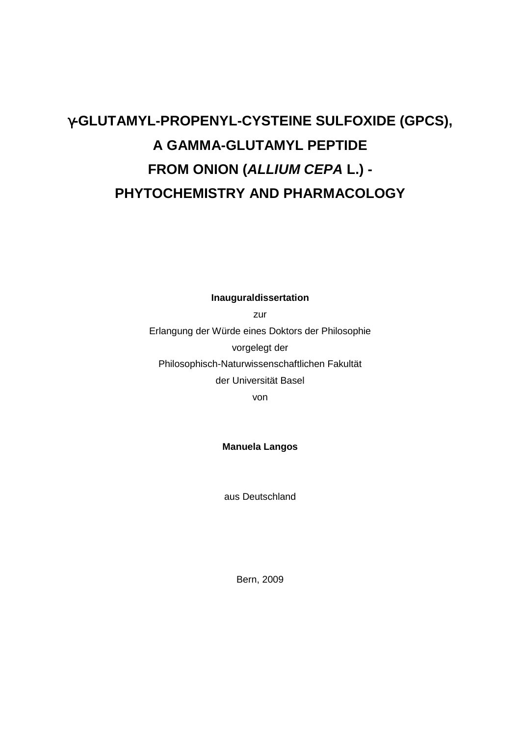# γ**-GLUTAMYL-PROPENYL-CYSTEINE SULFOXIDE (GPCS), A GAMMA-GLUTAMYL PEPTIDE FROM ONION (ALLIUM CEPA L.) - PHYTOCHEMISTRY AND PHARMACOLOGY**

**Inauguraldissertation** 

zur

Erlangung der Würde eines Doktors der Philosophie vorgelegt der Philosophisch-Naturwissenschaftlichen Fakultät der Universität Basel

von

**Manuela Langos** 

aus Deutschland

Bern, 2009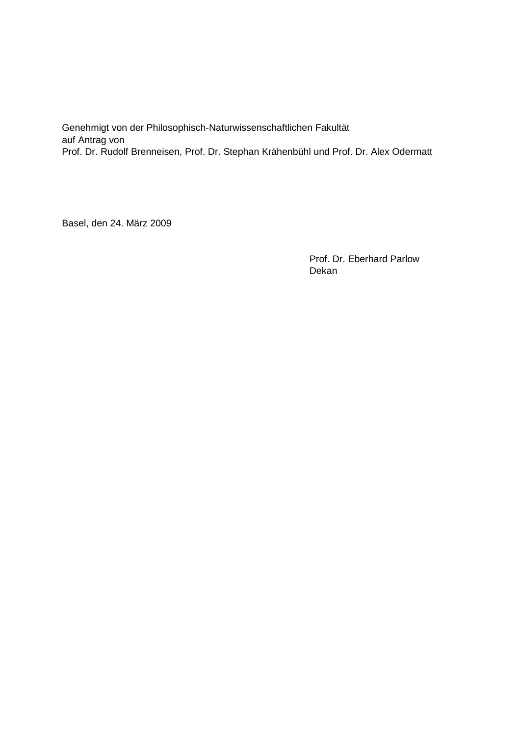Genehmigt von der Philosophisch-Naturwissenschaftlichen Fakultät auf Antrag von Prof. Dr. Rudolf Brenneisen, Prof. Dr. Stephan Krähenbühl und Prof. Dr. Alex Odermatt

Basel, den 24. März 2009

Prof. Dr. Eberhard Parlow Dekan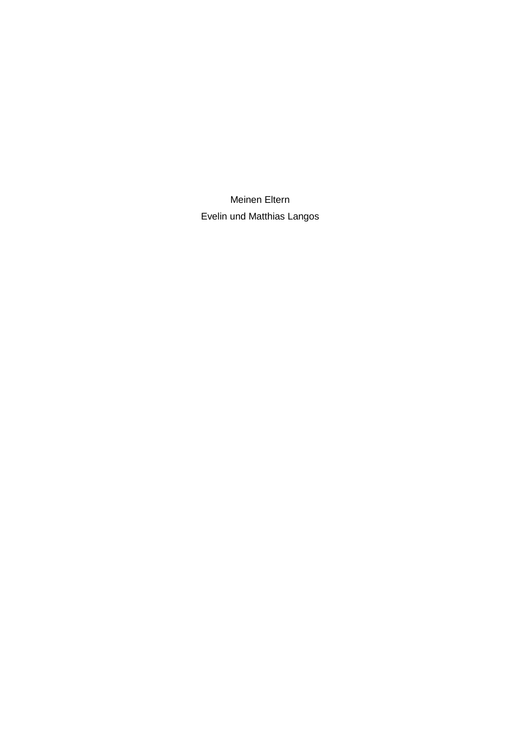Meinen Eltern Evelin und Matthias Langos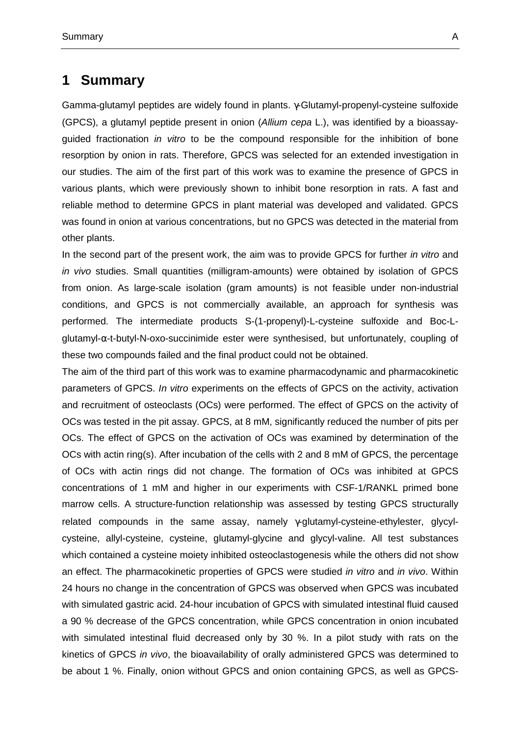## **1 Summary**

Gamma-glutamyl peptides are widely found in plants. γ-Glutamyl-propenyl-cysteine sulfoxide (GPCS), a glutamyl peptide present in onion (Allium cepa L.), was identified by a bioassayguided fractionation *in vitro* to be the compound responsible for the inhibition of bone resorption by onion in rats. Therefore, GPCS was selected for an extended investigation in our studies. The aim of the first part of this work was to examine the presence of GPCS in various plants, which were previously shown to inhibit bone resorption in rats. A fast and reliable method to determine GPCS in plant material was developed and validated. GPCS was found in onion at various concentrations, but no GPCS was detected in the material from other plants.

In the second part of the present work, the aim was to provide GPCS for further in vitro and in vivo studies. Small quantities (milligram-amounts) were obtained by isolation of GPCS from onion. As large-scale isolation (gram amounts) is not feasible under non-industrial conditions, and GPCS is not commercially available, an approach for synthesis was performed. The intermediate products S-(1-propenyl)-L-cysteine sulfoxide and Boc-Lglutamyl-α-t-butyl-N-oxo-succinimide ester were synthesised, but unfortunately, coupling of these two compounds failed and the final product could not be obtained.

The aim of the third part of this work was to examine pharmacodynamic and pharmacokinetic parameters of GPCS. In vitro experiments on the effects of GPCS on the activity, activation and recruitment of osteoclasts (OCs) were performed. The effect of GPCS on the activity of OCs was tested in the pit assay. GPCS, at 8 mM, significantly reduced the number of pits per OCs. The effect of GPCS on the activation of OCs was examined by determination of the OCs with actin ring(s). After incubation of the cells with 2 and 8 mM of GPCS, the percentage of OCs with actin rings did not change. The formation of OCs was inhibited at GPCS concentrations of 1 mM and higher in our experiments with CSF-1/RANKL primed bone marrow cells. A structure-function relationship was assessed by testing GPCS structurally related compounds in the same assay, namely γ-glutamyl-cysteine-ethylester, glycylcysteine, allyl-cysteine, cysteine, glutamyl-glycine and glycyl-valine. All test substances which contained a cysteine moiety inhibited osteoclastogenesis while the others did not show an effect. The pharmacokinetic properties of GPCS were studied in vitro and in vivo. Within 24 hours no change in the concentration of GPCS was observed when GPCS was incubated with simulated gastric acid. 24-hour incubation of GPCS with simulated intestinal fluid caused a 90 % decrease of the GPCS concentration, while GPCS concentration in onion incubated with simulated intestinal fluid decreased only by 30 %. In a pilot study with rats on the kinetics of GPCS in vivo, the bioavailability of orally administered GPCS was determined to be about 1 %. Finally, onion without GPCS and onion containing GPCS, as well as GPCS-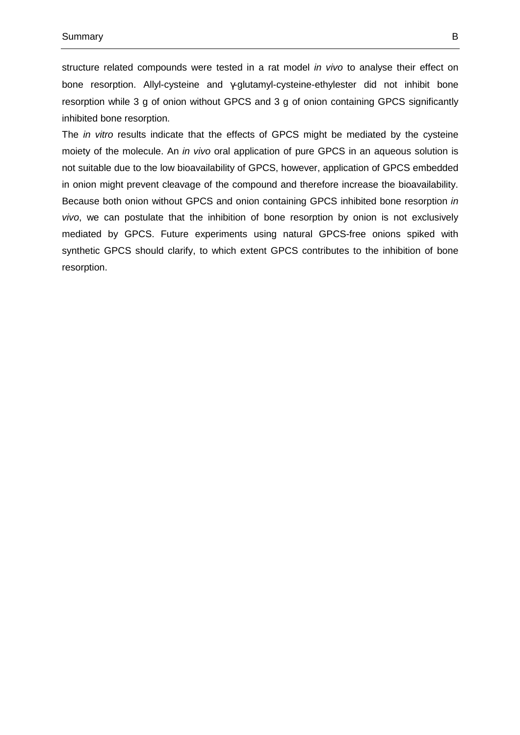structure related compounds were tested in a rat model in vivo to analyse their effect on bone resorption. Allyl-cysteine and γ-glutamyl-cysteine-ethylester did not inhibit bone resorption while 3 g of onion without GPCS and 3 g of onion containing GPCS significantly inhibited bone resorption.

The *in vitro* results indicate that the effects of GPCS might be mediated by the cysteine moiety of the molecule. An *in vivo* oral application of pure GPCS in an aqueous solution is not suitable due to the low bioavailability of GPCS, however, application of GPCS embedded in onion might prevent cleavage of the compound and therefore increase the bioavailability. Because both onion without GPCS and onion containing GPCS inhibited bone resorption in vivo, we can postulate that the inhibition of bone resorption by onion is not exclusively mediated by GPCS. Future experiments using natural GPCS-free onions spiked with synthetic GPCS should clarify, to which extent GPCS contributes to the inhibition of bone resorption.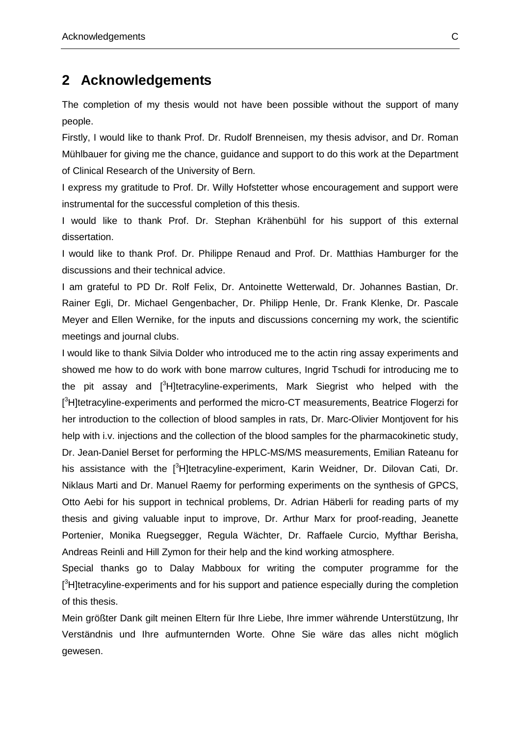## **2 Acknowledgements**

The completion of my thesis would not have been possible without the support of many people.

Firstly, I would like to thank Prof. Dr. Rudolf Brenneisen, my thesis advisor, and Dr. Roman Mühlbauer for giving me the chance, guidance and support to do this work at the Department of Clinical Research of the University of Bern.

I express my gratitude to Prof. Dr. Willy Hofstetter whose encouragement and support were instrumental for the successful completion of this thesis.

I would like to thank Prof. Dr. Stephan Krähenbühl for his support of this external dissertation.

I would like to thank Prof. Dr. Philippe Renaud and Prof. Dr. Matthias Hamburger for the discussions and their technical advice.

I am grateful to PD Dr. Rolf Felix, Dr. Antoinette Wetterwald, Dr. Johannes Bastian, Dr. Rainer Egli, Dr. Michael Gengenbacher, Dr. Philipp Henle, Dr. Frank Klenke, Dr. Pascale Meyer and Ellen Wernike, for the inputs and discussions concerning my work, the scientific meetings and journal clubs.

I would like to thank Silvia Dolder who introduced me to the actin ring assay experiments and showed me how to do work with bone marrow cultures, Ingrid Tschudi for introducing me to the pit assay and [<sup>3</sup>H]tetracyline-experiments, Mark Siegrist who helped with the [<sup>3</sup>H]tetracyline-experiments and performed the micro-CT measurements, Beatrice Flogerzi for her introduction to the collection of blood samples in rats, Dr. Marc-Olivier Montjovent for his help with i.v. injections and the collection of the blood samples for the pharmacokinetic study, Dr. Jean-Daniel Berset for performing the HPLC-MS/MS measurements, Emilian Rateanu for his assistance with the <sup>[3</sup>H]tetracyline-experiment, Karin Weidner, Dr. Dilovan Cati, Dr. Niklaus Marti and Dr. Manuel Raemy for performing experiments on the synthesis of GPCS, Otto Aebi for his support in technical problems, Dr. Adrian Häberli for reading parts of my thesis and giving valuable input to improve, Dr. Arthur Marx for proof-reading, Jeanette Portenier, Monika Ruegsegger, Regula Wächter, Dr. Raffaele Curcio, Myfthar Berisha, Andreas Reinli and Hill Zymon for their help and the kind working atmosphere.

Special thanks go to Dalay Mabboux for writing the computer programme for the  $[3$ H]tetracyline-experiments and for his support and patience especially during the completion of this thesis.

Mein größter Dank gilt meinen Eltern für Ihre Liebe, Ihre immer währende Unterstützung, Ihr Verständnis und Ihre aufmunternden Worte. Ohne Sie wäre das alles nicht möglich gewesen.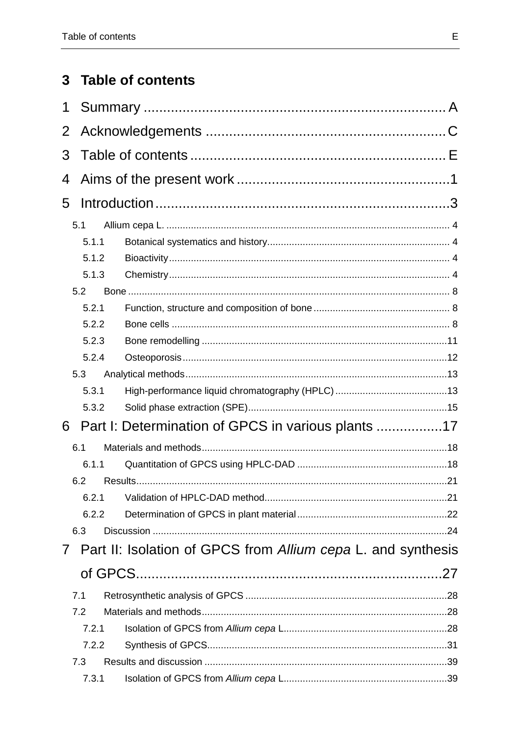## 3 Table of contents

| 1              |       |                                                              |  |
|----------------|-------|--------------------------------------------------------------|--|
| $\overline{2}$ |       |                                                              |  |
| 3              |       |                                                              |  |
| 4              |       |                                                              |  |
| 5              |       |                                                              |  |
|                | 5.1   |                                                              |  |
|                | 5.1.1 |                                                              |  |
|                | 5.1.2 |                                                              |  |
|                | 5.1.3 |                                                              |  |
|                | 5.2   |                                                              |  |
|                | 5.2.1 |                                                              |  |
|                | 5.2.2 |                                                              |  |
|                | 5.2.3 |                                                              |  |
|                | 5.2.4 |                                                              |  |
|                | 5.3   |                                                              |  |
|                | 5.3.1 |                                                              |  |
|                | 5.3.2 |                                                              |  |
| 6              |       | Part I: Determination of GPCS in various plants 17           |  |
|                | 6.1   |                                                              |  |
|                | 6.1.1 |                                                              |  |
|                | 6.2   |                                                              |  |
|                | 6.2.1 |                                                              |  |
|                | 6.2.2 |                                                              |  |
|                | 6.3   |                                                              |  |
| $\mathcal{I}$  |       | Part II: Isolation of GPCS from Allium cepa L. and synthesis |  |
|                |       |                                                              |  |
|                | 7.1   |                                                              |  |
|                | 7.2   |                                                              |  |
|                | 7.2.1 |                                                              |  |
|                | 7.2.2 |                                                              |  |
|                | 7.3   |                                                              |  |
|                | 7.3.1 |                                                              |  |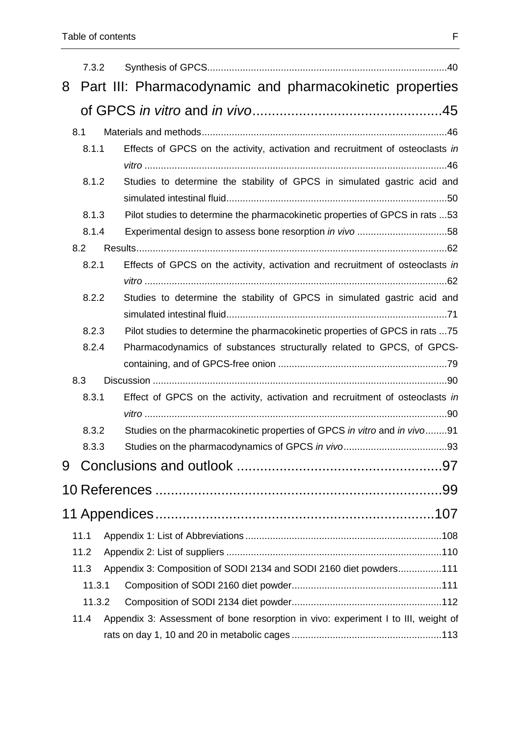|   | 7.3.2        |  |                                                                                   |  |  |  |
|---|--------------|--|-----------------------------------------------------------------------------------|--|--|--|
| 8 |              |  | Part III: Pharmacodynamic and pharmacokinetic properties                          |  |  |  |
|   |              |  |                                                                                   |  |  |  |
|   |              |  |                                                                                   |  |  |  |
|   | 8.1<br>8.1.1 |  | Effects of GPCS on the activity, activation and recruitment of osteoclasts in     |  |  |  |
|   |              |  |                                                                                   |  |  |  |
|   | 8.1.2        |  | Studies to determine the stability of GPCS in simulated gastric acid and          |  |  |  |
|   |              |  |                                                                                   |  |  |  |
|   | 8.1.3        |  | Pilot studies to determine the pharmacokinetic properties of GPCS in rats 53      |  |  |  |
|   | 8.1.4        |  |                                                                                   |  |  |  |
|   | 8.2          |  |                                                                                   |  |  |  |
|   | 8.2.1        |  | Effects of GPCS on the activity, activation and recruitment of osteoclasts in     |  |  |  |
|   |              |  |                                                                                   |  |  |  |
|   | 8.2.2        |  | Studies to determine the stability of GPCS in simulated gastric acid and          |  |  |  |
|   |              |  |                                                                                   |  |  |  |
|   | 8.2.3        |  | Pilot studies to determine the pharmacokinetic properties of GPCS in rats 75      |  |  |  |
|   | 8.2.4        |  | Pharmacodynamics of substances structurally related to GPCS, of GPCS-             |  |  |  |
|   |              |  |                                                                                   |  |  |  |
|   | 8.3          |  |                                                                                   |  |  |  |
|   | 8.3.1        |  | Effect of GPCS on the activity, activation and recruitment of osteoclasts in      |  |  |  |
|   |              |  |                                                                                   |  |  |  |
|   | 8.3.2        |  | Studies on the pharmacokinetic properties of GPCS in vitro and in vivo91          |  |  |  |
|   | 8.3.3        |  |                                                                                   |  |  |  |
| 9 |              |  |                                                                                   |  |  |  |
|   |              |  |                                                                                   |  |  |  |
|   |              |  |                                                                                   |  |  |  |
|   | 11.1         |  |                                                                                   |  |  |  |
|   | 11.2         |  |                                                                                   |  |  |  |
|   | 11.3         |  | Appendix 3: Composition of SODI 2134 and SODI 2160 diet powders111                |  |  |  |
|   | 11.3.1       |  |                                                                                   |  |  |  |
|   | 11.3.2       |  |                                                                                   |  |  |  |
|   | 11.4         |  | Appendix 3: Assessment of bone resorption in vivo: experiment I to III, weight of |  |  |  |
|   |              |  |                                                                                   |  |  |  |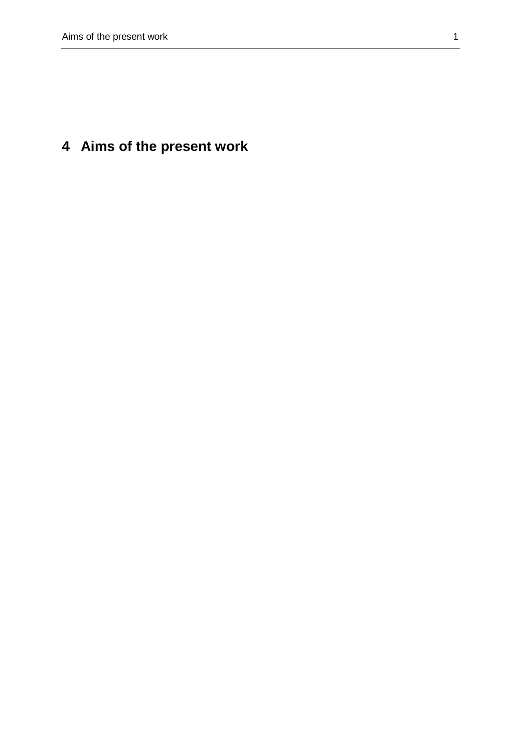## **4 Aims of the present work**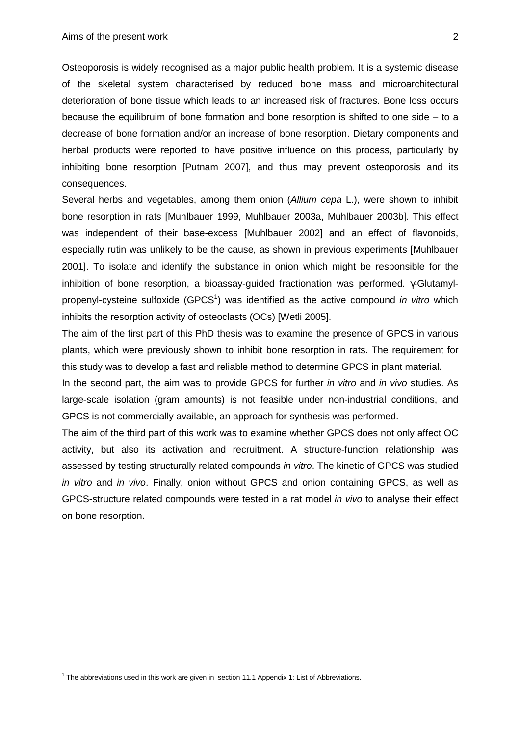Osteoporosis is widely recognised as a major public health problem. It is a systemic disease of the skeletal system characterised by reduced bone mass and microarchitectural deterioration of bone tissue which leads to an increased risk of fractures. Bone loss occurs because the equilibruim of bone formation and bone resorption is shifted to one side – to a decrease of bone formation and/or an increase of bone resorption. Dietary components and herbal products were reported to have positive influence on this process, particularly by inhibiting bone resorption [Putnam 2007], and thus may prevent osteoporosis and its consequences.

Several herbs and vegetables, among them onion (Allium cepa L.), were shown to inhibit bone resorption in rats [Muhlbauer 1999, Muhlbauer 2003a, Muhlbauer 2003b]. This effect was independent of their base-excess [Muhlbauer 2002] and an effect of flavonoids, especially rutin was unlikely to be the cause, as shown in previous experiments [Muhlbauer 2001]. To isolate and identify the substance in onion which might be responsible for the inhibition of bone resorption, a bioassay-guided fractionation was performed. γ-Glutamylpropenyl-cysteine sulfoxide (GPCS<sup>1</sup>) was identified as the active compound in vitro which inhibits the resorption activity of osteoclasts (OCs) [Wetli 2005].

The aim of the first part of this PhD thesis was to examine the presence of GPCS in various plants, which were previously shown to inhibit bone resorption in rats. The requirement for this study was to develop a fast and reliable method to determine GPCS in plant material.

In the second part, the aim was to provide GPCS for further in vitro and in vivo studies. As large-scale isolation (gram amounts) is not feasible under non-industrial conditions, and GPCS is not commercially available, an approach for synthesis was performed.

The aim of the third part of this work was to examine whether GPCS does not only affect OC activity, but also its activation and recruitment. A structure-function relationship was assessed by testing structurally related compounds in vitro. The kinetic of GPCS was studied in vitro and in vivo. Finally, onion without GPCS and onion containing GPCS, as well as GPCS-structure related compounds were tested in a rat model *in vivo* to analyse their effect on bone resorption.

<sup>&</sup>lt;sup>1</sup> The abbreviations used in this work are given in section 11.1 Appendix 1: List of Abbreviations.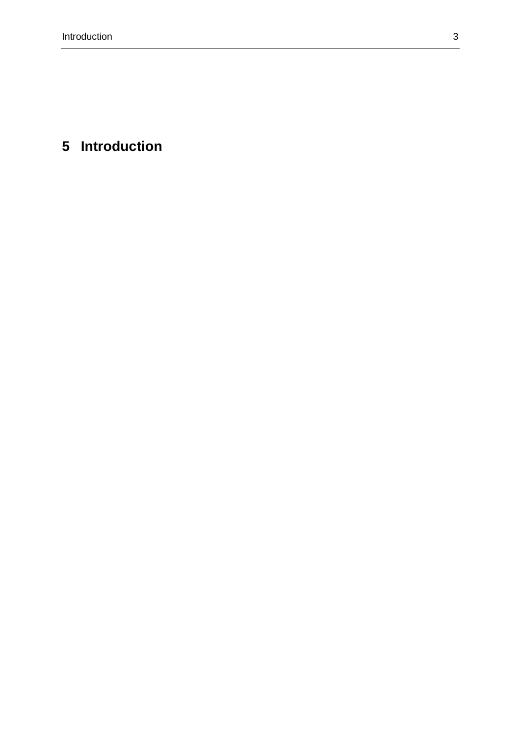# **5 Introduction**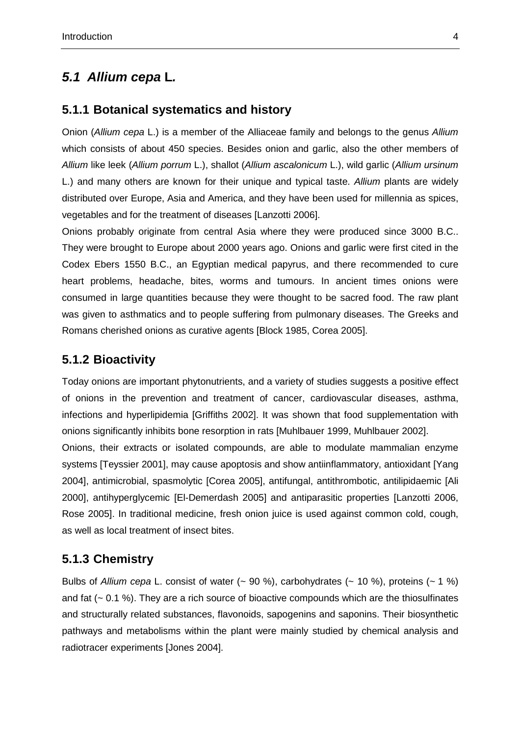## **5.1 Allium cepa L.**

#### **5.1.1 Botanical systematics and history**

Onion (Allium cepa L.) is a member of the Alliaceae family and belongs to the genus Allium which consists of about 450 species. Besides onion and garlic, also the other members of Allium like leek (Allium porrum L.), shallot (Allium ascalonicum L.), wild garlic (Allium ursinum L.) and many others are known for their unique and typical taste. Allium plants are widely distributed over Europe, Asia and America, and they have been used for millennia as spices, vegetables and for the treatment of diseases [Lanzotti 2006].

Onions probably originate from central Asia where they were produced since 3000 B.C.. They were brought to Europe about 2000 years ago. Onions and garlic were first cited in the Codex Ebers 1550 B.C., an Egyptian medical papyrus, and there recommended to cure heart problems, headache, bites, worms and tumours. In ancient times onions were consumed in large quantities because they were thought to be sacred food. The raw plant was given to asthmatics and to people suffering from pulmonary diseases. The Greeks and Romans cherished onions as curative agents [Block 1985, Corea 2005].

## **5.1.2 Bioactivity**

Today onions are important phytonutrients, and a variety of studies suggests a positive effect of onions in the prevention and treatment of cancer, cardiovascular diseases, asthma, infections and hyperlipidemia [Griffiths 2002]. It was shown that food supplementation with onions significantly inhibits bone resorption in rats [Muhlbauer 1999, Muhlbauer 2002].

Onions, their extracts or isolated compounds, are able to modulate mammalian enzyme systems [Teyssier 2001], may cause apoptosis and show antiinflammatory, antioxidant [Yang 2004], antimicrobial, spasmolytic [Corea 2005], antifungal, antithrombotic, antilipidaemic [Ali 2000], antihyperglycemic [El-Demerdash 2005] and antiparasitic properties [Lanzotti 2006, Rose 2005]. In traditional medicine, fresh onion juice is used against common cold, cough, as well as local treatment of insect bites.

#### **5.1.3 Chemistry**

Bulbs of Allium cepa L. consist of water  $(-90\%)$ , carbohydrates  $(-10\%)$ , proteins  $(-1\%)$ and fat (~ 0.1 %). They are a rich source of bioactive compounds which are the thiosulfinates and structurally related substances, flavonoids, sapogenins and saponins. Their biosynthetic pathways and metabolisms within the plant were mainly studied by chemical analysis and radiotracer experiments [Jones 2004].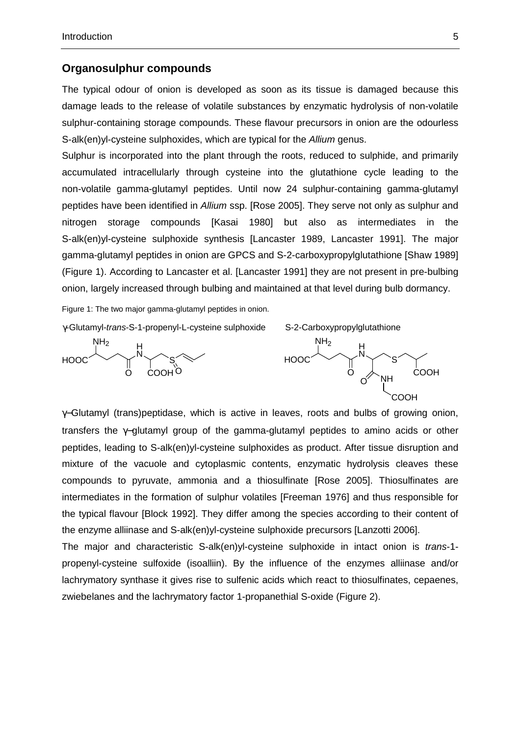#### **Organosulphur compounds**

The typical odour of onion is developed as soon as its tissue is damaged because this damage leads to the release of volatile substances by enzymatic hydrolysis of non-volatile sulphur-containing storage compounds. These flavour precursors in onion are the odourless S-alk(en)yl-cysteine sulphoxides, which are typical for the Allium genus.

Sulphur is incorporated into the plant through the roots, reduced to sulphide, and primarily accumulated intracellularly through cysteine into the glutathione cycle leading to the non-volatile gamma-glutamyl peptides. Until now 24 sulphur-containing gamma-glutamyl peptides have been identified in Allium ssp. [Rose 2005]. They serve not only as sulphur and nitrogen storage compounds [Kasai 1980] but also as intermediates in the S-alk(en)yl-cysteine sulphoxide synthesis [Lancaster 1989, Lancaster 1991]. The major gamma-glutamyl peptides in onion are GPCS and S-2-carboxypropylglutathione [Shaw 1989] (Figure 1). According to Lancaster et al. [Lancaster 1991] they are not present in pre-bulbing onion, largely increased through bulbing and maintained at that level during bulb dormancy.

Figure 1: The two major gamma-glutamyl peptides in onion.

γ-Glutamyl-trans-S-1-propenyl-L-cysteine sulphoxide S-2-Carboxypropylglutathione





γ−Glutamyl (trans)peptidase, which is active in leaves, roots and bulbs of growing onion, transfers the γ−glutamyl group of the gamma-glutamyl peptides to amino acids or other peptides, leading to S-alk(en)yl-cysteine sulphoxides as product. After tissue disruption and mixture of the vacuole and cytoplasmic contents, enzymatic hydrolysis cleaves these compounds to pyruvate, ammonia and a thiosulfinate [Rose 2005]. Thiosulfinates are intermediates in the formation of sulphur volatiles [Freeman 1976] and thus responsible for the typical flavour [Block 1992]. They differ among the species according to their content of the enzyme alliinase and S-alk(en)yl-cysteine sulphoxide precursors [Lanzotti 2006].

The major and characteristic S-alk(en)yl-cysteine sulphoxide in intact onion is trans-1 propenyl-cysteine sulfoxide (isoalliin). By the influence of the enzymes alliinase and/or lachrymatory synthase it gives rise to sulfenic acids which react to thiosulfinates, cepaenes, zwiebelanes and the lachrymatory factor 1-propanethial S-oxide (Figure 2).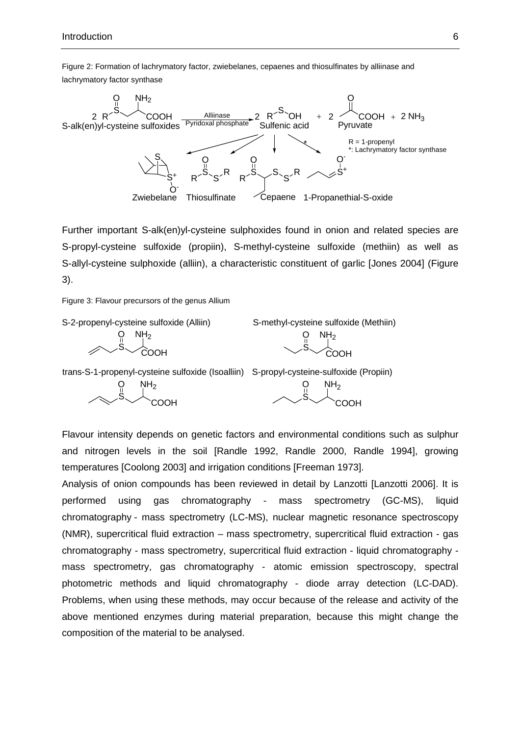Figure 2: Formation of lachrymatory factor, zwiebelanes, cepaenes and thiosulfinates by alliinase and lachrymatory factor synthase



Further important S-alk(en)yl-cysteine sulphoxides found in onion and related species are S-propyl-cysteine sulfoxide (propiin), S-methyl-cysteine sulfoxide (methiin) as well as S-allyl-cysteine sulphoxide (alliin), a characteristic constituent of garlic [Jones 2004] (Figure 3).

Figure 3: Flavour precursors of the genus Allium



Flavour intensity depends on genetic factors and environmental conditions such as sulphur and nitrogen levels in the soil [Randle 1992, Randle 2000, Randle 1994], growing temperatures [Coolong 2003] and irrigation conditions [Freeman 1973].

Analysis of onion compounds has been reviewed in detail by Lanzotti [Lanzotti 2006]. It is performed using gas chromatography - mass spectrometry (GC-MS), liquid chromatography - mass spectrometry (LC-MS), nuclear magnetic resonance spectroscopy (NMR), supercritical fluid extraction – mass spectrometry, supercritical fluid extraction - gas chromatography - mass spectrometry, supercritical fluid extraction - liquid chromatography mass spectrometry, gas chromatography - atomic emission spectroscopy, spectral photometric methods and liquid chromatography - diode array detection (LC-DAD). Problems, when using these methods, may occur because of the release and activity of the above mentioned enzymes during material preparation, because this might change the composition of the material to be analysed.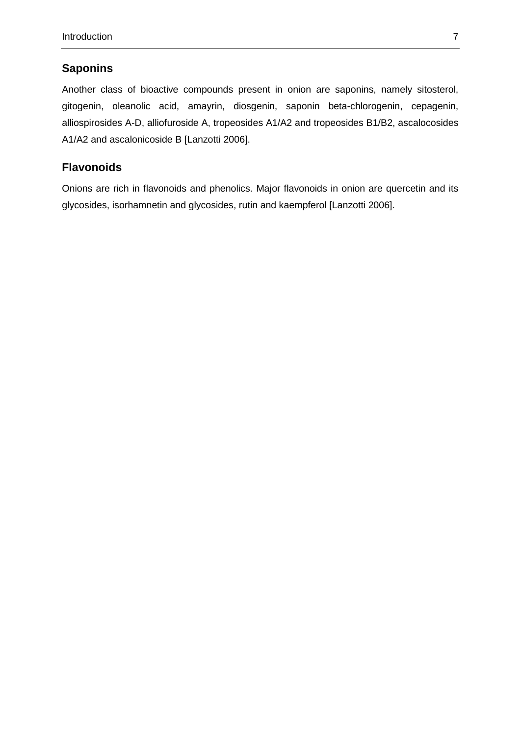### **Saponins**

Another class of bioactive compounds present in onion are saponins, namely sitosterol, gitogenin, oleanolic acid, amayrin, diosgenin, saponin beta-chlorogenin, cepagenin, alliospirosides A-D, alliofuroside A, tropeosides A1/A2 and tropeosides B1/B2, ascalocosides A1/A2 and ascalonicoside B [Lanzotti 2006].

### **Flavonoids**

Onions are rich in flavonoids and phenolics. Major flavonoids in onion are quercetin and its glycosides, isorhamnetin and glycosides, rutin and kaempferol [Lanzotti 2006].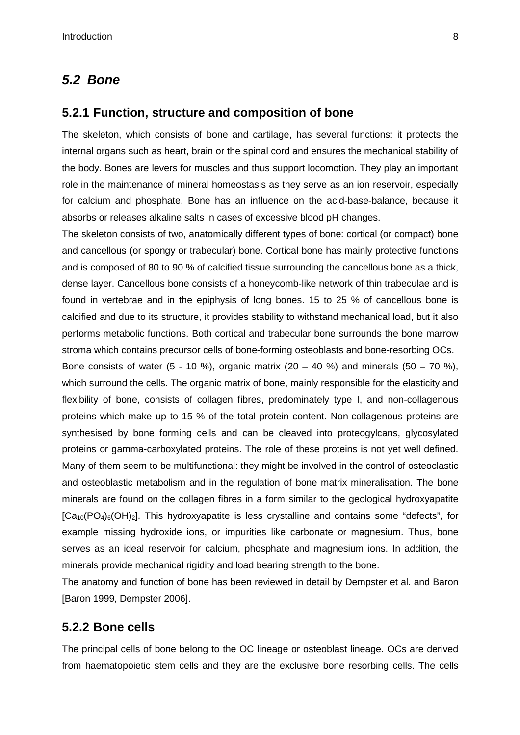#### **5.2 Bone**

#### **5.2.1 Function, structure and composition of bone**

The skeleton, which consists of bone and cartilage, has several functions: it protects the internal organs such as heart, brain or the spinal cord and ensures the mechanical stability of the body. Bones are levers for muscles and thus support locomotion. They play an important role in the maintenance of mineral homeostasis as they serve as an ion reservoir, especially for calcium and phosphate. Bone has an influence on the acid-base-balance, because it absorbs or releases alkaline salts in cases of excessive blood pH changes.

The skeleton consists of two, anatomically different types of bone: cortical (or compact) bone and cancellous (or spongy or trabecular) bone. Cortical bone has mainly protective functions and is composed of 80 to 90 % of calcified tissue surrounding the cancellous bone as a thick, dense layer. Cancellous bone consists of a honeycomb-like network of thin trabeculae and is found in vertebrae and in the epiphysis of long bones. 15 to 25 % of cancellous bone is calcified and due to its structure, it provides stability to withstand mechanical load, but it also performs metabolic functions. Both cortical and trabecular bone surrounds the bone marrow stroma which contains precursor cells of bone-forming osteoblasts and bone-resorbing OCs.

Bone consists of water  $(5 - 10 \%)$ , organic matrix  $(20 - 40 \%)$  and minerals  $(50 - 70 \%)$ , which surround the cells. The organic matrix of bone, mainly responsible for the elasticity and flexibility of bone, consists of collagen fibres, predominately type I, and non-collagenous proteins which make up to 15 % of the total protein content. Non-collagenous proteins are synthesised by bone forming cells and can be cleaved into proteogylcans, glycosylated proteins or gamma-carboxylated proteins. The role of these proteins is not yet well defined. Many of them seem to be multifunctional: they might be involved in the control of osteoclastic and osteoblastic metabolism and in the regulation of bone matrix mineralisation. The bone minerals are found on the collagen fibres in a form similar to the geological hydroxyapatite  $[Ca<sub>10</sub>(PO<sub>4</sub>)<sub>6</sub>(OH)<sub>2</sub>]$ . This hydroxyapatite is less crystalline and contains some "defects", for example missing hydroxide ions, or impurities like carbonate or magnesium. Thus, bone serves as an ideal reservoir for calcium, phosphate and magnesium ions. In addition, the minerals provide mechanical rigidity and load bearing strength to the bone.

The anatomy and function of bone has been reviewed in detail by Dempster et al. and Baron [Baron 1999, Dempster 2006].

#### **5.2.2 Bone cells**

The principal cells of bone belong to the OC lineage or osteoblast lineage. OCs are derived from haematopoietic stem cells and they are the exclusive bone resorbing cells. The cells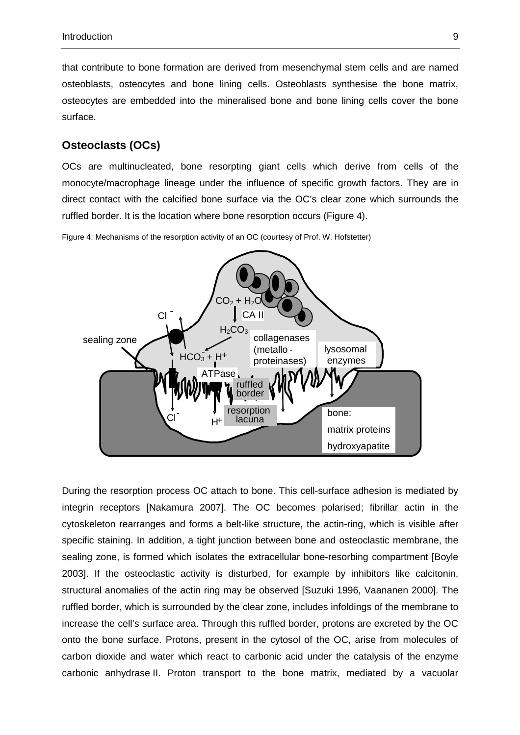that contribute to bone formation are derived from mesenchymal stem cells and are named osteoblasts, osteocytes and bone lining cells. Osteoblasts synthesise the bone matrix, osteocytes are embedded into the mineralised bone and bone lining cells cover the bone surface.

#### **Osteoclasts (OCs)**

OCs are multinucleated, bone resorpting giant cells which derive from cells of the monocyte/macrophage lineage under the influence of specific growth factors. They are in direct contact with the calcified bone surface via the OC's clear zone which surrounds the ruffled border. It is the location where bone resorption occurs (Figure 4).

Figure 4: Mechanisms of the resorption activity of an OC (courtesy of Prof. W. Hofstetter)



During the resorption process OC attach to bone. This cell-surface adhesion is mediated by integrin receptors [Nakamura 2007]. The OC becomes polarised; fibrillar actin in the cytoskeleton rearranges and forms a belt-like structure, the actin-ring, which is visible after specific staining. In addition, a tight junction between bone and osteoclastic membrane, the sealing zone, is formed which isolates the extracellular bone-resorbing compartment [Boyle 2003]. If the osteoclastic activity is disturbed, for example by inhibitors like calcitonin, structural anomalies of the actin ring may be observed [Suzuki 1996, Vaananen 2000]. The ruffled border, which is surrounded by the clear zone, includes infoldings of the membrane to increase the cell's surface area. Through this ruffled border, protons are excreted by the OC onto the bone surface. Protons, present in the cytosol of the OC, arise from molecules of carbon dioxide and water which react to carbonic acid under the catalysis of the enzyme carbonic anhydrase II. Proton transport to the bone matrix, mediated by a vacuolar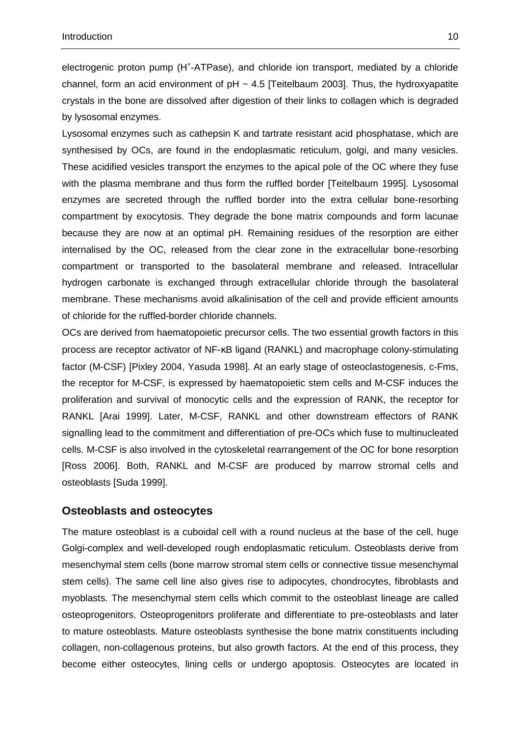electrogenic proton pump (H<sup>+</sup>-ATPase), and chloride ion transport, mediated by a chloride channel, form an acid environment of  $pH \sim 4.5$  [Teitelbaum 2003]. Thus, the hydroxyapatite crystals in the bone are dissolved after digestion of their links to collagen which is degraded by lysosomal enzymes.

Lysosomal enzymes such as cathepsin K and tartrate resistant acid phosphatase, which are synthesised by OCs, are found in the endoplasmatic reticulum, golgi, and many vesicles. These acidified vesicles transport the enzymes to the apical pole of the OC where they fuse with the plasma membrane and thus form the ruffled border [Teitelbaum 1995]. Lysosomal enzymes are secreted through the ruffled border into the extra cellular bone-resorbing compartment by exocytosis. They degrade the bone matrix compounds and form lacunae because they are now at an optimal pH. Remaining residues of the resorption are either internalised by the OC, released from the clear zone in the extracellular bone-resorbing compartment or transported to the basolateral membrane and released. Intracellular hydrogen carbonate is exchanged through extracellular chloride through the basolateral membrane. These mechanisms avoid alkalinisation of the cell and provide efficient amounts of chloride for the ruffled-border chloride channels.

OCs are derived from haematopoietic precursor cells. The two essential growth factors in this process are receptor activator of NF-κB ligand (RANKL) and macrophage colony-stimulating factor (M-CSF) [Pixley 2004, Yasuda 1998]. At an early stage of osteoclastogenesis, c-Fms, the receptor for M-CSF, is expressed by haematopoietic stem cells and M-CSF induces the proliferation and survival of monocytic cells and the expression of RANK, the receptor for RANKL [Arai 1999]. Later, M-CSF, RANKL and other downstream effectors of RANK signalling lead to the commitment and differentiation of pre-OCs which fuse to multinucleated cells. M-CSF is also involved in the cytoskeletal rearrangement of the OC for bone resorption [Ross 2006]. Both, RANKL and M-CSF are produced by marrow stromal cells and osteoblasts [Suda 1999].

#### **Osteoblasts and osteocytes**

The mature osteoblast is a cuboidal cell with a round nucleus at the base of the cell, huge Golgi-complex and well-developed rough endoplasmatic reticulum. Osteoblasts derive from mesenchymal stem cells (bone marrow stromal stem cells or connective tissue mesenchymal stem cells). The same cell line also gives rise to adipocytes, chondrocytes, fibroblasts and myoblasts. The mesenchymal stem cells which commit to the osteoblast lineage are called osteoprogenitors. Osteoprogenitors proliferate and differentiate to pre-osteoblasts and later to mature osteoblasts. Mature osteoblasts synthesise the bone matrix constituents including collagen, non-collagenous proteins, but also growth factors. At the end of this process, they become either osteocytes, lining cells or undergo apoptosis. Osteocytes are located in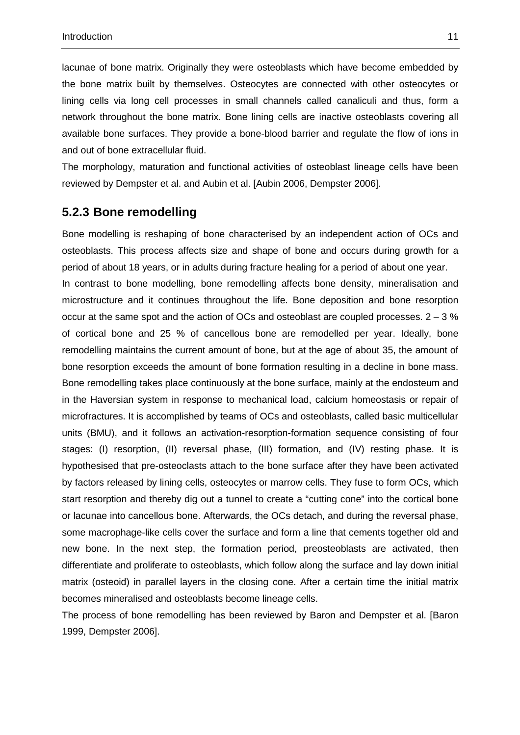lacunae of bone matrix. Originally they were osteoblasts which have become embedded by the bone matrix built by themselves. Osteocytes are connected with other osteocytes or lining cells via long cell processes in small channels called canaliculi and thus, form a network throughout the bone matrix. Bone lining cells are inactive osteoblasts covering all available bone surfaces. They provide a bone-blood barrier and regulate the flow of ions in and out of bone extracellular fluid.

The morphology, maturation and functional activities of osteoblast lineage cells have been reviewed by Dempster et al. and Aubin et al. [Aubin 2006, Dempster 2006].

### **5.2.3 Bone remodelling**

Bone modelling is reshaping of bone characterised by an independent action of OCs and osteoblasts. This process affects size and shape of bone and occurs during growth for a period of about 18 years, or in adults during fracture healing for a period of about one year. In contrast to bone modelling, bone remodelling affects bone density, mineralisation and microstructure and it continues throughout the life. Bone deposition and bone resorption occur at the same spot and the action of OCs and osteoblast are coupled processes.  $2 - 3$  % of cortical bone and 25 % of cancellous bone are remodelled per year. Ideally, bone remodelling maintains the current amount of bone, but at the age of about 35, the amount of bone resorption exceeds the amount of bone formation resulting in a decline in bone mass. Bone remodelling takes place continuously at the bone surface, mainly at the endosteum and in the Haversian system in response to mechanical load, calcium homeostasis or repair of microfractures. It is accomplished by teams of OCs and osteoblasts, called basic multicellular units (BMU), and it follows an activation-resorption-formation sequence consisting of four stages: (I) resorption, (II) reversal phase, (III) formation, and (IV) resting phase. It is hypothesised that pre-osteoclasts attach to the bone surface after they have been activated by factors released by lining cells, osteocytes or marrow cells. They fuse to form OCs, which start resorption and thereby dig out a tunnel to create a "cutting cone" into the cortical bone or lacunae into cancellous bone. Afterwards, the OCs detach, and during the reversal phase, some macrophage-like cells cover the surface and form a line that cements together old and new bone. In the next step, the formation period, preosteoblasts are activated, then differentiate and proliferate to osteoblasts, which follow along the surface and lay down initial matrix (osteoid) in parallel layers in the closing cone. After a certain time the initial matrix becomes mineralised and osteoblasts become lineage cells.

The process of bone remodelling has been reviewed by Baron and Dempster et al. [Baron 1999, Dempster 2006].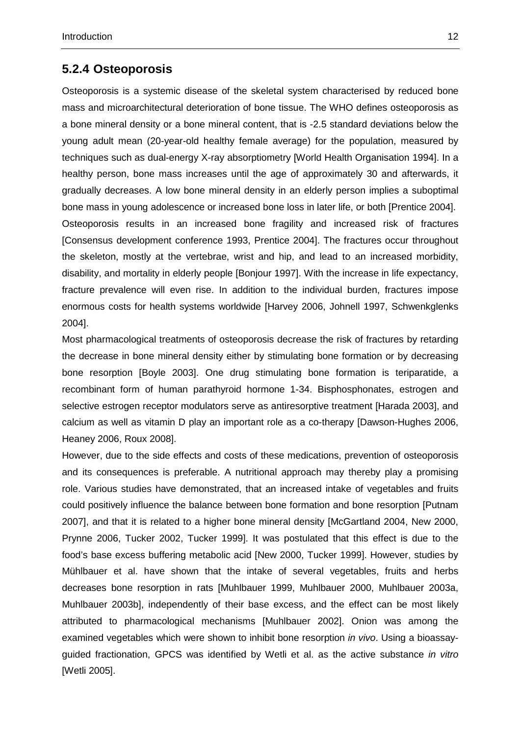#### **5.2.4 Osteoporosis**

Osteoporosis is a systemic disease of the skeletal system characterised by reduced bone mass and microarchitectural deterioration of bone tissue. The WHO defines osteoporosis as a bone mineral density or a bone mineral content, that is -2.5 standard deviations below the young adult mean (20-year-old healthy female average) for the population, measured by techniques such as dual-energy X-ray absorptiometry [World Health Organisation 1994]. In a healthy person, bone mass increases until the age of approximately 30 and afterwards, it gradually decreases. A low bone mineral density in an elderly person implies a suboptimal bone mass in young adolescence or increased bone loss in later life, or both [Prentice 2004]. Osteoporosis results in an increased bone fragility and increased risk of fractures [Consensus development conference 1993, Prentice 2004]. The fractures occur throughout the skeleton, mostly at the vertebrae, wrist and hip, and lead to an increased morbidity, disability, and mortality in elderly people [Bonjour 1997]. With the increase in life expectancy, fracture prevalence will even rise. In addition to the individual burden, fractures impose enormous costs for health systems worldwide [Harvey 2006, Johnell 1997, Schwenkglenks 2004].

Most pharmacological treatments of osteoporosis decrease the risk of fractures by retarding the decrease in bone mineral density either by stimulating bone formation or by decreasing bone resorption [Boyle 2003]. One drug stimulating bone formation is teriparatide, a recombinant form of human parathyroid hormone 1-34. Bisphosphonates, estrogen and selective estrogen receptor modulators serve as antiresorptive treatment [Harada 2003], and calcium as well as vitamin D play an important role as a co-therapy [Dawson-Hughes 2006, Heaney 2006, Roux 2008].

However, due to the side effects and costs of these medications, prevention of osteoporosis and its consequences is preferable. A nutritional approach may thereby play a promising role. Various studies have demonstrated, that an increased intake of vegetables and fruits could positively influence the balance between bone formation and bone resorption [Putnam 2007], and that it is related to a higher bone mineral density [McGartland 2004, New 2000, Prynne 2006, Tucker 2002, Tucker 1999]. It was postulated that this effect is due to the food's base excess buffering metabolic acid [New 2000, Tucker 1999]. However, studies by Mühlbauer et al. have shown that the intake of several vegetables, fruits and herbs decreases bone resorption in rats [Muhlbauer 1999, Muhlbauer 2000, Muhlbauer 2003a, Muhlbauer 2003b], independently of their base excess, and the effect can be most likely attributed to pharmacological mechanisms [Muhlbauer 2002]. Onion was among the examined vegetables which were shown to inhibit bone resorption *in vivo*. Using a bioassayguided fractionation, GPCS was identified by Wetli et al. as the active substance in vitro [Wetli 2005].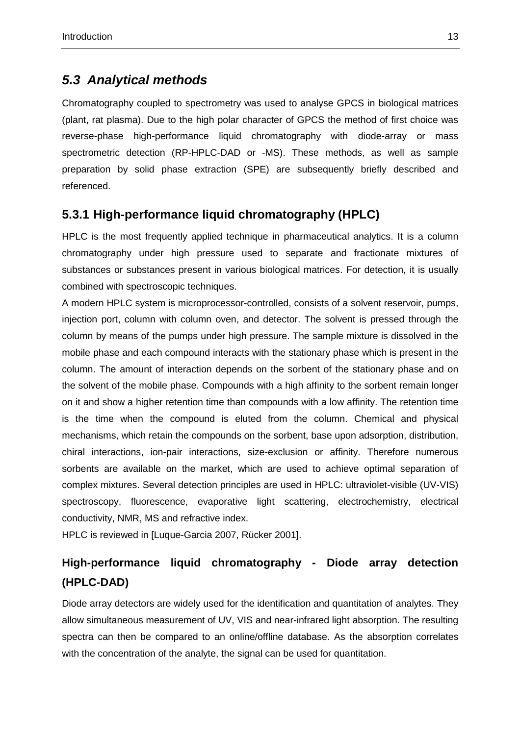## **5.3 Analytical methods**

Chromatography coupled to spectrometry was used to analyse GPCS in biological matrices (plant, rat plasma). Due to the high polar character of GPCS the method of first choice was reverse-phase high-performance liquid chromatography with diode-array or mass spectrometric detection (RP-HPLC-DAD or -MS). These methods, as well as sample preparation by solid phase extraction (SPE) are subsequently briefly described and referenced.

## **5.3.1 High-performance liquid chromatography (HPLC)**

HPLC is the most frequently applied technique in pharmaceutical analytics. It is a column chromatography under high pressure used to separate and fractionate mixtures of substances or substances present in various biological matrices. For detection, it is usually combined with spectroscopic techniques.

A modern HPLC system is microprocessor-controlled, consists of a solvent reservoir, pumps, injection port, column with column oven, and detector. The solvent is pressed through the column by means of the pumps under high pressure. The sample mixture is dissolved in the mobile phase and each compound interacts with the stationary phase which is present in the column. The amount of interaction depends on the sorbent of the stationary phase and on the solvent of the mobile phase. Compounds with a high affinity to the sorbent remain longer on it and show a higher retention time than compounds with a low affinity. The retention time is the time when the compound is eluted from the column. Chemical and physical mechanisms, which retain the compounds on the sorbent, base upon adsorption, distribution, chiral interactions, ion-pair interactions, size-exclusion or affinity. Therefore numerous sorbents are available on the market, which are used to achieve optimal separation of complex mixtures. Several detection principles are used in HPLC: ultraviolet-visible (UV-VIS) spectroscopy, fluorescence, evaporative light scattering, electrochemistry, electrical conductivity, NMR, MS and refractive index.

HPLC is reviewed in [Luque-Garcia 2007, Rücker 2001].

## **High-performance liquid chromatography - Diode array detection (HPLC-DAD)**

Diode array detectors are widely used for the identification and quantitation of analytes. They allow simultaneous measurement of UV, VIS and near-infrared light absorption. The resulting spectra can then be compared to an online/offline database. As the absorption correlates with the concentration of the analyte, the signal can be used for quantitation.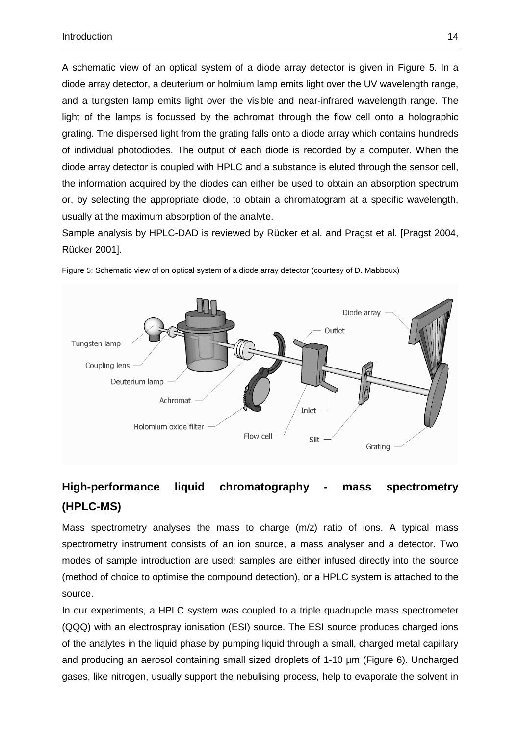A schematic view of an optical system of a diode array detector is given in Figure 5. In a diode array detector, a deuterium or holmium lamp emits light over the UV wavelength range, and a tungsten lamp emits light over the visible and near-infrared wavelength range. The light of the lamps is focussed by the achromat through the flow cell onto a holographic grating. The dispersed light from the grating falls onto a diode array which contains hundreds of individual photodiodes. The output of each diode is recorded by a computer. When the diode array detector is coupled with HPLC and a substance is eluted through the sensor cell, the information acquired by the diodes can either be used to obtain an absorption spectrum or, by selecting the appropriate diode, to obtain a chromatogram at a specific wavelength, usually at the maximum absorption of the analyte.

Sample analysis by HPLC-DAD is reviewed by Rücker et al. and Pragst et al. [Pragst 2004, Rücker 2001].



Figure 5: Schematic view of on optical system of a diode array detector (courtesy of D. Mabboux)

## **High-performance liquid chromatography - mass spectrometry (HPLC-MS)**

Mass spectrometry analyses the mass to charge (m/z) ratio of ions. A typical mass spectrometry instrument consists of an ion source, a mass analyser and a detector. Two modes of sample introduction are used: samples are either infused directly into the source (method of choice to optimise the compound detection), or a HPLC system is attached to the source.

In our experiments, a HPLC system was coupled to a triple quadrupole mass spectrometer (QQQ) with an electrospray ionisation (ESI) source. The ESI source produces charged ions of the analytes in the liquid phase by pumping liquid through a small, charged metal capillary and producing an aerosol containing small sized droplets of 1-10 µm (Figure 6). Uncharged gases, like nitrogen, usually support the nebulising process, help to evaporate the solvent in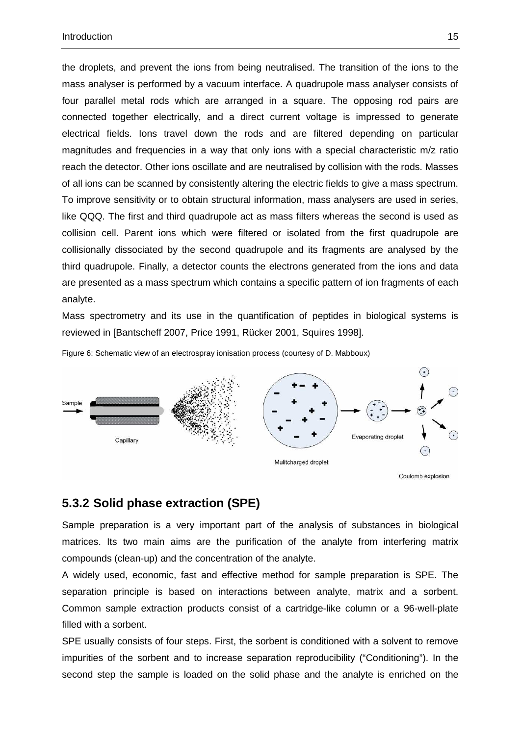the droplets, and prevent the ions from being neutralised. The transition of the ions to the mass analyser is performed by a vacuum interface. A quadrupole mass analyser consists of four parallel metal rods which are arranged in a square. The opposing rod pairs are connected together electrically, and a direct current voltage is impressed to generate electrical fields. Ions travel down the rods and are filtered depending on particular magnitudes and frequencies in a way that only ions with a special characteristic m/z ratio reach the detector. Other ions oscillate and are neutralised by collision with the rods. Masses of all ions can be scanned by consistently altering the electric fields to give a mass spectrum. To improve sensitivity or to obtain structural information, mass analysers are used in series, like QQQ. The first and third quadrupole act as mass filters whereas the second is used as collision cell. Parent ions which were filtered or isolated from the first quadrupole are collisionally dissociated by the second quadrupole and its fragments are analysed by the third quadrupole. Finally, a detector counts the electrons generated from the ions and data are presented as a mass spectrum which contains a specific pattern of ion fragments of each analyte.

Mass spectrometry and its use in the quantification of peptides in biological systems is reviewed in [Bantscheff 2007, Price 1991, Rücker 2001, Squires 1998].

Figure 6: Schematic view of an electrospray ionisation process (courtesy of D. Mabboux)



## **5.3.2 Solid phase extraction (SPE)**

Sample preparation is a very important part of the analysis of substances in biological matrices. Its two main aims are the purification of the analyte from interfering matrix compounds (clean-up) and the concentration of the analyte.

A widely used, economic, fast and effective method for sample preparation is SPE. The separation principle is based on interactions between analyte, matrix and a sorbent. Common sample extraction products consist of a cartridge-like column or a 96-well-plate filled with a sorbent.

SPE usually consists of four steps. First, the sorbent is conditioned with a solvent to remove impurities of the sorbent and to increase separation reproducibility ("Conditioning"). In the second step the sample is loaded on the solid phase and the analyte is enriched on the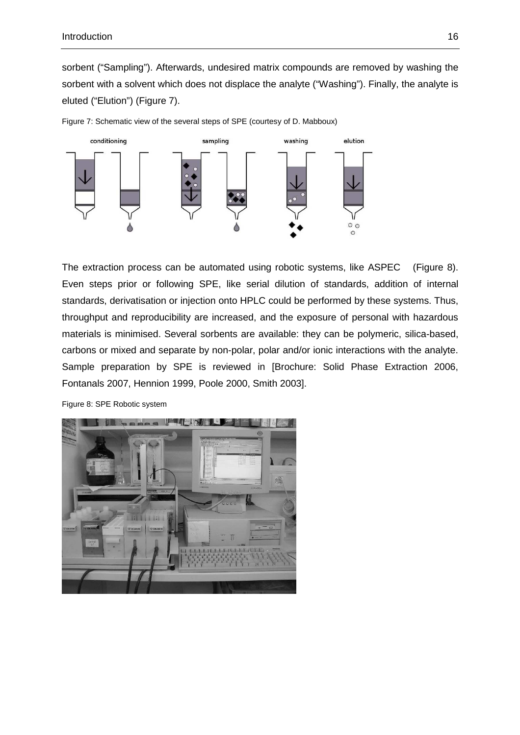sorbent ("Sampling"). Afterwards, undesired matrix compounds are removed by washing the sorbent with a solvent which does not displace the analyte ("Washing"). Finally, the analyte is eluted ("Elution") (Figure 7).



Figure 7: Schematic view of the several steps of SPE (courtesy of D. Mabboux)

The extraction process can be automated using robotic systems, like ASPEC<sup>TM</sup> (Figure 8). Even steps prior or following SPE, like serial dilution of standards, addition of internal standards, derivatisation or injection onto HPLC could be performed by these systems. Thus, throughput and reproducibility are increased, and the exposure of personal with hazardous materials is minimised. Several sorbents are available: they can be polymeric, silica-based, carbons or mixed and separate by non-polar, polar and/or ionic interactions with the analyte. Sample preparation by SPE is reviewed in [Brochure: Solid Phase Extraction 2006, Fontanals 2007, Hennion 1999, Poole 2000, Smith 2003].



Figure 8: SPE Robotic system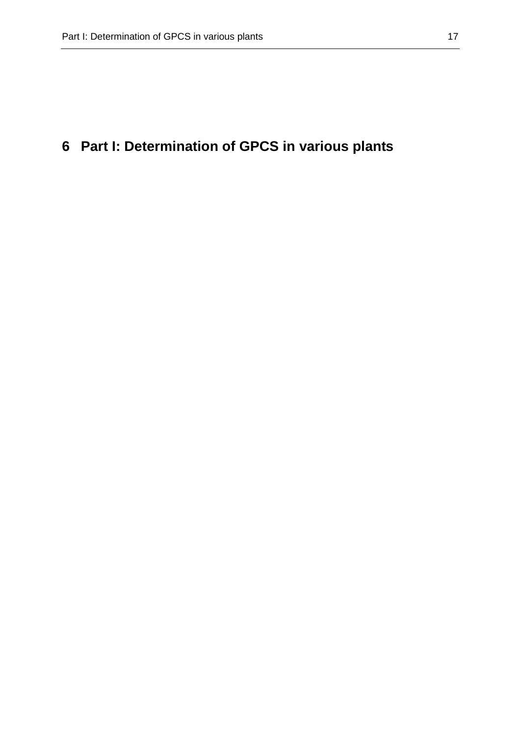## **6 Part I: Determination of GPCS in various plants**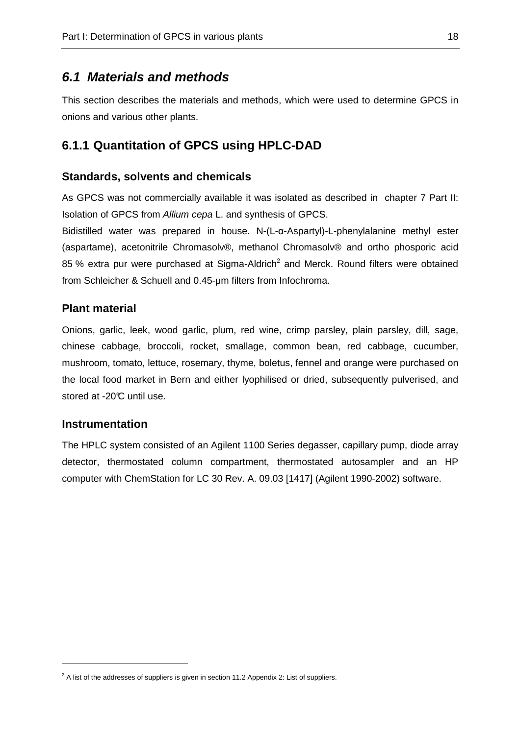### **6.1 Materials and methods**

This section describes the materials and methods, which were used to determine GPCS in onions and various other plants.

#### **6.1.1 Quantitation of GPCS using HPLC-DAD**

#### **Standards, solvents and chemicals**

As GPCS was not commercially available it was isolated as described in chapter 7 Part II: Isolation of GPCS from Allium cepa L. and synthesis of GPCS.

Bidistilled water was prepared in house. N-(L-α-Aspartyl)-L-phenylalanine methyl ester (aspartame), acetonitrile Chromasolv®, methanol Chromasolv® and ortho phosporic acid 85 % extra pur were purchased at Sigma-Aldrich<sup>2</sup> and Merck. Round filters were obtained from Schleicher & Schuell and 0.45-µm filters from Infochroma.

#### **Plant material**

Onions, garlic, leek, wood garlic, plum, red wine, crimp parsley, plain parsley, dill, sage, chinese cabbage, broccoli, rocket, smallage, common bean, red cabbage, cucumber, mushroom, tomato, lettuce, rosemary, thyme, boletus, fennel and orange were purchased on the local food market in Bern and either lyophilised or dried, subsequently pulverised, and stored at -20°C until use.

#### **Instrumentation**

The HPLC system consisted of an Agilent 1100 Series degasser, capillary pump, diode array detector, thermostated column compartment, thermostated autosampler and an HP computer with ChemStation for LC 30 Rev. A. 09.03 [1417] (Agilent 1990-2002) software.

 $2$  A list of the addresses of suppliers is given in section 11.2 Appendix 2: List of suppliers.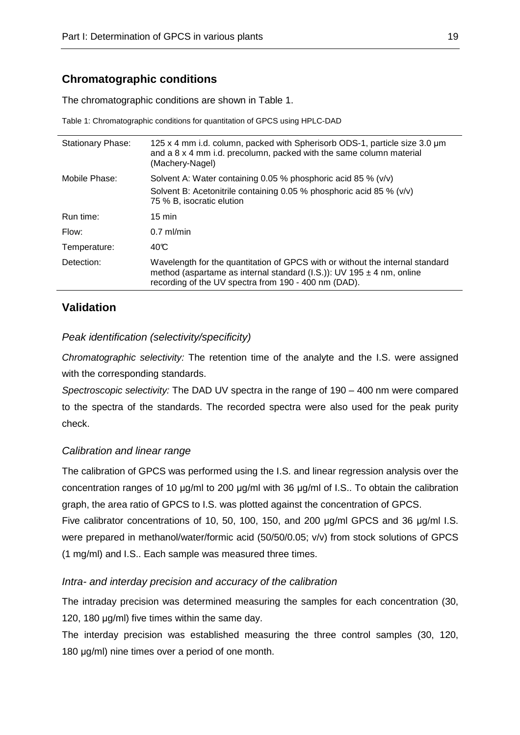### **Chromatographic conditions**

The chromatographic conditions are shown in Table 1.

Table 1: Chromatographic conditions for quantitation of GPCS using HPLC-DAD

| <b>Stationary Phase:</b> | 125 x 4 mm i.d. column, packed with Spherisorb ODS-1, particle size 3.0 um<br>and a 8 x 4 mm i.d. precolumn, packed with the same column material<br>(Machery-Nagel)                                               |
|--------------------------|--------------------------------------------------------------------------------------------------------------------------------------------------------------------------------------------------------------------|
| Mobile Phase:            | Solvent A: Water containing 0.05 % phosphoric acid 85 % (v/v)                                                                                                                                                      |
|                          | Solvent B: Acetonitrile containing 0.05 % phosphoric acid 85 % (v/v)<br>75 % B, isocratic elution                                                                                                                  |
| Run time:                | $15 \text{ min}$                                                                                                                                                                                                   |
| Flow:                    | $0.7$ ml/min                                                                                                                                                                                                       |
| Temperature:             | 40C                                                                                                                                                                                                                |
| Detection:               | Wavelength for the quantitation of GPCS with or without the internal standard<br>method (aspartame as internal standard (I.S.)): UV 195 $\pm$ 4 nm, online<br>recording of the UV spectra from 190 - 400 nm (DAD). |

#### **Validation**

#### Peak identification (selectivity/specificity)

Chromatographic selectivity: The retention time of the analyte and the I.S. were assigned with the corresponding standards.

Spectroscopic selectivity: The DAD UV spectra in the range of 190 – 400 nm were compared to the spectra of the standards. The recorded spectra were also used for the peak purity check.

#### Calibration and linear range

The calibration of GPCS was performed using the I.S. and linear regression analysis over the concentration ranges of 10 µg/ml to 200 µg/ml with 36 µg/ml of I.S.. To obtain the calibration graph, the area ratio of GPCS to I.S. was plotted against the concentration of GPCS.

Five calibrator concentrations of 10, 50, 100, 150, and 200 µg/ml GPCS and 36 µg/ml I.S. were prepared in methanol/water/formic acid (50/50/0.05; v/v) from stock solutions of GPCS (1 mg/ml) and I.S.. Each sample was measured three times.

#### Intra- and interday precision and accuracy of the calibration

The intraday precision was determined measuring the samples for each concentration (30, 120, 180 µg/ml) five times within the same day.

The interday precision was established measuring the three control samples (30, 120, 180  $\mu$ g/ml) nine times over a period of one month.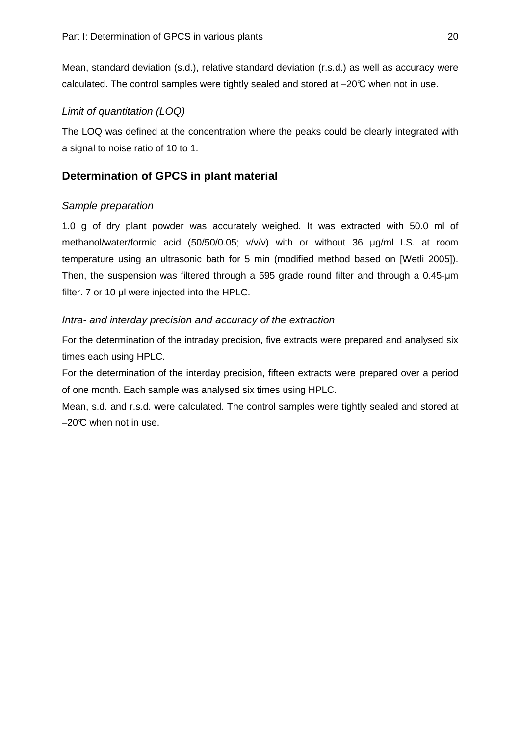Mean, standard deviation (s.d.), relative standard deviation (r.s.d.) as well as accuracy were calculated. The control samples were tightly sealed and stored at –20°C when not in use.

#### Limit of quantitation (LOQ)

The LOQ was defined at the concentration where the peaks could be clearly integrated with a signal to noise ratio of 10 to 1.

### **Determination of GPCS in plant material**

#### Sample preparation

1.0 g of dry plant powder was accurately weighed. It was extracted with 50.0 ml of methanol/water/formic acid (50/50/0.05; v/v/v) with or without 36 µg/ml I.S. at room temperature using an ultrasonic bath for 5 min (modified method based on [Wetli 2005]). Then, the suspension was filtered through a 595 grade round filter and through a 0.45-µm filter. 7 or 10 µl were injected into the HPLC.

#### Intra- and interday precision and accuracy of the extraction

For the determination of the intraday precision, five extracts were prepared and analysed six times each using HPLC.

For the determination of the interday precision, fifteen extracts were prepared over a period of one month. Each sample was analysed six times using HPLC.

Mean, s.d. and r.s.d. were calculated. The control samples were tightly sealed and stored at  $-20^{\circ}$  when not in use.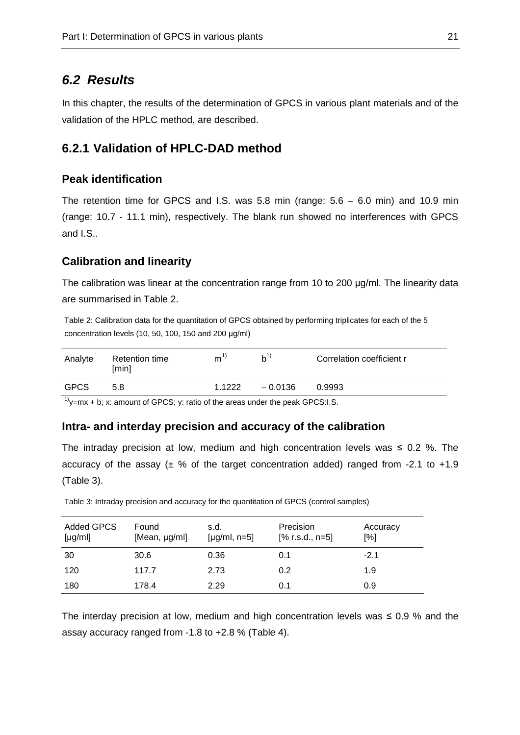### **6.2 Results**

In this chapter, the results of the determination of GPCS in various plant materials and of the validation of the HPLC method, are described.

### **6.2.1 Validation of HPLC-DAD method**

#### **Peak identification**

The retention time for GPCS and I.S. was 5.8 min (range: 5.6 – 6.0 min) and 10.9 min (range: 10.7 - 11.1 min), respectively. The blank run showed no interferences with GPCS and I.S..

#### **Calibration and linearity**

The calibration was linear at the concentration range from 10 to 200 µg/ml. The linearity data are summarised in Table 2.

Table 2: Calibration data for the quantitation of GPCS obtained by performing triplicates for each of the 5 concentration levels (10, 50, 100, 150 and 200 µg/ml)

| Analyte     | Retention time<br>[min] | m <sup>1</sup> | $h^{1}$   | Correlation coefficient r |
|-------------|-------------------------|----------------|-----------|---------------------------|
| <b>GPCS</b> | 5.8                     | 1.1222         | $-0.0136$ | 0.9993                    |
| $\cdots$    |                         |                |           |                           |

 $1$ <sup>1</sup>y=mx + b; x: amount of GPCS; y: ratio of the areas under the peak GPCS:I.S.

#### **Intra- and interday precision and accuracy of the calibration**

The intraday precision at low, medium and high concentration levels was  $\leq 0.2$  %. The accuracy of the assay ( $\pm$  % of the target concentration added) ranged from -2.1 to +1.9 (Table 3).

| Added GPCS<br>[yg/ml] | Found<br>[Mean, µg/ml] | s.d.<br>[ $\mu$ g/ml, n=5] | <b>Precision</b><br>$[% r.s.d., n=5]$ | Accuracy<br>$\lceil \% \rceil$ |
|-----------------------|------------------------|----------------------------|---------------------------------------|--------------------------------|
| -30                   | 30.6                   | 0.36                       | 0.1                                   | $-2.1$                         |
| 120                   | 117.7                  | 2.73                       | 0.2                                   | 1.9                            |
| 180                   | 178.4                  | 2.29                       | 0.1                                   | 0.9                            |

Table 3: Intraday precision and accuracy for the quantitation of GPCS (control samples)

The interday precision at low, medium and high concentration levels was  $\leq 0.9$  % and the assay accuracy ranged from -1.8 to +2.8 % (Table 4).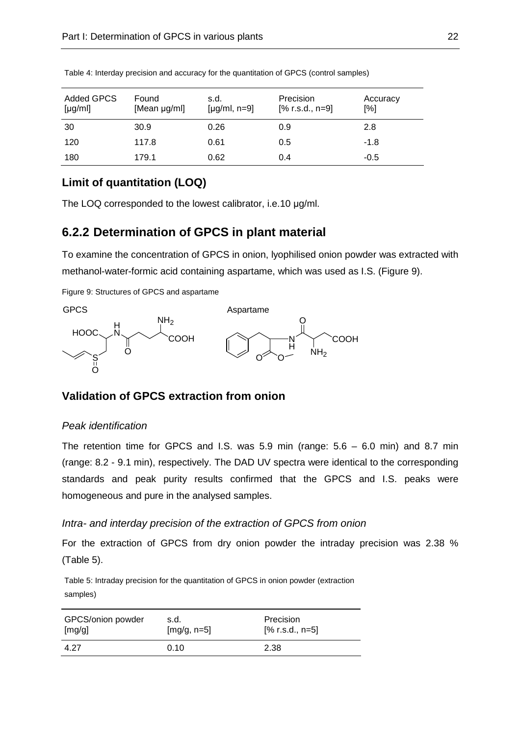| <b>Added GPCS</b><br>[yg/ml] | Found<br>[Mean µg/ml] | s.d.<br>[ $\mu$ g/ml, n=9] | Precision<br>$[% r.s.d., n=9]$ | Accuracy<br>[%] |
|------------------------------|-----------------------|----------------------------|--------------------------------|-----------------|
| 30                           | 30.9                  | 0.26                       | 0.9                            | 2.8             |
| 120                          | 117.8                 | 0.61                       | 0.5                            | -1.8            |
| 180                          | 179.1                 | 0.62                       | 0.4                            | $-0.5$          |

Table 4: Interday precision and accuracy for the quantitation of GPCS (control samples)

## **Limit of quantitation (LOQ)**

The LOQ corresponded to the lowest calibrator, i.e.10  $\mu$ g/ml.

## **6.2.2 Determination of GPCS in plant material**

To examine the concentration of GPCS in onion, lyophilised onion powder was extracted with methanol-water-formic acid containing aspartame, which was used as I.S. (Figure 9).

Figure 9: Structures of GPCS and aspartame



## **Validation of GPCS extraction from onion**

#### Peak identification

The retention time for GPCS and I.S. was  $5.9$  min (range:  $5.6 - 6.0$  min) and  $8.7$  min (range: 8.2 - 9.1 min), respectively. The DAD UV spectra were identical to the corresponding standards and peak purity results confirmed that the GPCS and I.S. peaks were homogeneous and pure in the analysed samples.

#### Intra- and interday precision of the extraction of GPCS from onion

For the extraction of GPCS from dry onion powder the intraday precision was 2.38 % (Table 5).

Table 5: Intraday precision for the quantitation of GPCS in onion powder (extraction samples)

| GPCS/onion powder | s.d.          | Precision         |
|-------------------|---------------|-------------------|
| [mg/g]            | $[mg/g, n=5]$ | $[% r.s.d., n=5]$ |
| 4.27              | 0.10          | 2.38              |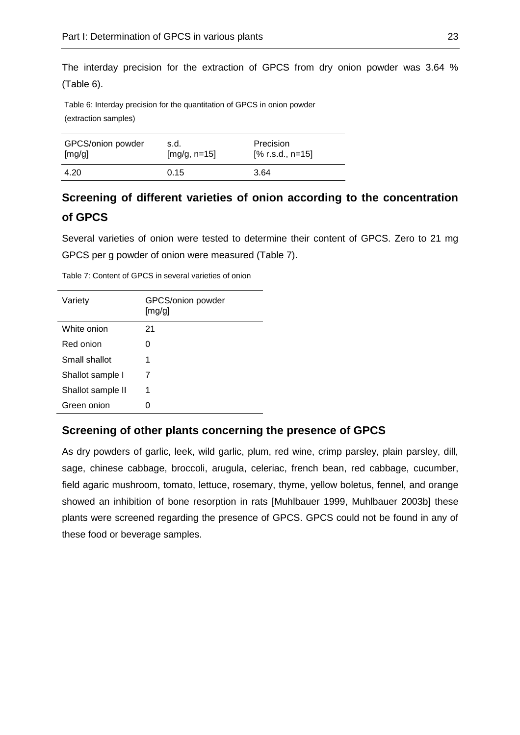The interday precision for the extraction of GPCS from dry onion powder was 3.64 % (Table 6).

Table 6: Interday precision for the quantitation of GPCS in onion powder (extraction samples)

| GPCS/onion powder | s.d.           | Precision          |
|-------------------|----------------|--------------------|
| [mg/g]            | $[mg/g, n=15]$ | $[% r.s.d., n=15]$ |
| 4.20              | 0.15           | 3.64               |

## **Screening of different varieties of onion according to the concentration of GPCS**

Several varieties of onion were tested to determine their content of GPCS. Zero to 21 mg GPCS per g powder of onion were measured (Table 7).

| Variety           | GPCS/onion powder<br>[mg/g] |
|-------------------|-----------------------------|
| White onion       | 21                          |
| Red onion         | 0                           |
| Small shallot     | 1                           |
| Shallot sample I  | 7                           |
| Shallot sample II | 1                           |
| Green onion       | 0                           |

Table 7: Content of GPCS in several varieties of onion

#### **Screening of other plants concerning the presence of GPCS**

As dry powders of garlic, leek, wild garlic, plum, red wine, crimp parsley, plain parsley, dill, sage, chinese cabbage, broccoli, arugula, celeriac, french bean, red cabbage, cucumber, field agaric mushroom, tomato, lettuce, rosemary, thyme, yellow boletus, fennel, and orange showed an inhibition of bone resorption in rats [Muhlbauer 1999, Muhlbauer 2003b] these plants were screened regarding the presence of GPCS. GPCS could not be found in any of these food or beverage samples.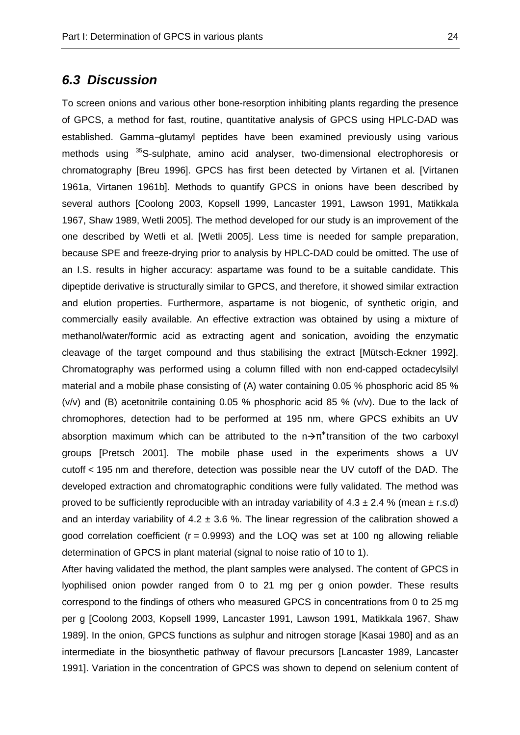#### **6.3 Discussion**

To screen onions and various other bone-resorption inhibiting plants regarding the presence of GPCS, a method for fast, routine, quantitative analysis of GPCS using HPLC-DAD was established. Gamma−glutamyl peptides have been examined previously using various methods using <sup>35</sup>S-sulphate, amino acid analyser, two-dimensional electrophoresis or chromatography [Breu 1996]. GPCS has first been detected by Virtanen et al. [Virtanen 1961a, Virtanen 1961b]. Methods to quantify GPCS in onions have been described by several authors [Coolong 2003, Kopsell 1999, Lancaster 1991, Lawson 1991, Matikkala 1967, Shaw 1989, Wetli 2005]. The method developed for our study is an improvement of the one described by Wetli et al. [Wetli 2005]. Less time is needed for sample preparation, because SPE and freeze-drying prior to analysis by HPLC-DAD could be omitted. The use of an I.S. results in higher accuracy: aspartame was found to be a suitable candidate. This dipeptide derivative is structurally similar to GPCS, and therefore, it showed similar extraction and elution properties. Furthermore, aspartame is not biogenic, of synthetic origin, and commercially easily available. An effective extraction was obtained by using a mixture of methanol/water/formic acid as extracting agent and sonication, avoiding the enzymatic cleavage of the target compound and thus stabilising the extract [Mütsch-Eckner 1992]. Chromatography was performed using a column filled with non end-capped octadecylsilyl material and a mobile phase consisting of (A) water containing 0.05 % phosphoric acid 85 % (v/v) and (B) acetonitrile containing 0.05 % phosphoric acid 85 % (v/v). Due to the lack of chromophores, detection had to be performed at 195 nm, where GPCS exhibits an UV absorption maximum which can be attributed to the  $n\rightarrow\pi^*$  transition of the two carboxyl groups [Pretsch 2001]. The mobile phase used in the experiments shows a UV cutoff < 195 nm and therefore, detection was possible near the UV cutoff of the DAD. The developed extraction and chromatographic conditions were fully validated. The method was proved to be sufficiently reproducible with an intraday variability of  $4.3 \pm 2.4$  % (mean  $\pm$  r.s.d) and an interday variability of 4.2  $\pm$  3.6 %. The linear regression of the calibration showed a good correlation coefficient ( $r = 0.9993$ ) and the LOQ was set at 100 ng allowing reliable determination of GPCS in plant material (signal to noise ratio of 10 to 1).

After having validated the method, the plant samples were analysed. The content of GPCS in lyophilised onion powder ranged from 0 to 21 mg per g onion powder. These results correspond to the findings of others who measured GPCS in concentrations from 0 to 25 mg per g [Coolong 2003, Kopsell 1999, Lancaster 1991, Lawson 1991, Matikkala 1967, Shaw 1989]. In the onion, GPCS functions as sulphur and nitrogen storage [Kasai 1980] and as an intermediate in the biosynthetic pathway of flavour precursors [Lancaster 1989, Lancaster 1991]. Variation in the concentration of GPCS was shown to depend on selenium content of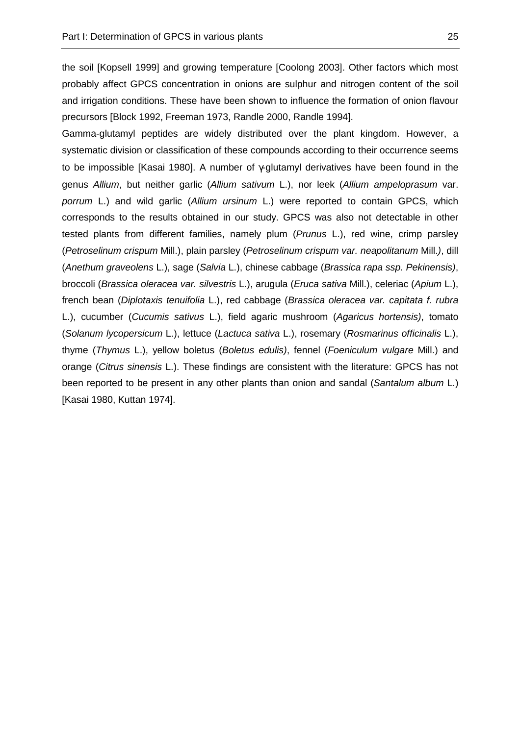the soil [Kopsell 1999] and growing temperature [Coolong 2003]. Other factors which most probably affect GPCS concentration in onions are sulphur and nitrogen content of the soil and irrigation conditions. These have been shown to influence the formation of onion flavour precursors [Block 1992, Freeman 1973, Randle 2000, Randle 1994].

Gamma-glutamyl peptides are widely distributed over the plant kingdom. However, a systematic division or classification of these compounds according to their occurrence seems to be impossible [Kasai 1980]. A number of γ-glutamyl derivatives have been found in the genus Allium, but neither garlic (Allium sativum L.), nor leek (Allium ampeloprasum var. porrum L.) and wild garlic (Allium ursinum L.) were reported to contain GPCS, which corresponds to the results obtained in our study. GPCS was also not detectable in other tested plants from different families, namely plum (Prunus L.), red wine, crimp parsley (Petroselinum crispum Mill.), plain parsley (Petroselinum crispum var. neapolitanum Mill.), dill (Anethum graveolens L.), sage (Salvia L.), chinese cabbage (Brassica rapa ssp. Pekinensis), broccoli (Brassica oleracea var. silvestris L.), arugula (Eruca sativa Mill.), celeriac (Apium L.), french bean (Diplotaxis tenuifolia L.), red cabbage (Brassica oleracea var. capitata f. rubra L.), cucumber (Cucumis sativus L.), field agaric mushroom (Agaricus hortensis), tomato (Solanum lycopersicum L.), lettuce (Lactuca sativa L.), rosemary (Rosmarinus officinalis L.), thyme (Thymus L.), yellow boletus (Boletus edulis), fennel (Foeniculum vulgare Mill.) and orange (Citrus sinensis L.). These findings are consistent with the literature: GPCS has not been reported to be present in any other plants than onion and sandal (Santalum album L.) [Kasai 1980, Kuttan 1974].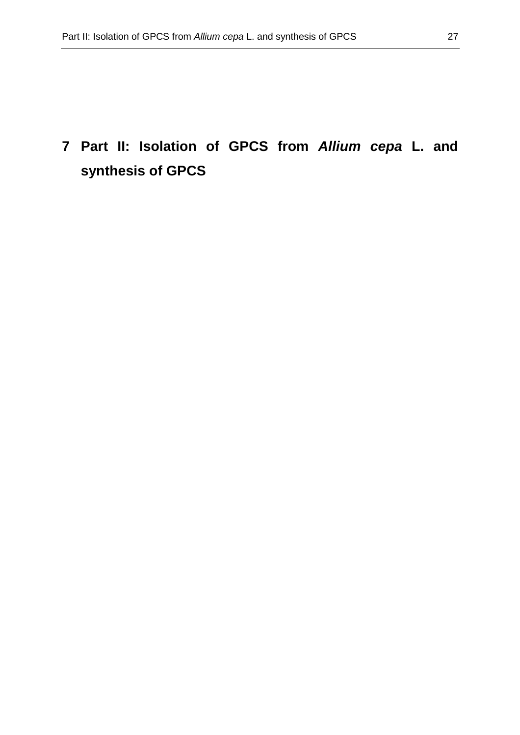# **7 Part II: Isolation of GPCS from Allium cepa L. and synthesis of GPCS**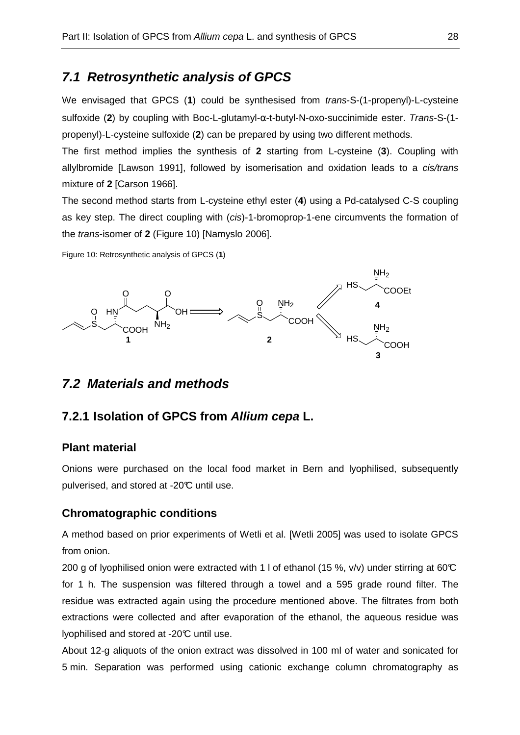# **7.1 Retrosynthetic analysis of GPCS**

We envisaged that GPCS (1) could be synthesised from *trans-S-(1-propenyl)-L-cysteine* sulfoxide (**2**) by coupling with Boc-L-glutamyl-α-t-butyl-N-oxo-succinimide ester. Trans-S-(1 propenyl)-L-cysteine sulfoxide (**2**) can be prepared by using two different methods.

The first method implies the synthesis of **2** starting from L-cysteine (**3**). Coupling with allylbromide [Lawson 1991], followed by isomerisation and oxidation leads to a cis/trans mixture of **2** [Carson 1966].

The second method starts from L-cysteine ethyl ester (**4**) using a Pd-catalysed C-S coupling as key step. The direct coupling with (cis)-1-bromoprop-1-ene circumvents the formation of the trans-isomer of **2** (Figure 10) [Namyslo 2006].

Figure 10: Retrosynthetic analysis of GPCS (**1**)



## **7.2 Materials and methods**

## **7.2.1 Isolation of GPCS from Allium cepa L.**

#### **Plant material**

Onions were purchased on the local food market in Bern and lyophilised, subsequently pulverised, and stored at -20°C until use.

#### **Chromatographic conditions**

A method based on prior experiments of Wetli et al. [Wetli 2005] was used to isolate GPCS from onion.

200 g of lyophilised onion were extracted with 1 l of ethanol (15 %, v/v) under stirring at 60°C for 1 h. The suspension was filtered through a towel and a 595 grade round filter. The residue was extracted again using the procedure mentioned above. The filtrates from both extractions were collected and after evaporation of the ethanol, the aqueous residue was lyophilised and stored at -20°C until use.

About 12-g aliquots of the onion extract was dissolved in 100 ml of water and sonicated for 5 min. Separation was performed using cationic exchange column chromatography as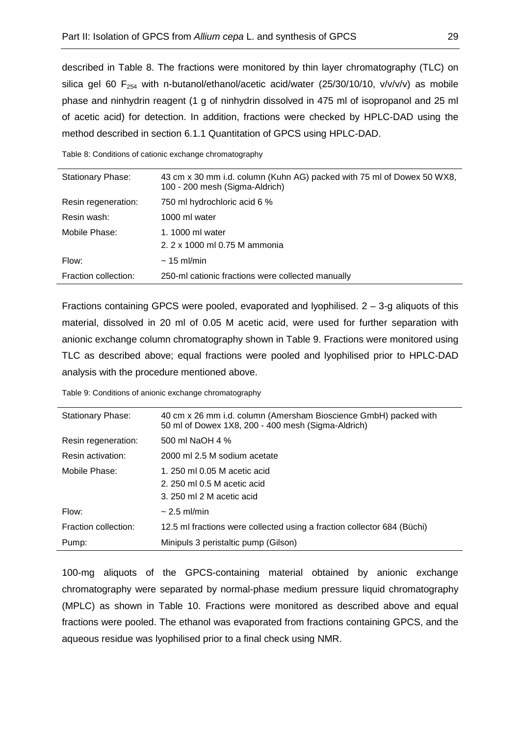described in Table 8. The fractions were monitored by thin layer chromatography (TLC) on silica gel 60  $F_{254}$  with n-butanol/ethanol/acetic acid/water (25/30/10/10, v/v/v/v) as mobile phase and ninhydrin reagent (1 g of ninhydrin dissolved in 475 ml of isopropanol and 25 ml of acetic acid) for detection. In addition, fractions were checked by HPLC-DAD using the method described in section 6.1.1 Quantitation of GPCS using HPLC-DAD.

Table 8: Conditions of cationic exchange chromatography

| Stationary Phase:    | 43 cm x 30 mm i.d. column (Kuhn AG) packed with 75 ml of Dowex 50 WX8,<br>100 - 200 mesh (Sigma-Aldrich) |
|----------------------|----------------------------------------------------------------------------------------------------------|
| Resin regeneration:  | 750 ml hydrochloric acid 6 %                                                                             |
| Resin wash:          | 1000 ml water                                                                                            |
| Mobile Phase:        | 1.1000 ml water                                                                                          |
|                      | 2. 2 x 1000 ml 0.75 M ammonia                                                                            |
| Flow:                | $\sim$ 15 ml/min                                                                                         |
| Fraction collection: | 250-ml cationic fractions were collected manually                                                        |

Fractions containing GPCS were pooled, evaporated and lyophilised.  $2 - 3$ -g aliquots of this material, dissolved in 20 ml of 0.05 M acetic acid, were used for further separation with anionic exchange column chromatography shown in Table 9. Fractions were monitored using TLC as described above; equal fractions were pooled and lyophilised prior to HPLC-DAD analysis with the procedure mentioned above.

Table 9: Conditions of anionic exchange chromatography

| <b>Stationary Phase:</b> | 40 cm x 26 mm i.d. column (Amersham Bioscience GmbH) packed with<br>50 ml of Dowex 1X8, 200 - 400 mesh (Sigma-Aldrich) |  |
|--------------------------|------------------------------------------------------------------------------------------------------------------------|--|
| Resin regeneration:      | 500 ml NaOH 4 %                                                                                                        |  |
| Resin activation:        | 2000 ml 2.5 M sodium acetate                                                                                           |  |
| Mobile Phase:            | 1. 250 ml 0.05 M acetic acid                                                                                           |  |
|                          | 2. 250 ml 0.5 M acetic acid                                                                                            |  |
|                          | 3. 250 ml 2 M acetic acid                                                                                              |  |
| Flow:                    | $\sim$ 2.5 ml/min                                                                                                      |  |
| Fraction collection:     | 12.5 ml fractions were collected using a fraction collector 684 (Büchi)                                                |  |
| Pump:                    | Minipuls 3 peristaltic pump (Gilson)                                                                                   |  |

100-mg aliquots of the GPCS-containing material obtained by anionic exchange chromatography were separated by normal-phase medium pressure liquid chromatography (MPLC) as shown in Table 10. Fractions were monitored as described above and equal fractions were pooled. The ethanol was evaporated from fractions containing GPCS, and the aqueous residue was lyophilised prior to a final check using NMR.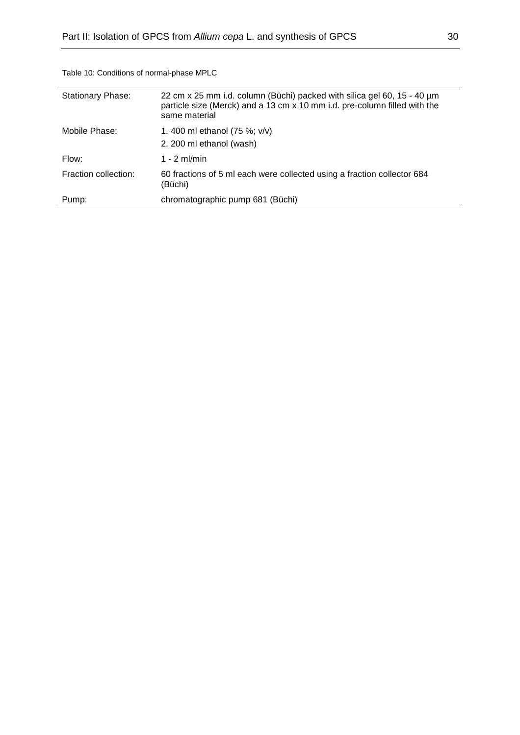| <b>Stationary Phase:</b> | 22 cm x 25 mm i.d. column (Büchi) packed with silica gel 60, 15 - 40 um<br>particle size (Merck) and a 13 cm x 10 mm i.d. pre-column filled with the<br>same material |
|--------------------------|-----------------------------------------------------------------------------------------------------------------------------------------------------------------------|
| Mobile Phase:            | 1.400 ml ethanol (75 %; v/v)<br>2. 200 ml ethanol (wash)                                                                                                              |
| Flow:                    | 1 - 2 ml/min                                                                                                                                                          |
| Fraction collection:     | 60 fractions of 5 ml each were collected using a fraction collector 684<br>(Büchi)                                                                                    |
| Pump:                    | chromatographic pump 681 (Büchi)                                                                                                                                      |

Table 10: Conditions of normal-phase MPLC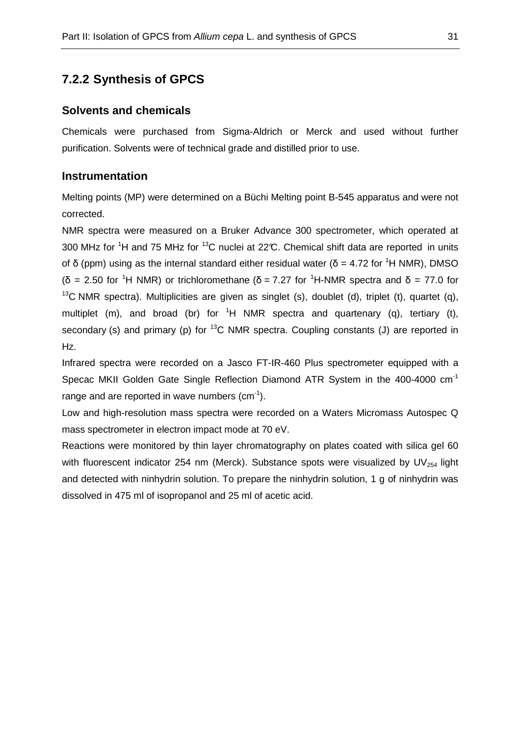# **7.2.2 Synthesis of GPCS**

#### **Solvents and chemicals**

Chemicals were purchased from Sigma-Aldrich or Merck and used without further purification. Solvents were of technical grade and distilled prior to use.

### **Instrumentation**

Melting points (MP) were determined on a Büchi Melting point B-545 apparatus and were not corrected.

NMR spectra were measured on a Bruker Advance 300 spectrometer, which operated at 300 MHz for <sup>1</sup>H and 75 MHz for <sup>13</sup>C nuclei at 22°C. Chemical shift data are reported in units of δ (ppm) using as the internal standard either residual water ( $\delta$  = 4.72 for <sup>1</sup>H NMR), DMSO ( $\delta$  = 2.50 for <sup>1</sup>H NMR) or trichloromethane ( $\delta$  = 7.27 for <sup>1</sup>H-NMR spectra and  $\delta$  = 77.0 for <sup>13</sup>C NMR spectra). Multiplicities are given as singlet (s), doublet (d), triplet (t), quartet (g), multiplet (m), and broad (br) for  ${}^{1}H$  NMR spectra and quartenary (q), tertiary (t), secondary (s) and primary (p) for  ${}^{13}C$  NMR spectra. Coupling constants (J) are reported in Hz.

Infrared spectra were recorded on a Jasco FT-IR-460 Plus spectrometer equipped with a Specac MKII Golden Gate Single Reflection Diamond ATR System in the 400-4000 cm-1 range and are reported in wave numbers  $(cm<sup>-1</sup>)$ .

Low and high-resolution mass spectra were recorded on a Waters Micromass Autospec Q mass spectrometer in electron impact mode at 70 eV.

Reactions were monitored by thin layer chromatography on plates coated with silica gel 60 with fluorescent indicator 254 nm (Merck). Substance spots were visualized by UV $_{254}$  light and detected with ninhydrin solution. To prepare the ninhydrin solution, 1 g of ninhydrin was dissolved in 475 ml of isopropanol and 25 ml of acetic acid.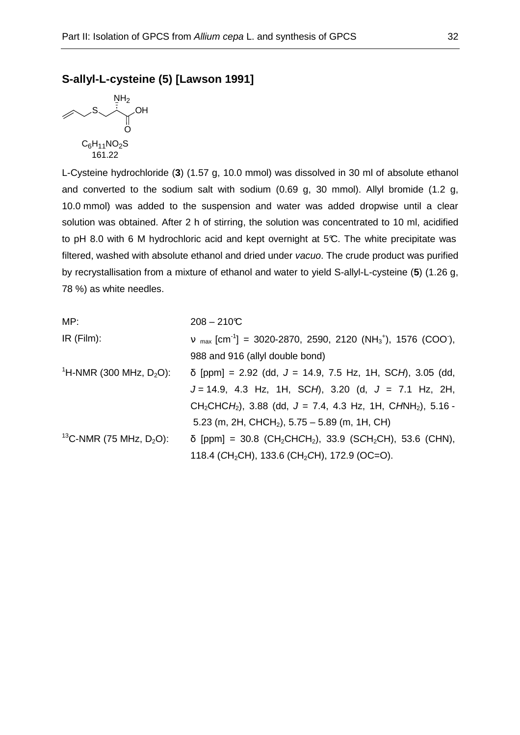### **S-allyl-L-cysteine (5) [Lawson 1991]**



L-Cysteine hydrochloride (**3**) (1.57 g, 10.0 mmol) was dissolved in 30 ml of absolute ethanol and converted to the sodium salt with sodium (0.69 g, 30 mmol). Allyl bromide (1.2 g, 10.0 mmol) was added to the suspension and water was added dropwise until a clear solution was obtained. After 2 h of stirring, the solution was concentrated to 10 ml, acidified to pH 8.0 with 6 M hydrochloric acid and kept overnight at 5°C. The white precipitate was filtered, washed with absolute ethanol and dried under vacuo. The crude product was purified by recrystallisation from a mixture of ethanol and water to yield S-allyl-L-cysteine (**5**) (1.26 g, 78 %) as white needles.

| MP:                                             | $208 - 210C$                                                                                                     |
|-------------------------------------------------|------------------------------------------------------------------------------------------------------------------|
| $IR$ (Film):                                    | $v_{max}$ [cm <sup>-1</sup> ] = 3020-2870, 2590, 2120 (NH <sub>3</sub> <sup>+</sup> ), 1576 (COO <sup>-</sup> ), |
|                                                 | 988 and 916 (allyl double bond)                                                                                  |
| <sup>1</sup> H-NMR (300 MHz, $D_2O$ ):          | $\delta$ [ppm] = 2.92 (dd, J = 14.9, 7.5 Hz, 1H, SCH), 3.05 (dd,                                                 |
|                                                 | $J = 14.9$ , 4.3 Hz, 1H, SCH), 3.20 (d, $J = 7.1$ Hz, 2H,                                                        |
|                                                 | $CH_2CHCH_2$ ), 3.88 (dd, J = 7.4, 4.3 Hz, 1H, CHNH <sub>2</sub> ), 5.16 -                                       |
|                                                 | 5.23 (m, 2H, CHCH <sub>2</sub> ), 5.75 – 5.89 (m, 1H, CH)                                                        |
| <sup>13</sup> C-NMR (75 MHz, D <sub>2</sub> O): | $\delta$ [ppm] = 30.8 (CH <sub>2</sub> CHCH <sub>2</sub> ), 33.9 (SCH <sub>2</sub> CH), 53.6 (CHN),              |
|                                                 | 118.4 (CH <sub>2</sub> CH), 133.6 (CH <sub>2</sub> CH), 172.9 (OC=O).                                            |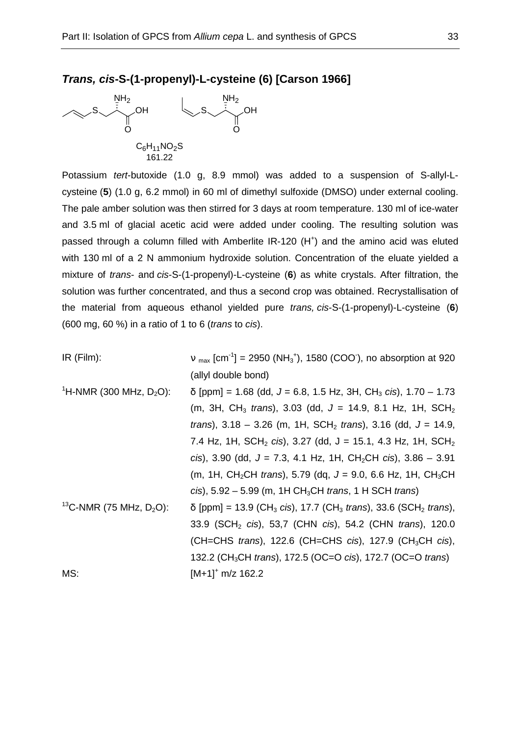## **Trans, cis-S-(1-propenyl)-L-cysteine (6) [Carson 1966]**



Potassium tert-butoxide (1.0 g, 8.9 mmol) was added to a suspension of S-allyl-Lcysteine (**5**) (1.0 g, 6.2 mmol) in 60 ml of dimethyl sulfoxide (DMSO) under external cooling. The pale amber solution was then stirred for 3 days at room temperature. 130 ml of ice-water and 3.5 ml of glacial acetic acid were added under cooling. The resulting solution was passed through a column filled with Amberlite IR-120 (H<sup>+</sup>) and the amino acid was eluted with 130 ml of a 2 N ammonium hydroxide solution. Concentration of the eluate yielded a mixture of trans- and cis-S-(1-propenyl)-L-cysteine (**6**) as white crystals. After filtration, the solution was further concentrated, and thus a second crop was obtained. Recrystallisation of the material from aqueous ethanol yielded pure trans, cis-S-(1-propenyl)-L-cysteine (**6**) (600 mg, 60 %) in a ratio of 1 to 6 (trans to cis).

| $IR$ (Film):                           | $v_{max}$ [cm <sup>-1</sup> ] = 2950 (NH <sub>3</sub> <sup>+</sup> ), 1580 (COO <sup>-</sup> ), no absorption at 920 |
|----------------------------------------|----------------------------------------------------------------------------------------------------------------------|
|                                        | (allyl double bond)                                                                                                  |
| <sup>1</sup> H-NMR (300 MHz, $D_2O$ ): | $\delta$ [ppm] = 1.68 (dd, J = 6.8, 1.5 Hz, 3H, CH <sub>3</sub> cis), 1.70 – 1.73                                    |
|                                        | (m, 3H, CH <sub>3</sub> trans), 3.03 (dd, $J = 14.9$ , 8.1 Hz, 1H, SCH <sub>2</sub>                                  |
|                                        | <i>trans</i> ), $3.18 - 3.26$ (m, $1H$ , $SCH_2$ <i>trans</i> ), $3.16$ (dd, $J = 14.9$ ,                            |
|                                        | 7.4 Hz, 1H, SCH <sub>2</sub> cis), 3.27 (dd, J = 15.1, 4.3 Hz, 1H, SCH <sub>2</sub>                                  |
|                                        | cis), 3.90 (dd, $J = 7.3$ , 4.1 Hz, 1H, CH <sub>2</sub> CH cis), 3.86 - 3.91                                         |
|                                        | (m, 1H, CH <sub>2</sub> CH <i>trans</i> ), 5.79 (dq, $J = 9.0$ , 6.6 Hz, 1H, CH <sub>3</sub> CH                      |
|                                        | cis), $5.92 - 5.99$ (m, $1H CH_3CH$ trans, $1H SCH$ trans)                                                           |
| <sup>13</sup> C-NMR (75 MHz, $D_2O$ ): | $\delta$ [ppm] = 13.9 (CH <sub>3</sub> cis), 17.7 (CH <sub>3</sub> trans), 33.6 (SCH <sub>2</sub> trans),            |
|                                        | 33.9 (SCH <sub>2</sub> cis), 53,7 (CHN cis), 54.2 (CHN trans), 120.0                                                 |
|                                        | (CH=CHS trans), 122.6 (CH=CHS cis), 127.9 (CH <sub>3</sub> CH cis),                                                  |
|                                        | 132.2 (CH <sub>3</sub> CH trans), 172.5 (OC=O cis), 172.7 (OC=O trans)                                               |
| MS:                                    | $[M+1]$ <sup>+</sup> m/z 162.2                                                                                       |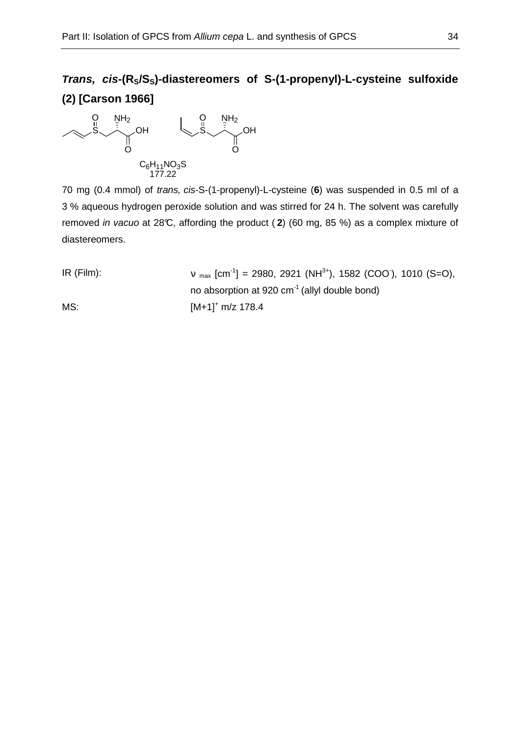# **Trans, cis-(RS/SS)-diastereomers of S-(1-propenyl)-L-cysteine sulfoxide (2) [Carson 1966]**



70 mg (0.4 mmol) of trans, cis-S-(1-propenyl)-L-cysteine (**6**) was suspended in 0.5 ml of a 3 % aqueous hydrogen peroxide solution and was stirred for 24 h. The solvent was carefully removed in vacuo at 28°C, affording the product ( **2**) (60 mg, 85 %) as a complex mixture of diastereomers.

| $IR$ (Film): | $v_{max}$ [cm <sup>-1</sup> ] = 2980, 2921 (NH <sup>3+</sup> ), 1582 (COO), 1010 (S=O), |
|--------------|-----------------------------------------------------------------------------------------|
|              | no absorption at 920 cm <sup>-1</sup> (allyl double bond)                               |
| MS:          | $[M+1]^+$ m/z 178.4                                                                     |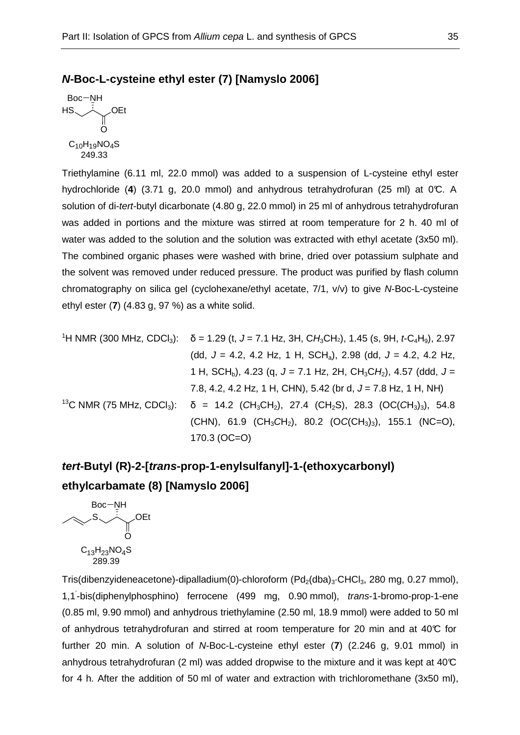### **N-Boc-L-cysteine ethyl ester (7) [Namyslo 2006]**

```
HS
Boc-NH
           OEt
         O
C_{10}H_{19}NO_4S249.33
```
Triethylamine (6.11 ml, 22.0 mmol) was added to a suspension of L-cysteine ethyl ester hydrochloride (**4**) (3.71 g, 20.0 mmol) and anhydrous tetrahydrofuran (25 ml) at 0°C. A solution of di-tert-butyl dicarbonate (4.80 g, 22.0 mmol) in 25 ml of anhydrous tetrahydrofuran was added in portions and the mixture was stirred at room temperature for 2 h. 40 ml of water was added to the solution and the solution was extracted with ethyl acetate (3x50 ml). The combined organic phases were washed with brine, dried over potassium sulphate and the solvent was removed under reduced pressure. The product was purified by flash column chromatography on silica gel (cyclohexane/ethyl acetate, 7/1, v/v) to give N-Boc-L-cysteine ethyl ester (**7**) (4.83 g, 97 %) as a white solid.

| <sup>1</sup> H NMR (300 MHz, CDCl <sub>3</sub> ): $\delta$ = 1.29 (t, J = 7.1 Hz, 3H, CH <sub>3</sub> CH <sub>2</sub> ), 1.45 (s, 9H, t-C <sub>4</sub> H <sub>9</sub> ), 2.97   |
|---------------------------------------------------------------------------------------------------------------------------------------------------------------------------------|
| (dd, $J = 4.2$ , 4.2 Hz, 1 H, SCH <sub>a</sub> ), 2.98 (dd, $J = 4.2$ , 4.2 Hz,                                                                                                 |
| 1 H, SCH <sub>b</sub> ), 4.23 (q, J = 7.1 Hz, 2H, CH <sub>3</sub> CH <sub>2</sub> ), 4.57 (ddd, J =                                                                             |
| 7.8, 4.2, 4.2 Hz, 1 H, CHN), 5.42 (br d, $J = 7.8$ Hz, 1 H, NH)                                                                                                                 |
| <sup>13</sup> C NMR (75 MHz, CDCl <sub>3</sub> ): $\delta$ = 14.2 (CH <sub>3</sub> CH <sub>2</sub> ), 27.4 (CH <sub>2</sub> S), 28.3 (OC(CH <sub>3</sub> ) <sub>3</sub> ), 54.8 |
| (CHN), 61.9 (CH <sub>3</sub> CH <sub>2</sub> ), 80.2 (OC(CH <sub>3</sub> ) <sub>3</sub> ), 155.1 (NC=O),                                                                        |
| $170.3 (OC=O)$                                                                                                                                                                  |

# **tert-Butyl (R)-2-[trans-prop-1-enylsulfanyl]-1-(ethoxycarbonyl) ethylcarbamate (8) [Namyslo 2006]**

S Boc-NH OEt O  $C_{13}H_{23}NO_4S$ 289.39

Tris(dibenzyideneacetone)-dipalladium(0)-chloroform  $(Pd_2(dba)_3$ ·CHCl<sub>3</sub>, 280 mg, 0.27 mmol), 1,1-bis(diphenylphosphino) ferrocene (499 mg, 0.90 mmol), trans-1-bromo-prop-1-ene (0.85 ml, 9.90 mmol) and anhydrous triethylamine (2.50 ml, 18.9 mmol) were added to 50 ml of anhydrous tetrahydrofuran and stirred at room temperature for 20 min and at  $40\degree$ C for further 20 min. A solution of N-Boc-L-cysteine ethyl ester (**7**) (2.246 g, 9.01 mmol) in anhydrous tetrahydrofuran (2 ml) was added dropwise to the mixture and it was kept at 40 $\mathbb C$ for 4 h. After the addition of 50 ml of water and extraction with trichloromethane (3x50 ml),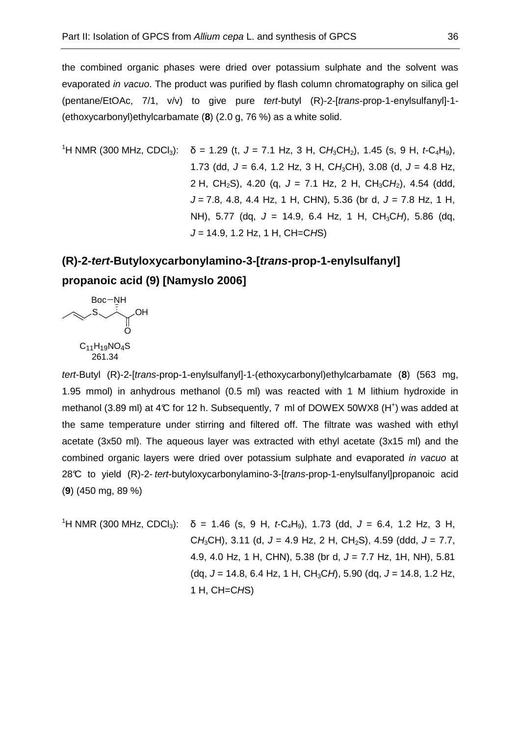the combined organic phases were dried over potassium sulphate and the solvent was evaporated *in vacuo*. The product was purified by flash column chromatography on silica gel (pentane/EtOAc, 7/1, v/v) to give pure tert-butyl (R)-2-[trans-prop-1-enylsulfanyl]-1- (ethoxycarbonyl)ethylcarbamate (**8**) (2.0 g, 76 %) as a white solid.

<sup>1</sup>H NMR (300 MHz, CDCl<sub>3</sub>): 
$$
\delta = 1.29
$$
 (t,  $J = 7.1$  Hz, 3 H,  $CH_3CH_2$ ), 1.45 (s, 9 H,  $t \text{-} C_4H_9$ ),  
\n1.73 (dd,  $J = 6.4$ , 1.2 Hz, 3 H,  $CH_3CH$ ), 3.08 (d,  $J = 4.8$  Hz,  
\n2 H,  $CH_2S$ ), 4.20 (q,  $J = 7.1$  Hz, 2 H,  $CH_3CH_2$ ), 4.54 (ddd,  
\n $J = 7.8$ , 4.8, 4.4 Hz, 1 H, CHN), 5.36 (br d,  $J = 7.8$  Hz, 1 H,  
\nNH), 5.77 (dq,  $J = 14.9$ , 6.4 Hz, 1 H,  $CH_3CH$ ), 5.86 (dq,  
\n $J = 14.9$ , 1.2 Hz, 1 H,  $CH = CHS$ )

# **(R)-2-tert-Butyloxycarbonylamino-3-[trans-prop-1-enylsulfanyl] propanoic acid (9) [Namyslo 2006]**



tert-Butyl (R)-2-[trans-prop-1-enylsulfanyl]-1-(ethoxycarbonyl)ethylcarbamate (**8**) (563 mg, 1.95 mmol) in anhydrous methanol (0.5 ml) was reacted with 1 M lithium hydroxide in methanol (3.89 ml) at 4°C for 12 h. Subsequently, 7 ml of DOWEX 50WX8 (H<sup>+</sup>) was added at the same temperature under stirring and filtered off. The filtrate was washed with ethyl acetate (3x50 ml). The aqueous layer was extracted with ethyl acetate (3x15 ml) and the combined organic layers were dried over potassium sulphate and evaporated in vacuo at 28°C to yield (R)-2- tert-butyloxycarbonylamino-3-[trans-prop-1-enylsulfanyl]propanoic acid (**9**) (450 mg, 89 %)

<sup>1</sup>H NMR (300 MHz, CDCl<sub>3</sub>): δ = 1.46 (s, 9 H, *t*-C<sub>4</sub>H<sub>9</sub>), 1.73 (dd, J = 6.4, 1.2 Hz, 3 H, CH<sub>3</sub>CH), 3.11 (d,  $J = 4.9$  Hz, 2 H, CH<sub>2</sub>S), 4.59 (ddd,  $J = 7.7$ , 4.9, 4.0 Hz, 1 H, CHN), 5.38 (br d,  $J = 7.7$  Hz, 1H, NH), 5.81  $(dq, J = 14.8, 6.4 \text{ Hz}, 1 \text{ H}, \text{CH}_3\text{CH}, 5.90 \text{ (dq}, J = 14.8, 1.2 \text{ Hz},$ 1 H, CH=CHS)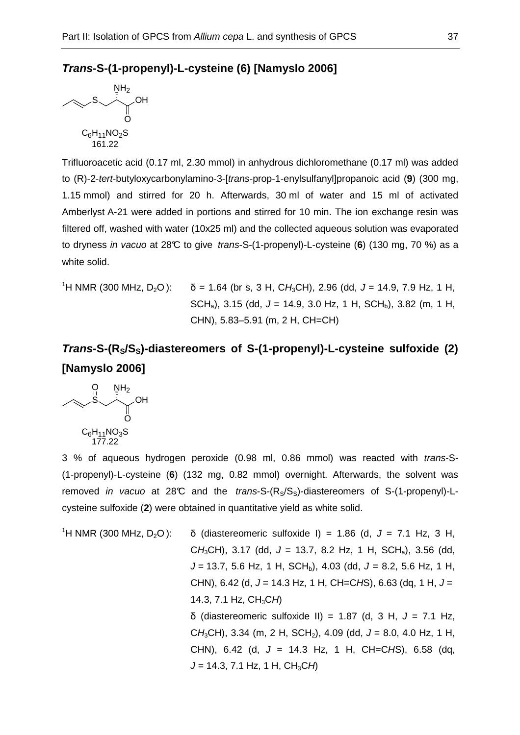### **Trans-S-(1-propenyl)-L-cysteine (6) [Namyslo 2006]**



Trifluoroacetic acid (0.17 ml, 2.30 mmol) in anhydrous dichloromethane (0.17 ml) was added to (R)-2-tert-butyloxycarbonylamino-3-[trans-prop-1-enylsulfanyl]propanoic acid (**9**) (300 mg, 1.15 mmol) and stirred for 20 h. Afterwards, 30 ml of water and 15 ml of activated Amberlyst A-21 were added in portions and stirred for 10 min. The ion exchange resin was filtered off, washed with water (10x25 ml) and the collected aqueous solution was evaporated to dryness in vacuo at 28°C to give trans-S-(1-propenyl)-L-cysteine (**6**) (130 mg, 70 %) as a white solid.

<sup>1</sup>H NMR (300 MHz, D<sub>2</sub>O): 
$$
\delta = 1.64
$$
 (br s, 3 H, CH<sub>3</sub>CH), 2.96 (dd, J = 14.9, 7.9 Hz, 1 H,  
SCH<sub>a</sub>), 3.15 (dd, J = 14.9, 3.0 Hz, 1 H, SCH<sub>b</sub>), 3.82 (m, 1 H,  
CHN), 5.83–5.91 (m, 2 H, CH=CH)

# **Trans-S-(RS/SS)-diastereomers of S-(1-propenyl)-L-cysteine sulfoxide (2) [Namyslo 2006]**



3 % of aqueous hydrogen peroxide (0.98 ml, 0.86 mmol) was reacted with trans-S- (1-propenyl)-L-cysteine (**6**) (132 mg, 0.82 mmol) overnight. Afterwards, the solvent was removed in vacuo at 28°C and the trans-S- $(R_S/S_S)$ -diastereomers of S-(1-propenyl)-Lcysteine sulfoxide (**2**) were obtained in quantitative yield as white solid.

<sup>1</sup>H NMR (300 MHz, D<sub>2</sub>O): δ (diastereomeric sulfoxide I) = 1.86 (d, J = 7.1 Hz, 3 H, CH<sub>3</sub>CH), 3.17 (dd,  $J = 13.7$ , 8.2 Hz, 1 H, SCH<sub>a</sub>), 3.56 (dd,  $J = 13.7, 5.6$  Hz, 1 H, SCH<sub>b</sub>), 4.03 (dd,  $J = 8.2, 5.6$  Hz, 1 H, CHN), 6.42 (d,  $J = 14.3$  Hz, 1 H, CH=CHS), 6.63 (dq, 1 H,  $J =$ 14.3, 7.1 Hz,  $CH_3CH$ ) δ (diastereomeric sulfoxide II) = 1.87 (d, 3 H, J = 7.1 Hz, CH<sub>3</sub>CH), 3.34 (m, 2 H, SCH<sub>2</sub>), 4.09 (dd, J = 8.0, 4.0 Hz, 1 H, CHN), 6.42 (d,  $J = 14.3$  Hz, 1 H, CH=CHS), 6.58 (dq,  $J = 14.3, 7.1$  Hz, 1 H, CH<sub>3</sub>CH)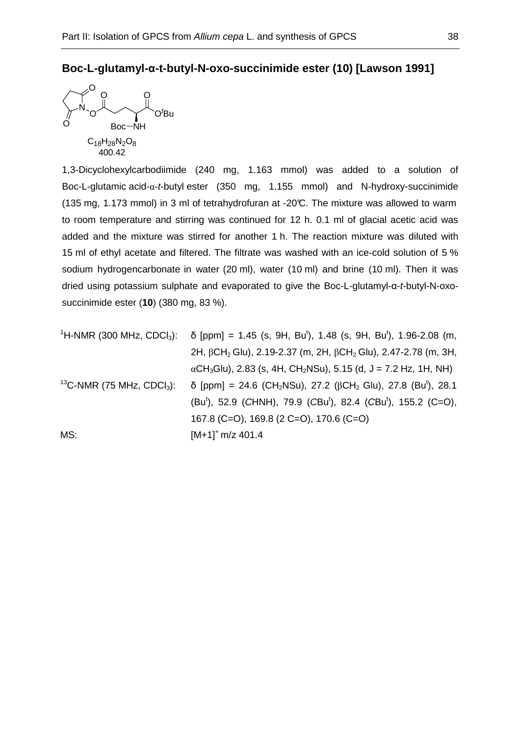## **Boc-L-glutamyl-α-t-butyl-N-oxo-succinimide ester (10) [Lawson 1991]**



1,3-Dicyclohexylcarbodiimide (240 mg, 1.163 mmol) was added to a solution of Boc-L-glutamic acid-α-t-butyl ester (350 mg, 1.155 mmol) and N-hydroxy-succinimide (135 mg, 1.173 mmol) in 3 ml of tetrahydrofuran at -20°C. The mixture was allowed to warm to room temperature and stirring was continued for 12 h. 0.1 ml of glacial acetic acid was added and the mixture was stirred for another 1 h. The reaction mixture was diluted with 15 ml of ethyl acetate and filtered. The filtrate was washed with an ice-cold solution of 5 % sodium hydrogencarbonate in water (20 ml), water (10 ml) and brine (10 ml). Then it was dried using potassium sulphate and evaporated to give the Boc-L-glutamyl-α-t-butyl-N-oxosuccinimide ester (**10**) (380 mg, 83 %).

|     | <sup>1</sup> H-NMR (300 MHz, CDCl <sub>3</sub> ): δ [ppm] = 1.45 (s, 9H, Bu <sup>t</sup> ), 1.48 (s, 9H, Bu <sup>t</sup> ), 1.96-2.08 (m,          |
|-----|----------------------------------------------------------------------------------------------------------------------------------------------------|
|     | 2H, $\beta$ CH <sub>2</sub> Glu), 2.19-2.37 (m, 2H, $\beta$ CH <sub>2</sub> Glu), 2.47-2.78 (m, 3H,                                                |
|     | $\alpha$ CH <sub>3</sub> Glu), 2.83 (s, 4H, CH <sub>2</sub> NSu), 5.15 (d, J = 7.2 Hz, 1H, NH)                                                     |
|     | <sup>13</sup> C-NMR (75 MHz, CDCl <sub>3</sub> ): δ [ppm] = 24.6 (CH <sub>2</sub> NSu), 27.2 (βCH <sub>2</sub> Glu), 27.8 (Bu <sup>t</sup> ), 28.1 |
|     | (Bu <sup>t</sup> ), 52.9 (CHNH), 79.9 (CBu <sup>t</sup> ), 82.4 (CBu <sup>t</sup> ), 155.2 (C=O),                                                  |
|     | 167.8 (C=O), 169.8 (2 C=O), 170.6 (C=O)                                                                                                            |
| MS: | $[M+1]^+$ m/z 401.4                                                                                                                                |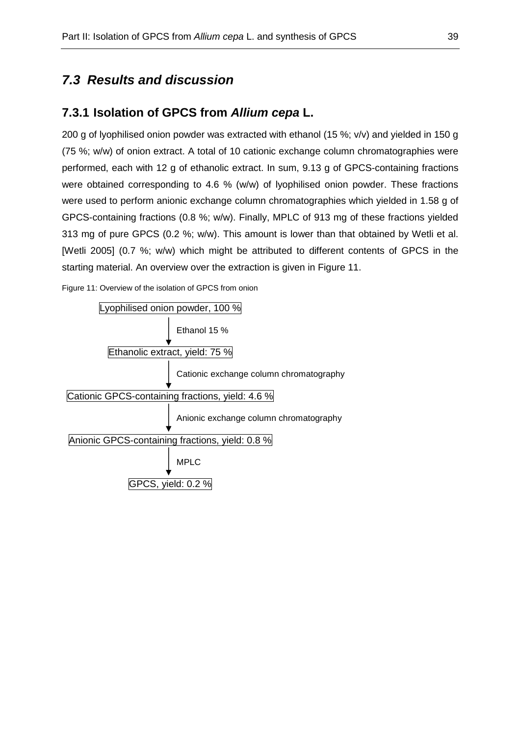# **7.3 Results and discussion**

## **7.3.1 Isolation of GPCS from Allium cepa L.**

200 g of lyophilised onion powder was extracted with ethanol (15 %; v/v) and yielded in 150 g (75 %; w/w) of onion extract. A total of 10 cationic exchange column chromatographies were performed, each with 12 g of ethanolic extract. In sum, 9.13 g of GPCS-containing fractions were obtained corresponding to 4.6 % (w/w) of lyophilised onion powder. These fractions were used to perform anionic exchange column chromatographies which yielded in 1.58 g of GPCS-containing fractions (0.8 %; w/w). Finally, MPLC of 913 mg of these fractions yielded 313 mg of pure GPCS (0.2 %; w/w). This amount is lower than that obtained by Wetli et al. [Wetli 2005] (0.7 %; w/w) which might be attributed to different contents of GPCS in the starting material. An overview over the extraction is given in Figure 11.

Figure 11: Overview of the isolation of GPCS from onion

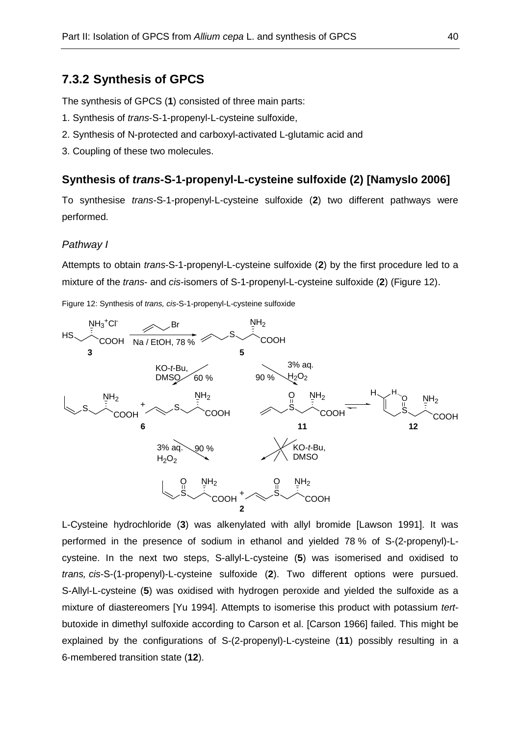## **7.3.2 Synthesis of GPCS**

The synthesis of GPCS (**1**) consisted of three main parts:

- 1. Synthesis of trans-S-1-propenyl-L-cysteine sulfoxide,
- 2. Synthesis of N-protected and carboxyl-activated L-glutamic acid and
- 3. Coupling of these two molecules.

## **Synthesis of trans-S-1-propenyl-L-cysteine sulfoxide (2) [Namyslo 2006]**

To synthesise trans-S-1-propenyl-L-cysteine sulfoxide (**2**) two different pathways were performed.

#### Pathway I

Attempts to obtain trans-S-1-propenyl-L-cysteine sulfoxide (**2**) by the first procedure led to a mixture of the trans- and cis-isomers of S-1-propenyl-L-cysteine sulfoxide (**2**) (Figure 12).

Figure 12: Synthesis of trans, cis-S-1-propenyl-L-cysteine sulfoxide



L-Cysteine hydrochloride (**3**) was alkenylated with allyl bromide [Lawson 1991]. It was performed in the presence of sodium in ethanol and yielded 78 % of S-(2-propenyl)-Lcysteine. In the next two steps, S-allyl-L-cysteine (**5**) was isomerised and oxidised to trans, cis-S-(1-propenyl)-L-cysteine sulfoxide (**2**). Two different options were pursued. S-Allyl-L-cysteine (**5**) was oxidised with hydrogen peroxide and yielded the sulfoxide as a mixture of diastereomers [Yu 1994]. Attempts to isomerise this product with potassium tertbutoxide in dimethyl sulfoxide according to Carson et al. [Carson 1966] failed. This might be explained by the configurations of S-(2-propenyl)-L-cysteine (**11**) possibly resulting in a 6-membered transition state (**12**).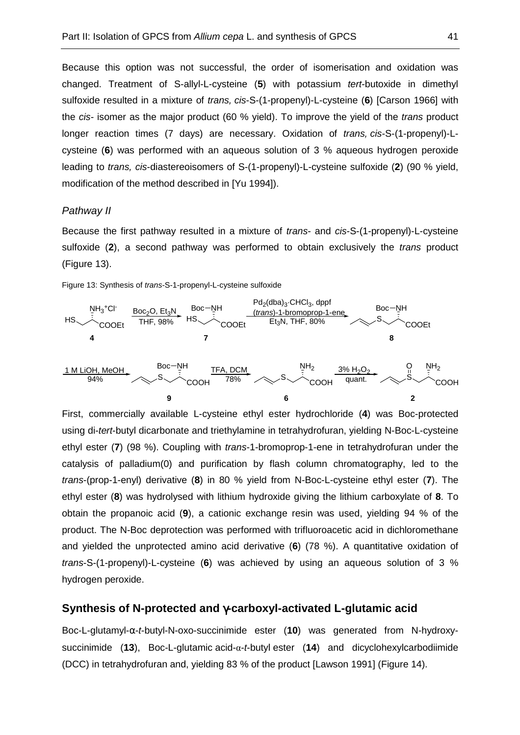Because this option was not successful, the order of isomerisation and oxidation was changed. Treatment of S-allyl-L-cysteine (**5**) with potassium tert-butoxide in dimethyl sulfoxide resulted in a mixture of trans, cis-S-(1-propenyl)-L-cysteine (**6**) [Carson 1966] with the cis- isomer as the major product (60 % yield). To improve the yield of the trans product longer reaction times (7 days) are necessary. Oxidation of *trans, cis-S-(1-propenyl)-L*cysteine (**6**) was performed with an aqueous solution of 3 % aqueous hydrogen peroxide leading to trans, cis-diastereoisomers of S-(1-propenyl)-L-cysteine sulfoxide (**2**) (90 % yield, modification of the method described in [Yu 1994]).

#### Pathway II

Because the first pathway resulted in a mixture of trans- and cis-S-(1-propenyl)-L-cysteine sulfoxide (**2**), a second pathway was performed to obtain exclusively the trans product (Figure 13).

Figure 13: Synthesis of trans-S-1-propenyl-L-cysteine sulfoxide



First, commercially available L-cysteine ethyl ester hydrochloride (**4**) was Boc-protected using di-tert-butyl dicarbonate and triethylamine in tetrahydrofuran, yielding N-Boc-L-cysteine ethyl ester (**7**) (98 %). Coupling with trans-1-bromoprop-1-ene in tetrahydrofuran under the catalysis of palladium(0) and purification by flash column chromatography, led to the trans-(prop-1-enyl) derivative (**8**) in 80 % yield from N-Boc-L-cysteine ethyl ester (**7**). The ethyl ester (**8**) was hydrolysed with lithium hydroxide giving the lithium carboxylate of **8**. To obtain the propanoic acid (**9**), a cationic exchange resin was used, yielding 94 % of the product. The N-Boc deprotection was performed with trifluoroacetic acid in dichloromethane and yielded the unprotected amino acid derivative (**6**) (78 %). A quantitative oxidation of trans-S-(1-propenyl)-L-cysteine (**6**) was achieved by using an aqueous solution of 3 % hydrogen peroxide.

#### **Synthesis of N-protected and** γ**-carboxyl-activated L-glutamic acid**

Boc-L-glutamyl-α-t-butyl-N-oxo-succinimide ester (**10**) was generated from N-hydroxysuccinimide (**13**), Boc-L-glutamic acid-α-t-butyl ester (**14**) and dicyclohexylcarbodiimide (DCC) in tetrahydrofuran and, yielding 83 % of the product [Lawson 1991] (Figure 14).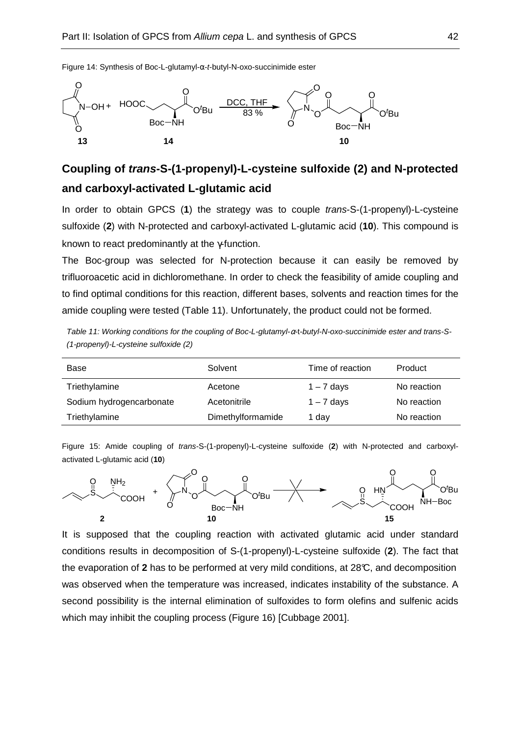

#### Figure 14: Synthesis of Boc-L-glutamyl-α-t-butyl-N-oxo-succinimide ester

# **Coupling of trans-S-(1-propenyl)-L-cysteine sulfoxide (2) and N-protected and carboxyl-activated L-glutamic acid**

In order to obtain GPCS (**1**) the strategy was to couple trans-S-(1-propenyl)-L-cysteine sulfoxide (**2**) with N-protected and carboxyl-activated L-glutamic acid (**10**). This compound is known to react predominantly at the γ-function.

The Boc-group was selected for N-protection because it can easily be removed by trifluoroacetic acid in dichloromethane. In order to check the feasibility of amide coupling and to find optimal conditions for this reaction, different bases, solvents and reaction times for the amide coupling were tested (Table 11). Unfortunately, the product could not be formed.

Table 11: Working conditions for the coupling of Boc-L-glutamyl-α-t-butyl-N-oxo-succinimide ester and trans-S- (1-propenyl)-L-cysteine sulfoxide (2)

| Base                     | Solvent           | Time of reaction | Product     |
|--------------------------|-------------------|------------------|-------------|
| Triethylamine            | Acetone           | $1 - 7$ days     | No reaction |
| Sodium hydrogencarbonate | Acetonitrile      | $1 - 7$ days     | No reaction |
| Triethylamine            | Dimethylformamide | 1 dav            | No reaction |

Figure 15: Amide coupling of trans-S-(1-propenyl)-L-cysteine sulfoxide (**2**) with N-protected and carboxylactivated L-glutamic acid (**10**)



It is supposed that the coupling reaction with activated glutamic acid under standard conditions results in decomposition of S-(1-propenyl)-L-cysteine sulfoxide (**2**). The fact that the evaporation of **2** has to be performed at very mild conditions, at 28°C, and decomposition was observed when the temperature was increased, indicates instability of the substance. A second possibility is the internal elimination of sulfoxides to form olefins and sulfenic acids which may inhibit the coupling process (Figure 16) [Cubbage 2001].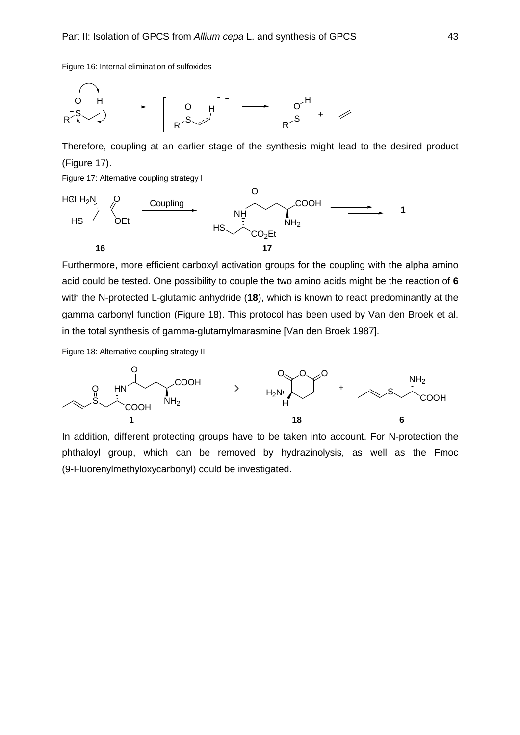Figure 16: Internal elimination of sulfoxides



Therefore, coupling at an earlier stage of the synthesis might lead to the desired product (Figure 17).

Figure 17: Alternative coupling strategy I



Furthermore, more efficient carboxyl activation groups for the coupling with the alpha amino acid could be tested. One possibility to couple the two amino acids might be the reaction of **6** with the N-protected L-glutamic anhydride (**18**), which is known to react predominantly at the gamma carbonyl function (Figure 18). This protocol has been used by Van den Broek et al. in the total synthesis of gamma-glutamylmarasmine [Van den Broek 1987].

Figure 18: Alternative coupling strategy II



In addition, different protecting groups have to be taken into account. For N-protection the phthaloyl group, which can be removed by hydrazinolysis, as well as the Fmoc (9-Fluorenylmethyloxycarbonyl) could be investigated.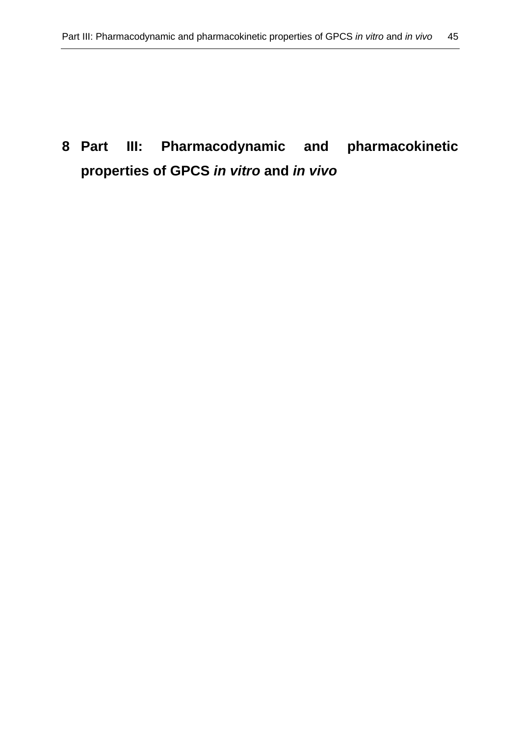# **8 Part III: Pharmacodynamic and pharmacokinetic properties of GPCS in vitro and in vivo**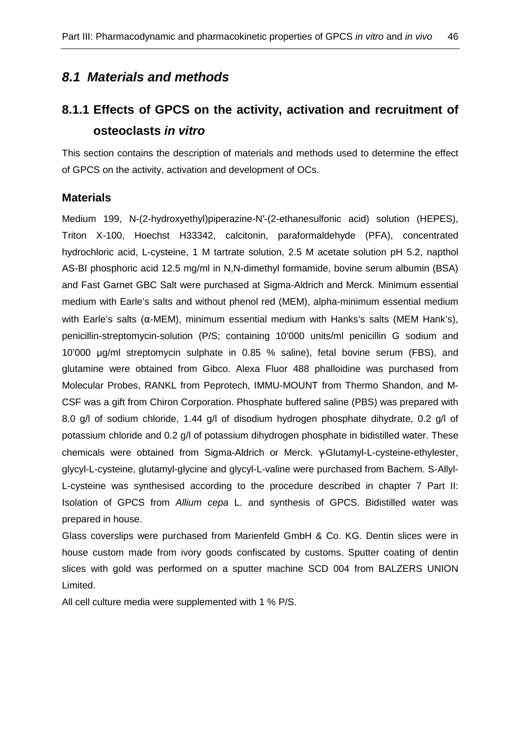# **8.1 Materials and methods**

# **8.1.1 Effects of GPCS on the activity, activation and recruitment of osteoclasts in vitro**

This section contains the description of materials and methods used to determine the effect of GPCS on the activity, activation and development of OCs.

## **Materials**

Medium 199, N-(2-hydroxyethyl)piperazine-N′-(2-ethanesulfonic acid) solution (HEPES), Triton X-100, Hoechst H33342, calcitonin, paraformaldehyde (PFA), concentrated hydrochloric acid, L-cysteine, 1 M tartrate solution, 2.5 M acetate solution pH 5.2, napthol AS-BI phosphoric acid 12.5 mg/ml in N,N-dimethyl formamide, bovine serum albumin (BSA) and Fast Garnet GBC Salt were purchased at Sigma-Aldrich and Merck. Minimum essential medium with Earle's salts and without phenol red (MEM), alpha-minimum essential medium with Earle's salts ( $\alpha$ -MEM), minimum essential medium with Hanks's salts (MEM Hank's), penicillin-streptomycin-solution (P/S; containing 10'000 units/ml penicillin G sodium and 10'000 µg/ml streptomycin sulphate in 0.85 % saline), fetal bovine serum (FBS), and glutamine were obtained from Gibco. Alexa Fluor 488 phalloidine was purchased from Molecular Probes, RANKL from Peprotech, IMMU-MOUNT from Thermo Shandon, and M-CSF was a gift from Chiron Corporation. Phosphate buffered saline (PBS) was prepared with 8.0 g/l of sodium chloride, 1.44 g/l of disodium hydrogen phosphate dihydrate, 0.2 g/l of potassium chloride and 0.2 g/l of potassium dihydrogen phosphate in bidistilled water. These chemicals were obtained from Sigma-Aldrich or Merck. γ-Glutamyl-L-cysteine-ethylester, glycyl-L-cysteine, glutamyl-glycine and glycyl-L-valine were purchased from Bachem. S-Allyl-L-cysteine was synthesised according to the procedure described in chapter 7 Part II: Isolation of GPCS from Allium cepa L. and synthesis of GPCS. Bidistilled water was prepared in house.

Glass coverslips were purchased from Marienfeld GmbH & Co. KG. Dentin slices were in house custom made from ivory goods confiscated by customs. Sputter coating of dentin slices with gold was performed on a sputter machine SCD 004 from BALZERS UNION Limited.

All cell culture media were supplemented with 1 % P/S.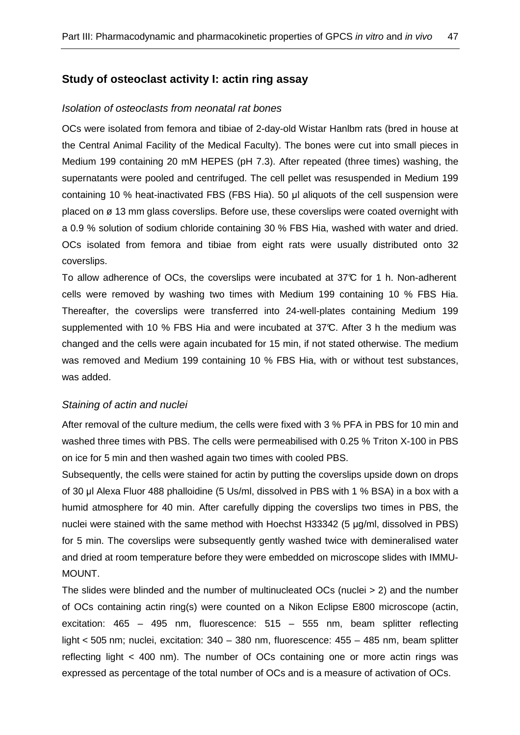## **Study of osteoclast activity I: actin ring assay**

#### Isolation of osteoclasts from neonatal rat bones

OCs were isolated from femora and tibiae of 2-day-old Wistar Hanlbm rats (bred in house at the Central Animal Facility of the Medical Faculty). The bones were cut into small pieces in Medium 199 containing 20 mM HEPES (pH 7.3). After repeated (three times) washing, the supernatants were pooled and centrifuged. The cell pellet was resuspended in Medium 199 containing 10 % heat-inactivated FBS (FBS Hia). 50 µl aliquots of the cell suspension were placed on ø 13 mm glass coverslips. Before use, these coverslips were coated overnight with a 0.9 % solution of sodium chloride containing 30 % FBS Hia, washed with water and dried. OCs isolated from femora and tibiae from eight rats were usually distributed onto 32 coverslips.

To allow adherence of OCs, the coverslips were incubated at 37°C for 1 h. Non-adherent cells were removed by washing two times with Medium 199 containing 10 % FBS Hia. Thereafter, the coverslips were transferred into 24-well-plates containing Medium 199 supplemented with 10 % FBS Hia and were incubated at 37°C. After 3 h the medium was changed and the cells were again incubated for 15 min, if not stated otherwise. The medium was removed and Medium 199 containing 10 % FBS Hia, with or without test substances, was added.

#### Staining of actin and nuclei

After removal of the culture medium, the cells were fixed with 3 % PFA in PBS for 10 min and washed three times with PBS. The cells were permeabilised with 0.25 % Triton X-100 in PBS on ice for 5 min and then washed again two times with cooled PBS.

Subsequently, the cells were stained for actin by putting the coverslips upside down on drops of 30 µl Alexa Fluor 488 phalloidine (5 Us/ml, dissolved in PBS with 1 % BSA) in a box with a humid atmosphere for 40 min. After carefully dipping the coverslips two times in PBS, the nuclei were stained with the same method with Hoechst H33342 (5 µg/ml, dissolved in PBS) for 5 min. The coverslips were subsequently gently washed twice with demineralised water and dried at room temperature before they were embedded on microscope slides with IMMU-MOUNT.

The slides were blinded and the number of multinucleated OCs (nuclei > 2) and the number of OCs containing actin ring(s) were counted on a Nikon Eclipse E800 microscope (actin, excitation: 465 – 495 nm, fluorescence: 515 – 555 nm, beam splitter reflecting light < 505 nm; nuclei, excitation: 340 – 380 nm, fluorescence: 455 – 485 nm, beam splitter reflecting light < 400 nm). The number of OCs containing one or more actin rings was expressed as percentage of the total number of OCs and is a measure of activation of OCs.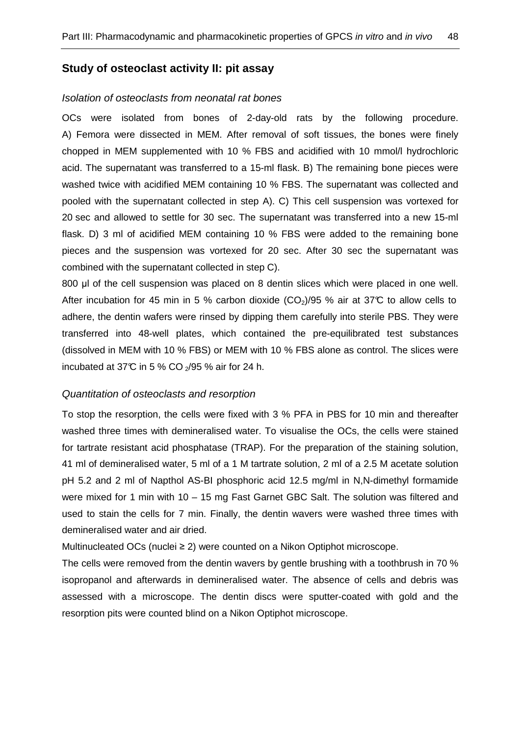## **Study of osteoclast activity II: pit assay**

#### Isolation of osteoclasts from neonatal rat bones

OCs were isolated from bones of 2-day-old rats by the following procedure. A) Femora were dissected in MEM. After removal of soft tissues, the bones were finely chopped in MEM supplemented with 10 % FBS and acidified with 10 mmol/l hydrochloric acid. The supernatant was transferred to a 15-ml flask. B) The remaining bone pieces were washed twice with acidified MEM containing 10 % FBS. The supernatant was collected and pooled with the supernatant collected in step A). C) This cell suspension was vortexed for 20 sec and allowed to settle for 30 sec. The supernatant was transferred into a new 15-ml flask. D) 3 ml of acidified MEM containing 10 % FBS were added to the remaining bone pieces and the suspension was vortexed for 20 sec. After 30 sec the supernatant was combined with the supernatant collected in step C).

800 µl of the cell suspension was placed on 8 dentin slices which were placed in one well. After incubation for 45 min in 5 % carbon dioxide  $(CO<sub>2</sub>)/95$  % air at 37°C to allow cells to adhere, the dentin wafers were rinsed by dipping them carefully into sterile PBS. They were transferred into 48-well plates, which contained the pre-equilibrated test substances (dissolved in MEM with 10 % FBS) or MEM with 10 % FBS alone as control. The slices were incubated at 37°C in 5 % CO  $_2$ /95 % air for 24 h.

#### Quantitation of osteoclasts and resorption

To stop the resorption, the cells were fixed with 3 % PFA in PBS for 10 min and thereafter washed three times with demineralised water. To visualise the OCs, the cells were stained for tartrate resistant acid phosphatase (TRAP). For the preparation of the staining solution, 41 ml of demineralised water, 5 ml of a 1 M tartrate solution, 2 ml of a 2.5 M acetate solution pH 5.2 and 2 ml of Napthol AS-BI phosphoric acid 12.5 mg/ml in N,N-dimethyl formamide were mixed for 1 min with 10 – 15 mg Fast Garnet GBC Salt. The solution was filtered and used to stain the cells for 7 min. Finally, the dentin wavers were washed three times with demineralised water and air dried.

Multinucleated OCs (nuclei ≥ 2) were counted on a Nikon Optiphot microscope.

The cells were removed from the dentin wavers by gentle brushing with a toothbrush in 70 % isopropanol and afterwards in demineralised water. The absence of cells and debris was assessed with a microscope. The dentin discs were sputter-coated with gold and the resorption pits were counted blind on a Nikon Optiphot microscope.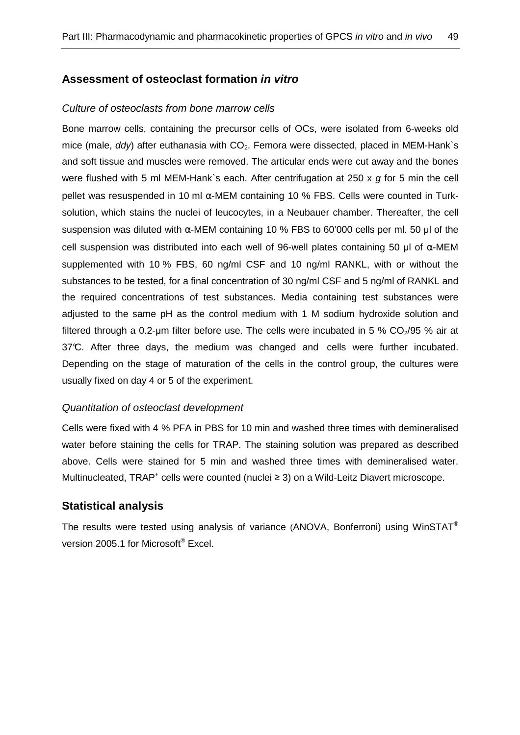## **Assessment of osteoclast formation in vitro**

#### Culture of osteoclasts from bone marrow cells

Bone marrow cells, containing the precursor cells of OCs, were isolated from 6-weeks old mice (male,  $ddy$ ) after euthanasia with  $CO<sub>2</sub>$ . Femora were dissected, placed in MEM-Hank`s and soft tissue and muscles were removed. The articular ends were cut away and the bones were flushed with 5 ml MEM-Hank's each. After centrifugation at 250 x  $g$  for 5 min the cell pellet was resuspended in 10 ml  $α$ -MEM containing 10 % FBS. Cells were counted in Turksolution, which stains the nuclei of leucocytes, in a Neubauer chamber. Thereafter, the cell suspension was diluted with  $α$ -MEM containing 10 % FBS to 60'000 cells per ml. 50 µl of the cell suspension was distributed into each well of 96-well plates containing 50 µl of  $α$ -MEM supplemented with 10 % FBS, 60 ng/ml CSF and 10 ng/ml RANKL, with or without the substances to be tested, for a final concentration of 30 ng/ml CSF and 5 ng/ml of RANKL and the required concentrations of test substances. Media containing test substances were adjusted to the same pH as the control medium with 1 M sodium hydroxide solution and filtered through a 0.2-um filter before use. The cells were incubated in 5 %  $CO<sub>2</sub>/95$  % air at 37°C. After three days, the medium was changed and cells were further incubated. Depending on the stage of maturation of the cells in the control group, the cultures were usually fixed on day 4 or 5 of the experiment.

#### Quantitation of osteoclast development

Cells were fixed with 4 % PFA in PBS for 10 min and washed three times with demineralised water before staining the cells for TRAP. The staining solution was prepared as described above. Cells were stained for 5 min and washed three times with demineralised water. Multinucleated, TRAP<sup>+</sup> cells were counted (nuclei ≥ 3) on a Wild-Leitz Diavert microscope.

#### **Statistical analysis**

The results were tested using analysis of variance (ANOVA, Bonferroni) using WinSTAT® version 2005.1 for Microsoft® Excel.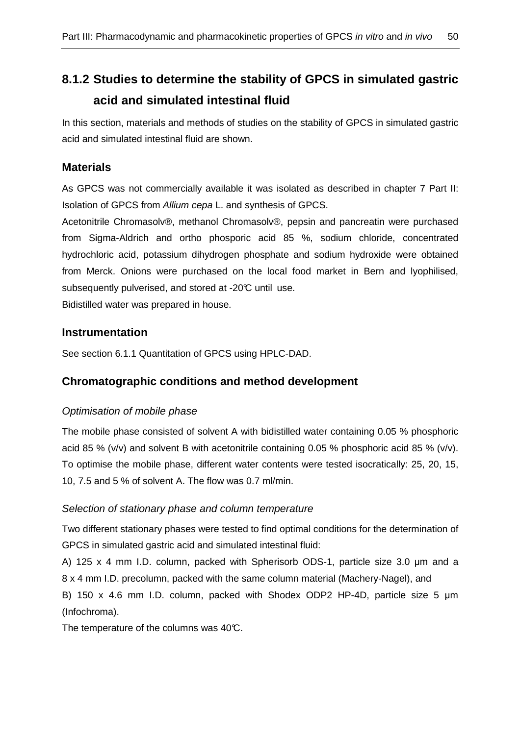# **8.1.2 Studies to determine the stability of GPCS in simulated gastric acid and simulated intestinal fluid**

In this section, materials and methods of studies on the stability of GPCS in simulated gastric acid and simulated intestinal fluid are shown.

## **Materials**

As GPCS was not commercially available it was isolated as described in chapter 7 Part II: Isolation of GPCS from Allium cepa L. and synthesis of GPCS.

Acetonitrile Chromasolv®, methanol Chromasolv®, pepsin and pancreatin were purchased from Sigma-Aldrich and ortho phosporic acid 85 %, sodium chloride, concentrated hydrochloric acid, potassium dihydrogen phosphate and sodium hydroxide were obtained from Merck. Onions were purchased on the local food market in Bern and lyophilised, subsequently pulverised, and stored at -20°C until use.

Bidistilled water was prepared in house.

## **Instrumentation**

See section 6.1.1 Quantitation of GPCS using HPLC-DAD.

# **Chromatographic conditions and method development**

## Optimisation of mobile phase

The mobile phase consisted of solvent A with bidistilled water containing 0.05 % phosphoric acid 85 % (v/v) and solvent B with acetonitrile containing 0.05 % phosphoric acid 85 % (v/v). To optimise the mobile phase, different water contents were tested isocratically: 25, 20, 15, 10, 7.5 and 5 % of solvent A. The flow was 0.7 ml/min.

## Selection of stationary phase and column temperature

Two different stationary phases were tested to find optimal conditions for the determination of GPCS in simulated gastric acid and simulated intestinal fluid:

A) 125 x 4 mm I.D. column, packed with Spherisorb ODS-1, particle size 3.0 µm and a 8 x 4 mm I.D. precolumn, packed with the same column material (Machery-Nagel), and

B) 150 x 4.6 mm I.D. column, packed with Shodex ODP2 HP-4D, particle size 5 um (Infochroma).

The temperature of the columns was  $40^{\circ}$ C.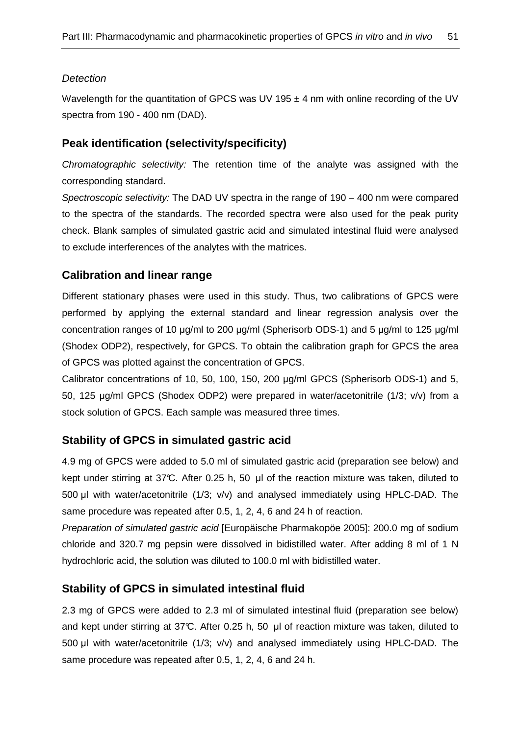## **Detection**

Wavelength for the quantitation of GPCS was UV 195  $\pm$  4 nm with online recording of the UV spectra from 190 - 400 nm (DAD).

## **Peak identification (selectivity/specificity)**

Chromatographic selectivity: The retention time of the analyte was assigned with the corresponding standard.

Spectroscopic selectivity: The DAD UV spectra in the range of 190 – 400 nm were compared to the spectra of the standards. The recorded spectra were also used for the peak purity check. Blank samples of simulated gastric acid and simulated intestinal fluid were analysed to exclude interferences of the analytes with the matrices.

## **Calibration and linear range**

Different stationary phases were used in this study. Thus, two calibrations of GPCS were performed by applying the external standard and linear regression analysis over the concentration ranges of 10 µg/ml to 200 µg/ml (Spherisorb ODS-1) and 5 µg/ml to 125 µg/ml (Shodex ODP2), respectively, for GPCS. To obtain the calibration graph for GPCS the area of GPCS was plotted against the concentration of GPCS.

Calibrator concentrations of 10, 50, 100, 150, 200 µg/ml GPCS (Spherisorb ODS-1) and 5, 50, 125 µg/ml GPCS (Shodex ODP2) were prepared in water/acetonitrile (1/3; v/v) from a stock solution of GPCS. Each sample was measured three times.

# **Stability of GPCS in simulated gastric acid**

4.9 mg of GPCS were added to 5.0 ml of simulated gastric acid (preparation see below) and kept under stirring at 37°C. After 0.25 h, 50 µl of the reaction mixture was taken, diluted to 500 µl with water/acetonitrile (1/3; v/v) and analysed immediately using HPLC-DAD. The same procedure was repeated after 0.5, 1, 2, 4, 6 and 24 h of reaction.

Preparation of simulated gastric acid [Europäische Pharmakopöe 2005]: 200.0 mg of sodium chloride and 320.7 mg pepsin were dissolved in bidistilled water. After adding 8 ml of 1 N hydrochloric acid, the solution was diluted to 100.0 ml with bidistilled water.

## **Stability of GPCS in simulated intestinal fluid**

2.3 mg of GPCS were added to 2.3 ml of simulated intestinal fluid (preparation see below) and kept under stirring at 37°C. After 0.25 h, 50 µl of reaction mixture was taken, diluted to 500 µl with water/acetonitrile (1/3; v/v) and analysed immediately using HPLC-DAD. The same procedure was repeated after 0.5, 1, 2, 4, 6 and 24 h.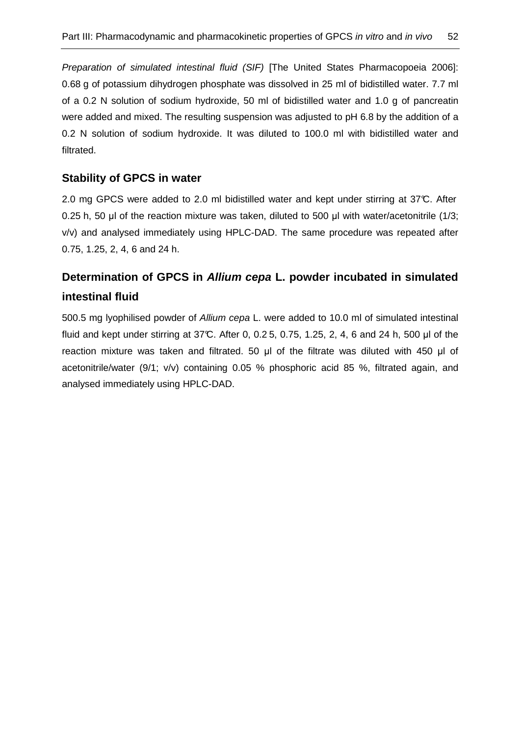Preparation of simulated intestinal fluid (SIF) [The United States Pharmacopoeia 2006]: 0.68 g of potassium dihydrogen phosphate was dissolved in 25 ml of bidistilled water. 7.7 ml of a 0.2 N solution of sodium hydroxide, 50 ml of bidistilled water and 1.0 g of pancreatin were added and mixed. The resulting suspension was adjusted to pH 6.8 by the addition of a 0.2 N solution of sodium hydroxide. It was diluted to 100.0 ml with bidistilled water and filtrated.

## **Stability of GPCS in water**

2.0 mg GPCS were added to 2.0 ml bidistilled water and kept under stirring at 37°C. After 0.25 h, 50 µl of the reaction mixture was taken, diluted to 500 µl with water/acetonitrile (1/3; v/v) and analysed immediately using HPLC-DAD. The same procedure was repeated after 0.75, 1.25, 2, 4, 6 and 24 h.

# **Determination of GPCS in Allium cepa L. powder incubated in simulated intestinal fluid**

500.5 mg lyophilised powder of Allium cepa L. were added to 10.0 ml of simulated intestinal fluid and kept under stirring at 37°C. After 0, 0.2 5, 0.75, 1.25, 2, 4, 6 and 24 h, 500 µl of the reaction mixture was taken and filtrated. 50 µl of the filtrate was diluted with 450 µl of acetonitrile/water (9/1; v/v) containing 0.05 % phosphoric acid 85 %, filtrated again, and analysed immediately using HPLC-DAD.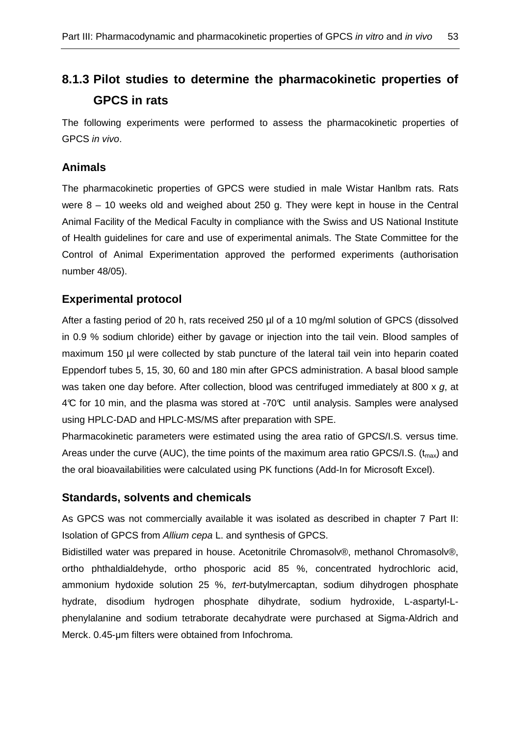# **8.1.3 Pilot studies to determine the pharmacokinetic properties of GPCS in rats**

The following experiments were performed to assess the pharmacokinetic properties of GPCS in vivo.

# **Animals**

The pharmacokinetic properties of GPCS were studied in male Wistar Hanlbm rats. Rats were 8 – 10 weeks old and weighed about 250 g. They were kept in house in the Central Animal Facility of the Medical Faculty in compliance with the Swiss and US National Institute of Health guidelines for care and use of experimental animals. The State Committee for the Control of Animal Experimentation approved the performed experiments (authorisation number 48/05).

# **Experimental protocol**

After a fasting period of 20 h, rats received 250 µl of a 10 mg/ml solution of GPCS (dissolved in 0.9 % sodium chloride) either by gavage or injection into the tail vein. Blood samples of maximum 150 µl were collected by stab puncture of the lateral tail vein into heparin coated Eppendorf tubes 5, 15, 30, 60 and 180 min after GPCS administration. A basal blood sample was taken one day before. After collection, blood was centrifuged immediately at 800 x g, at 4°C for 10 min, and the plasma was stored at -70°C until analysis. Samples were analysed using HPLC-DAD and HPLC-MS/MS after preparation with SPE.

Pharmacokinetic parameters were estimated using the area ratio of GPCS/I.S. versus time. Areas under the curve (AUC), the time points of the maximum area ratio GPCS/I.S.  $(t_{max})$  and the oral bioavailabilities were calculated using PK functions (Add-In for Microsoft Excel).

# **Standards, solvents and chemicals**

As GPCS was not commercially available it was isolated as described in chapter 7 Part II: Isolation of GPCS from Allium cepa L. and synthesis of GPCS.

Bidistilled water was prepared in house. Acetonitrile Chromasolv®, methanol Chromasolv®, ortho phthaldialdehyde, ortho phosporic acid 85 %, concentrated hydrochloric acid, ammonium hydoxide solution 25 %, tert-butylmercaptan, sodium dihydrogen phosphate hydrate, disodium hydrogen phosphate dihydrate, sodium hydroxide, L-aspartyl-Lphenylalanine and sodium tetraborate decahydrate were purchased at Sigma-Aldrich and Merck. 0.45-µm filters were obtained from Infochroma.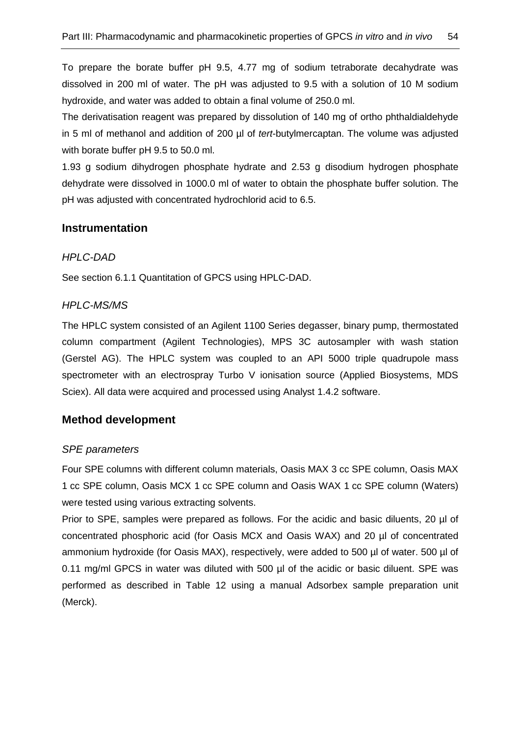To prepare the borate buffer pH 9.5, 4.77 mg of sodium tetraborate decahydrate was dissolved in 200 ml of water. The pH was adjusted to 9.5 with a solution of 10 M sodium hydroxide, and water was added to obtain a final volume of 250.0 ml.

The derivatisation reagent was prepared by dissolution of 140 mg of ortho phthaldialdehyde in 5 ml of methanol and addition of 200 µl of tert-butylmercaptan. The volume was adjusted with borate buffer pH 9.5 to 50.0 ml.

1.93 g sodium dihydrogen phosphate hydrate and 2.53 g disodium hydrogen phosphate dehydrate were dissolved in 1000.0 ml of water to obtain the phosphate buffer solution. The pH was adjusted with concentrated hydrochlorid acid to 6.5.

## **Instrumentation**

## HPLC-DAD

See section 6.1.1 Quantitation of GPCS using HPLC-DAD.

### HPLC-MS/MS

The HPLC system consisted of an Agilent 1100 Series degasser, binary pump, thermostated column compartment (Agilent Technologies), MPS 3C autosampler with wash station (Gerstel AG). The HPLC system was coupled to an API 5000 triple quadrupole mass spectrometer with an electrospray Turbo V ionisation source (Applied Biosystems, MDS Sciex). All data were acquired and processed using Analyst 1.4.2 software.

## **Method development**

## SPE parameters

Four SPE columns with different column materials, Oasis MAX 3 cc SPE column, Oasis MAX 1 cc SPE column, Oasis MCX 1 cc SPE column and Oasis WAX 1 cc SPE column (Waters) were tested using various extracting solvents.

Prior to SPE, samples were prepared as follows. For the acidic and basic diluents, 20 µl of concentrated phosphoric acid (for Oasis MCX and Oasis WAX) and 20 µl of concentrated ammonium hydroxide (for Oasis MAX), respectively, were added to 500 µl of water. 500 µl of 0.11 mg/ml GPCS in water was diluted with 500 µl of the acidic or basic diluent. SPE was performed as described in Table 12 using a manual Adsorbex sample preparation unit (Merck).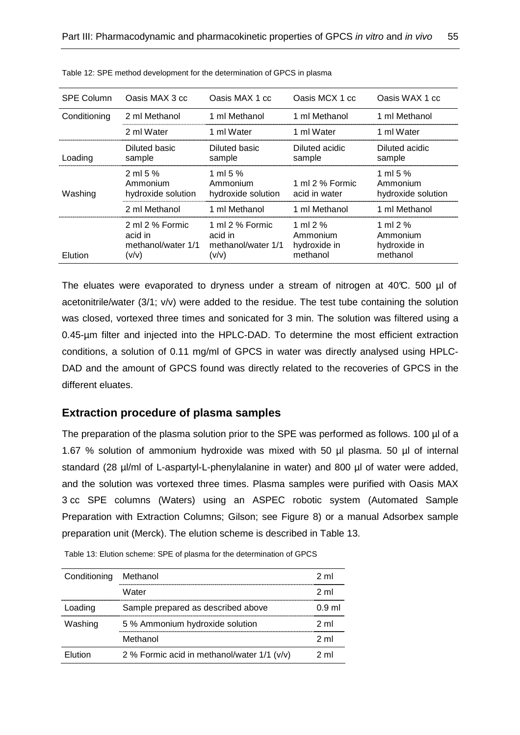| <b>SPE Column</b> | Oasis MAX 3 cc                                            | Oasis MAX 1 cc                                            | Oasis MCX 1 cc                                    | Oasis WAX 1 cc                                    |
|-------------------|-----------------------------------------------------------|-----------------------------------------------------------|---------------------------------------------------|---------------------------------------------------|
| Conditioning      | 2 ml Methanol                                             | 1 ml Methanol                                             | 1 ml Methanol                                     | 1 ml Methanol                                     |
|                   | 2 ml Water                                                | 1 ml Water                                                | 1 ml Water                                        | 1 ml Water                                        |
| Loading           | Diluted basic<br>sample                                   | Diluted basic<br>sample                                   | Diluted acidic<br>sample                          | Diluted acidic<br>sample                          |
| Washing           | $2 \text{ ml} 5 \%$<br>Ammonium<br>hydroxide solution     | 1 ml 5 $%$<br>Ammonium<br>hydroxide solution              | 1 ml 2 % Formic<br>acid in water                  | 1 ml 5 $%$<br>Ammonium<br>hydroxide solution      |
|                   | 2 ml Methanol                                             | 1 ml Methanol                                             | 1 ml Methanol                                     | 1 ml Methanol                                     |
| Elution           | 2 ml 2 % Formic<br>acid in<br>methanol/water 1/1<br>(v/v) | 1 ml 2 % Formic<br>acid in<br>methanol/water 1/1<br>(v/v) | 1 ml $2%$<br>Ammonium<br>hydroxide in<br>methanol | 1 ml $2%$<br>Ammonium<br>hydroxide in<br>methanol |

Table 12: SPE method development for the determination of GPCS in plasma

The eluates were evaporated to dryness under a stream of nitrogen at  $40\degree$ C. 500 µl of acetonitrile/water (3/1; v/v) were added to the residue. The test tube containing the solution was closed, vortexed three times and sonicated for 3 min. The solution was filtered using a 0.45-µm filter and injected into the HPLC-DAD. To determine the most efficient extraction conditions, a solution of 0.11 mg/ml of GPCS in water was directly analysed using HPLC-DAD and the amount of GPCS found was directly related to the recoveries of GPCS in the different eluates.

## **Extraction procedure of plasma samples**

The preparation of the plasma solution prior to the SPE was performed as follows. 100 µl of a 1.67 % solution of ammonium hydroxide was mixed with 50 µl plasma. 50 µl of internal standard (28 µl/ml of L-aspartyl-L-phenylalanine in water) and 800 µl of water were added, and the solution was vortexed three times. Plasma samples were purified with Oasis MAX 3 cc SPE columns (Waters) using an ASPEC robotic system (Automated Sample Preparation with Extraction Columns; Gilson; see Figure 8) or a manual Adsorbex sample preparation unit (Merck). The elution scheme is described in Table 13.

| Conditioning | Methanol                                    | 2 ml   |
|--------------|---------------------------------------------|--------|
|              | Water                                       | 2 ml   |
| Loading      | Sample prepared as described above          | 0.9 ml |
| Washing      | 5 % Ammonium hydroxide solution             | 2 ml   |
|              | Methanol                                    | 2 ml   |
| Flution      | 2 % Formic acid in methanol/water 1/1 (v/v) | 2m     |

Table 13: Elution scheme: SPE of plasma for the determination of GPCS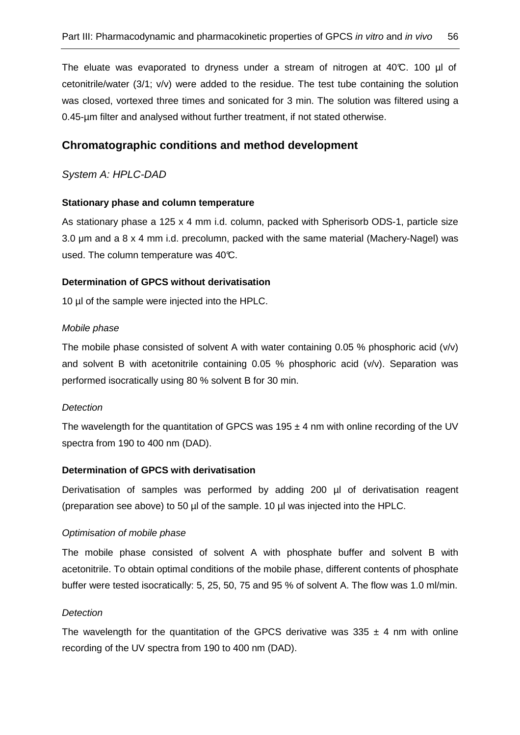The eluate was evaporated to dryness under a stream of nitrogen at 40°C. 100 µl of cetonitrile/water (3/1; v/v) were added to the residue. The test tube containing the solution was closed, vortexed three times and sonicated for 3 min. The solution was filtered using a 0.45-µm filter and analysed without further treatment, if not stated otherwise.

## **Chromatographic conditions and method development**

System A: HPLC-DAD

#### **Stationary phase and column temperature**

As stationary phase a 125 x 4 mm i.d. column, packed with Spherisorb ODS-1, particle size 3.0 µm and a 8 x 4 mm i.d. precolumn, packed with the same material (Machery-Nagel) was used. The column temperature was 40°C.

#### **Determination of GPCS without derivatisation**

10 ul of the sample were injected into the HPLC.

#### Mobile phase

The mobile phase consisted of solvent A with water containing 0.05 % phosphoric acid  $(v/v)$ and solvent B with acetonitrile containing 0.05 % phosphoric acid (v/v). Separation was performed isocratically using 80 % solvent B for 30 min.

#### **Detection**

The wavelength for the quantitation of GPCS was 195  $\pm$  4 nm with online recording of the UV spectra from 190 to 400 nm (DAD).

#### **Determination of GPCS with derivatisation**

Derivatisation of samples was performed by adding 200 µl of derivatisation reagent (preparation see above) to 50 µl of the sample. 10 µl was injected into the HPLC.

#### Optimisation of mobile phase

The mobile phase consisted of solvent A with phosphate buffer and solvent B with acetonitrile. To obtain optimal conditions of the mobile phase, different contents of phosphate buffer were tested isocratically: 5, 25, 50, 75 and 95 % of solvent A. The flow was 1.0 ml/min.

#### **Detection**

The wavelength for the quantitation of the GPCS derivative was  $335 \pm 4$  nm with online recording of the UV spectra from 190 to 400 nm (DAD).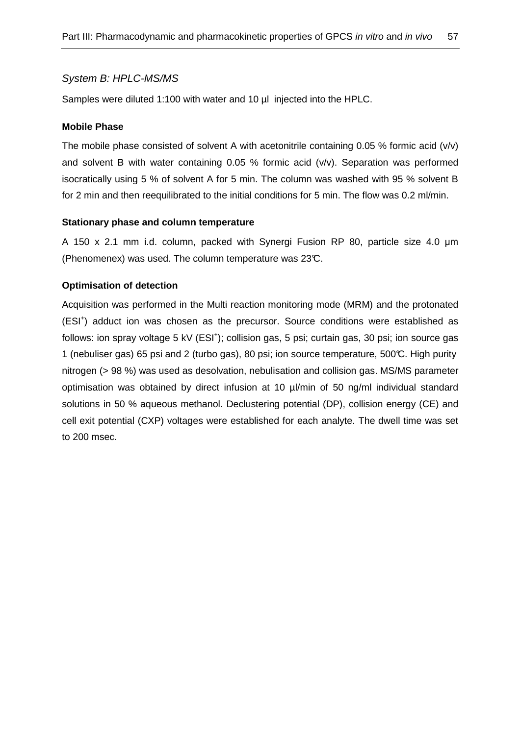### System B: HPLC-MS/MS

Samples were diluted 1:100 with water and 10 µl injected into the HPLC.

#### **Mobile Phase**

The mobile phase consisted of solvent A with acetonitrile containing 0.05 % formic acid (v/v) and solvent B with water containing 0.05 % formic acid (v/v). Separation was performed isocratically using 5 % of solvent A for 5 min. The column was washed with 95 % solvent B for 2 min and then reequilibrated to the initial conditions for 5 min. The flow was 0.2 ml/min.

#### **Stationary phase and column temperature**

A 150 x 2.1 mm i.d. column, packed with Synergi Fusion RP 80, particle size 4.0 µm (Phenomenex) was used. The column temperature was 23°C.

#### **Optimisation of detection**

Acquisition was performed in the Multi reaction monitoring mode (MRM) and the protonated (ESI<sup>+</sup>) adduct ion was chosen as the precursor. Source conditions were established as follows: ion spray voltage 5 kV (ESI<sup>+</sup>); collision gas, 5 psi; curtain gas, 30 psi; ion source gas 1 (nebuliser gas) 65 psi and 2 (turbo gas), 80 psi; ion source temperature, 500°C. High purity nitrogen (> 98 %) was used as desolvation, nebulisation and collision gas. MS/MS parameter optimisation was obtained by direct infusion at 10 µl/min of 50 ng/ml individual standard solutions in 50 % aqueous methanol. Declustering potential (DP), collision energy (CE) and cell exit potential (CXP) voltages were established for each analyte. The dwell time was set to 200 msec.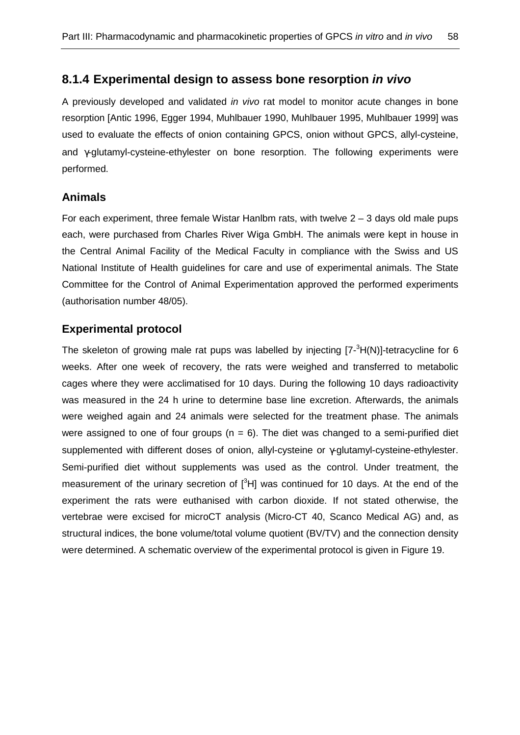## **8.1.4 Experimental design to assess bone resorption in vivo**

A previously developed and validated *in vivo* rat model to monitor acute changes in bone resorption [Antic 1996, Egger 1994, Muhlbauer 1990, Muhlbauer 1995, Muhlbauer 1999] was used to evaluate the effects of onion containing GPCS, onion without GPCS, allyl-cysteine, and γ-glutamyl-cysteine-ethylester on bone resorption. The following experiments were performed.

### **Animals**

For each experiment, three female Wistar Hanlbm rats, with twelve  $2 - 3$  days old male pups each, were purchased from Charles River Wiga GmbH. The animals were kept in house in the Central Animal Facility of the Medical Faculty in compliance with the Swiss and US National Institute of Health guidelines for care and use of experimental animals. The State Committee for the Control of Animal Experimentation approved the performed experiments (authorisation number 48/05).

## **Experimental protocol**

The skeleton of growing male rat pups was labelled by injecting  $[7-3H(N)]$ -tetracycline for 6 weeks. After one week of recovery, the rats were weighed and transferred to metabolic cages where they were acclimatised for 10 days. During the following 10 days radioactivity was measured in the 24 h urine to determine base line excretion. Afterwards, the animals were weighed again and 24 animals were selected for the treatment phase. The animals were assigned to one of four groups ( $n = 6$ ). The diet was changed to a semi-purified diet supplemented with different doses of onion, allyl-cysteine or γ-glutamyl-cysteine-ethylester. Semi-purified diet without supplements was used as the control. Under treatment, the measurement of the urinary secretion of  $I<sup>3</sup>HI$  was continued for 10 days. At the end of the experiment the rats were euthanised with carbon dioxide. If not stated otherwise, the vertebrae were excised for microCT analysis (Micro-CT 40, Scanco Medical AG) and, as structural indices, the bone volume/total volume quotient (BV/TV) and the connection density were determined. A schematic overview of the experimental protocol is given in Figure 19.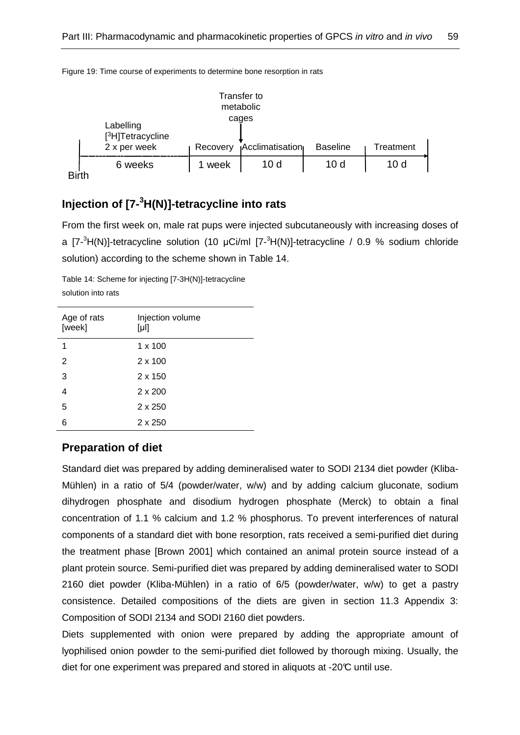|                                            |          | Transfer to<br>metabolic |                 |           |  |
|--------------------------------------------|----------|--------------------------|-----------------|-----------|--|
| Labelling<br>[ <sup>3</sup> H]Tetracycline |          | cages                    |                 |           |  |
| 2 x per week                               | Recovery | <b>Acclimatisation</b>   | <b>Baseline</b> | Treatment |  |
| 6 weeks                                    | 1 week   | 10 <sub>d</sub>          | 10 <sub>d</sub> | 10 d      |  |
|                                            |          |                          |                 |           |  |

Figure 19: Time course of experiments to determine bone resorption in rats

# **Injection of [7-<sup>3</sup>H(N)]-tetracycline into rats**

From the first week on, male rat pups were injected subcutaneously with increasing doses of a  $[7-3H(N)]$ -tetracycline solution (10 µCi/ml  $[7-3H(N)]$ -tetracycline / 0.9 % sodium chloride solution) according to the scheme shown in Table 14.

Table 14: Scheme for injecting [7-3H(N)]-tetracycline solution into rats

| Injection volume<br>$[\mu!]$ |
|------------------------------|
| $1 \times 100$               |
| $2 \times 100$               |
| $2 \times 150$               |
| $2 \times 200$               |
| $2 \times 250$               |
| $2 \times 250$               |
|                              |

## **Preparation of diet**

Standard diet was prepared by adding demineralised water to SODI 2134 diet powder (Kliba-Mühlen) in a ratio of 5/4 (powder/water, w/w) and by adding calcium gluconate, sodium dihydrogen phosphate and disodium hydrogen phosphate (Merck) to obtain a final concentration of 1.1 % calcium and 1.2 % phosphorus. To prevent interferences of natural components of a standard diet with bone resorption, rats received a semi-purified diet during the treatment phase [Brown 2001] which contained an animal protein source instead of a plant protein source. Semi-purified diet was prepared by adding demineralised water to SODI 2160 diet powder (Kliba-Mühlen) in a ratio of 6/5 (powder/water, w/w) to get a pastry consistence. Detailed compositions of the diets are given in section 11.3 Appendix 3: Composition of SODI 2134 and SODI 2160 diet powders.

Diets supplemented with onion were prepared by adding the appropriate amount of lyophilised onion powder to the semi-purified diet followed by thorough mixing. Usually, the diet for one experiment was prepared and stored in aliquots at -20°C until use.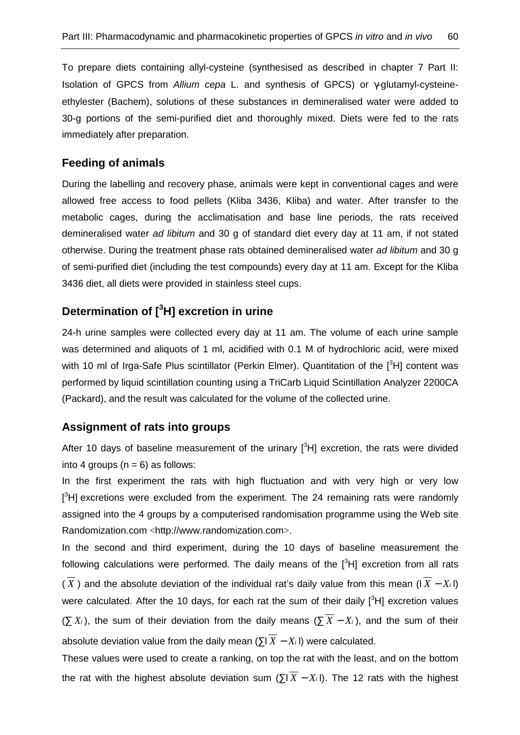To prepare diets containing allyl-cysteine (synthesised as described in chapter 7 Part II: Isolation of GPCS from Allium cepa L. and synthesis of GPCS) or  $\gamma$ -glutamyl-cysteineethylester (Bachem), solutions of these substances in demineralised water were added to 30-g portions of the semi-purified diet and thoroughly mixed. Diets were fed to the rats immediately after preparation.

### **Feeding of animals**

During the labelling and recovery phase, animals were kept in conventional cages and were allowed free access to food pellets (Kliba 3436, Kliba) and water. After transfer to the metabolic cages, during the acclimatisation and base line periods, the rats received demineralised water ad libitum and 30 g of standard diet every day at 11 am, if not stated otherwise. During the treatment phase rats obtained demineralised water ad libitum and 30 g of semi-purified diet (including the test compounds) every day at 11 am. Except for the Kliba 3436 diet, all diets were provided in stainless steel cups.

# **Determination of [<sup>3</sup>H] excretion in urine**

24-h urine samples were collected every day at 11 am. The volume of each urine sample was determined and aliquots of 1 ml, acidified with 0.1 M of hydrochloric acid, were mixed with 10 ml of Irga-Safe Plus scintillator (Perkin Elmer). Quantitation of the  $[3H]$  content was performed by liquid scintillation counting using a TriCarb Liquid Scintillation Analyzer 2200CA (Packard), and the result was calculated for the volume of the collected urine.

### **Assignment of rats into groups**

After 10 days of baseline measurement of the urinary  $[{}^{3}H]$  excretion, the rats were divided into 4 groups ( $n = 6$ ) as follows:

In the first experiment the rats with high fluctuation and with very high or very low  $[{}^{3}H]$  excretions were excluded from the experiment. The 24 remaining rats were randomly assigned into the 4 groups by a computerised randomisation programme using the Web site Randomization.com <http://www.randomization.com>.

In the second and third experiment, during the 10 days of baseline measurement the following calculations were performed. The daily means of the  $[3H]$  excretion from all rats  $(\overline{X})$  and the absolute deviation of the individual rat's daily value from this mean ( $(\overline{X} - X_i)$ ) were calculated. After the 10 days, for each rat the sum of their daily  $I^3HI$  excretion values ( $\sum X_i$ ), the sum of their deviation from the daily means ( $\sum \overline{X} - X_i$ ), and the sum of their absolute deviation value from the daily mean ( $\overline{X}$  −  $X_i$  l) were calculated.

These values were used to create a ranking, on top the rat with the least, and on the bottom the rat with the highest absolute deviation sum ( $\sum \overline{X} - X_i$ ). The 12 rats with the highest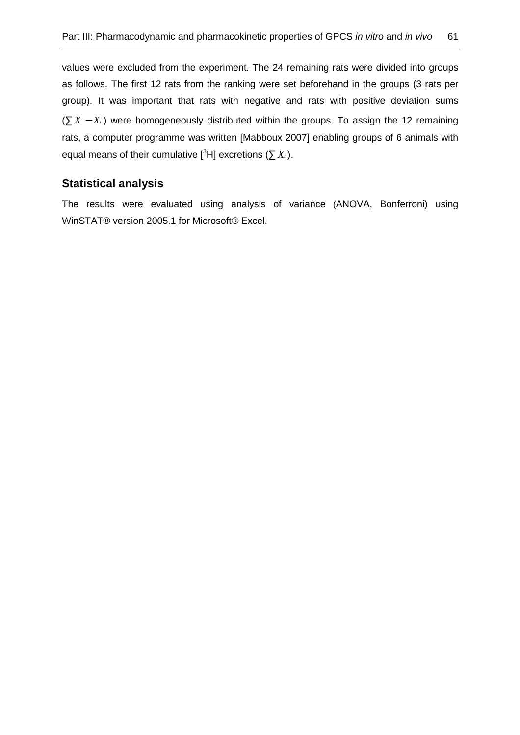values were excluded from the experiment. The 24 remaining rats were divided into groups as follows. The first 12 rats from the ranking were set beforehand in the groups (3 rats per group). It was important that rats with negative and rats with positive deviation sums (∑ *X* − *X<sup>i</sup>* ) were homogeneously distributed within the groups. To assign the 12 remaining rats, a computer programme was written [Mabboux 2007] enabling groups of 6 animals with equal means of their cumulative  $[{}^{3}H]$  excretions ( $\sum X_i$ ).

## **Statistical analysis**

The results were evaluated using analysis of variance (ANOVA, Bonferroni) using WinSTAT® version 2005.1 for Microsoft® Excel.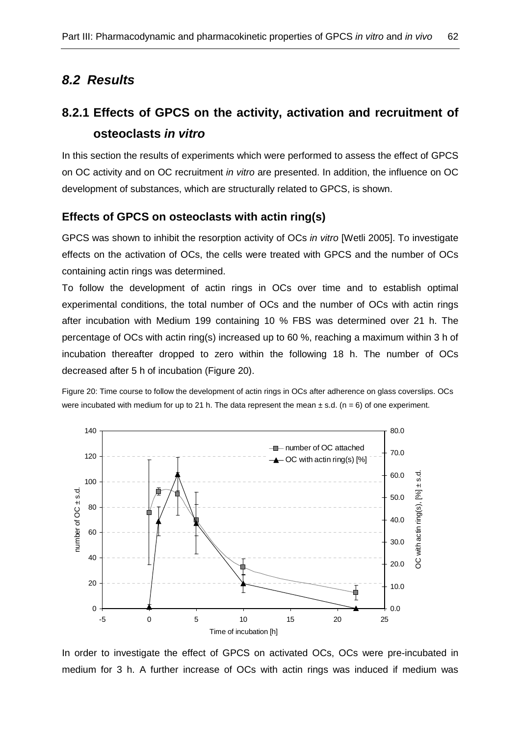# **8.2 Results**

# **8.2.1 Effects of GPCS on the activity, activation and recruitment of osteoclasts in vitro**

In this section the results of experiments which were performed to assess the effect of GPCS on OC activity and on OC recruitment in vitro are presented. In addition, the influence on OC development of substances, which are structurally related to GPCS, is shown.

## **Effects of GPCS on osteoclasts with actin ring(s)**

GPCS was shown to inhibit the resorption activity of OCs in vitro [Wetli 2005]. To investigate effects on the activation of OCs, the cells were treated with GPCS and the number of OCs containing actin rings was determined.

To follow the development of actin rings in OCs over time and to establish optimal experimental conditions, the total number of OCs and the number of OCs with actin rings after incubation with Medium 199 containing 10 % FBS was determined over 21 h. The percentage of OCs with actin ring(s) increased up to 60 %, reaching a maximum within 3 h of incubation thereafter dropped to zero within the following 18 h. The number of OCs decreased after 5 h of incubation (Figure 20).

Figure 20: Time course to follow the development of actin rings in OCs after adherence on glass coverslips. OCs were incubated with medium for up to 21 h. The data represent the mean  $\pm$  s.d. (n = 6) of one experiment.



In order to investigate the effect of GPCS on activated OCs, OCs were pre-incubated in medium for 3 h. A further increase of OCs with actin rings was induced if medium was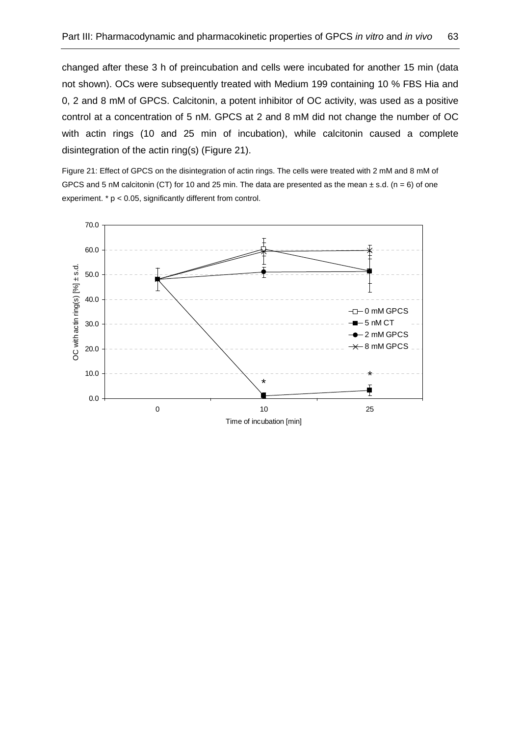changed after these 3 h of preincubation and cells were incubated for another 15 min (data not shown). OCs were subsequently treated with Medium 199 containing 10 % FBS Hia and 0, 2 and 8 mM of GPCS. Calcitonin, a potent inhibitor of OC activity, was used as a positive control at a concentration of 5 nM. GPCS at 2 and 8 mM did not change the number of OC with actin rings (10 and 25 min of incubation), while calcitonin caused a complete disintegration of the actin ring(s) (Figure 21).

Figure 21: Effect of GPCS on the disintegration of actin rings. The cells were treated with 2 mM and 8 mM of GPCS and 5 nM calcitonin (CT) for 10 and 25 min. The data are presented as the mean  $\pm$  s.d. (n = 6) of one experiment. \* p < 0.05, significantly different from control.

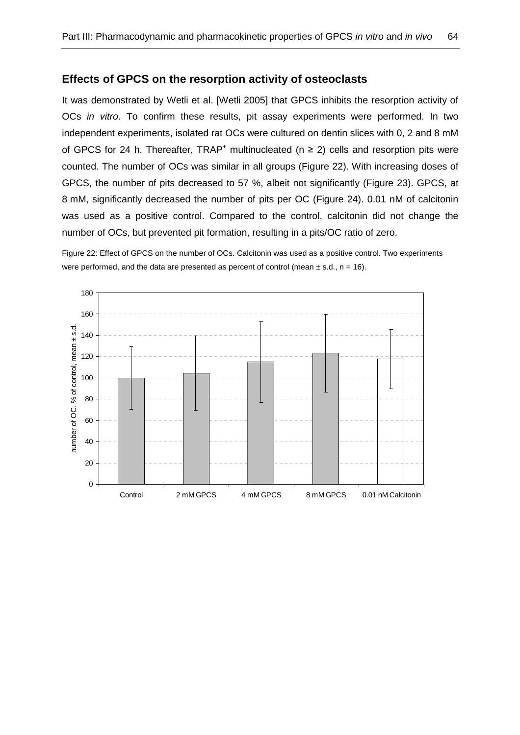### **Effects of GPCS on the resorption activity of osteoclasts**

It was demonstrated by Wetli et al. [Wetli 2005] that GPCS inhibits the resorption activity of OCs in vitro. To confirm these results, pit assay experiments were performed. In two independent experiments, isolated rat OCs were cultured on dentin slices with 0, 2 and 8 mM of GPCS for 24 h. Thereafter, TRAP<sup>+</sup> multinucleated ( $n \geq 2$ ) cells and resorption pits were counted. The number of OCs was similar in all groups (Figure 22). With increasing doses of GPCS, the number of pits decreased to 57 %, albeit not significantly (Figure 23). GPCS, at 8 mM, significantly decreased the number of pits per OC (Figure 24). 0.01 nM of calcitonin was used as a positive control. Compared to the control, calcitonin did not change the number of OCs, but prevented pit formation, resulting in a pits/OC ratio of zero.

Figure 22: Effect of GPCS on the number of OCs. Calcitonin was used as a positive control. Two experiments were performed, and the data are presented as percent of control (mean  $\pm$  s.d., n = 16).

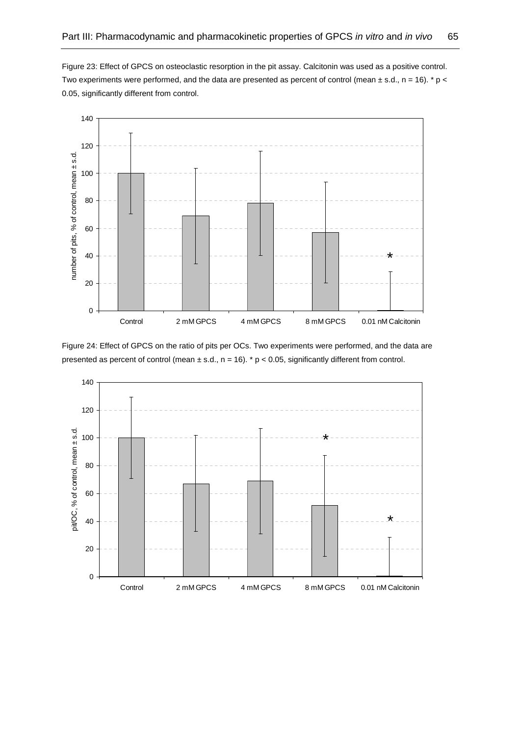Figure 23: Effect of GPCS on osteoclastic resorption in the pit assay. Calcitonin was used as a positive control. Two experiments were performed, and the data are presented as percent of control (mean  $\pm$  s.d., n = 16). \* p < 0.05, significantly different from control.



Figure 24: Effect of GPCS on the ratio of pits per OCs. Two experiments were performed, and the data are presented as percent of control (mean  $\pm$  s.d., n = 16). \* p < 0.05, significantly different from control.

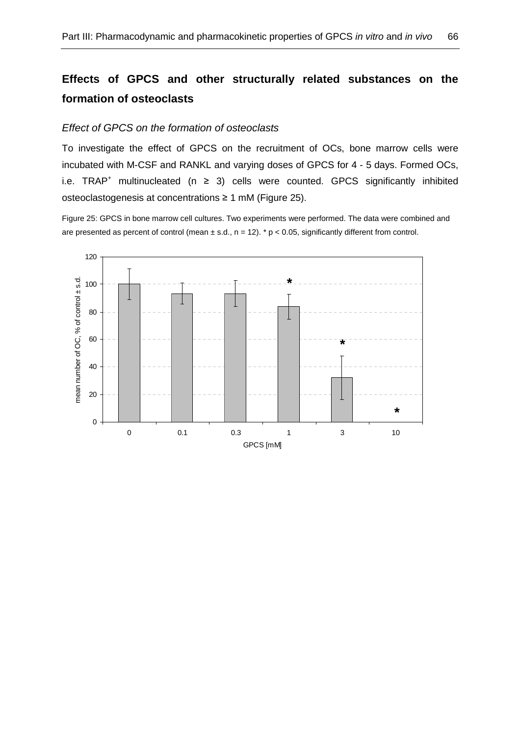# **Effects of GPCS and other structurally related substances on the formation of osteoclasts**

### Effect of GPCS on the formation of osteoclasts

To investigate the effect of GPCS on the recruitment of OCs, bone marrow cells were incubated with M-CSF and RANKL and varying doses of GPCS for 4 - 5 days. Formed OCs, i.e.  $TRAP^+$  multinucleated ( $n \geq 3$ ) cells were counted. GPCS significantly inhibited osteoclastogenesis at concentrations ≥ 1 mM (Figure 25).

Figure 25: GPCS in bone marrow cell cultures. Two experiments were performed. The data were combined and are presented as percent of control (mean  $\pm$  s.d., n = 12). \* p < 0.05, significantly different from control.

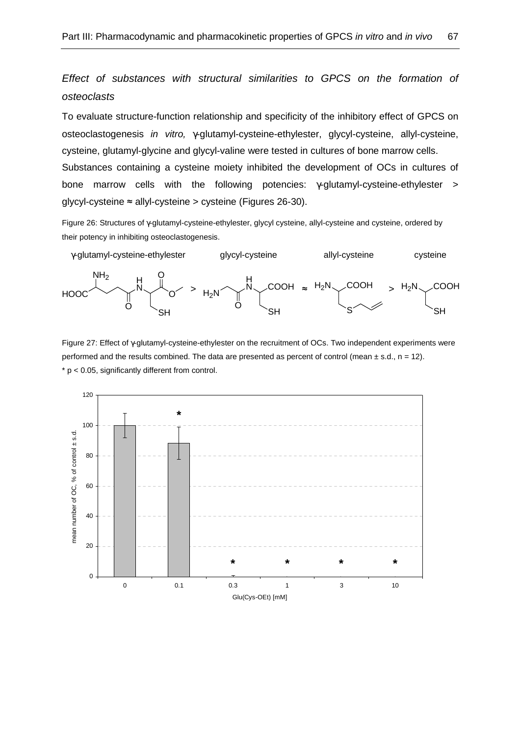Effect of substances with structural similarities to GPCS on the formation of osteoclasts

To evaluate structure-function relationship and specificity of the inhibitory effect of GPCS on osteoclastogenesis in vitro, γ-glutamyl-cysteine-ethylester, glycyl-cysteine, allyl-cysteine, cysteine, glutamyl-glycine and glycyl-valine were tested in cultures of bone marrow cells. Substances containing a cysteine moiety inhibited the development of OCs in cultures of bone marrow cells with the following potencies: γ-glutamyl-cysteine-ethylester > glycyl-cysteine ≈ allyl-cysteine > cysteine (Figures 26-30).

Figure 26: Structures of γ-glutamyl-cysteine-ethylester, glycyl cysteine, allyl-cysteine and cysteine, ordered by their potency in inhibiting osteoclastogenesis.



Figure 27: Effect of γ-glutamyl-cysteine-ethylester on the recruitment of OCs. Two independent experiments were performed and the results combined. The data are presented as percent of control (mean  $\pm$  s.d., n = 12).  $*$  p < 0.05, significantly different from control.

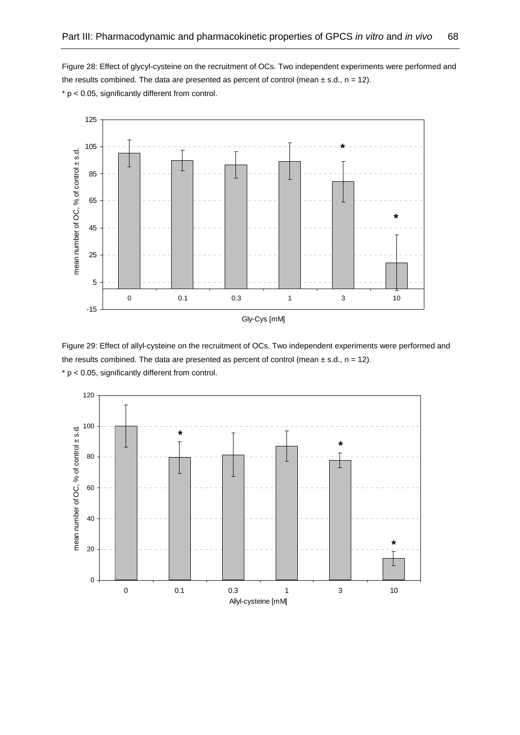Figure 28: Effect of glycyl-cysteine on the recruitment of OCs. Two independent experiments were performed and the results combined. The data are presented as percent of control (mean  $\pm$  s.d., n = 12).  $* p < 0.05$ , significantly different from control.



Gly-Cys [mM]

Figure 29: Effect of allyl-cysteine on the recruitment of OCs. Two independent experiments were performed and the results combined. The data are presented as percent of control (mean  $\pm$  s.d., n = 12).  $*$   $p$  < 0.05, significantly different from control.

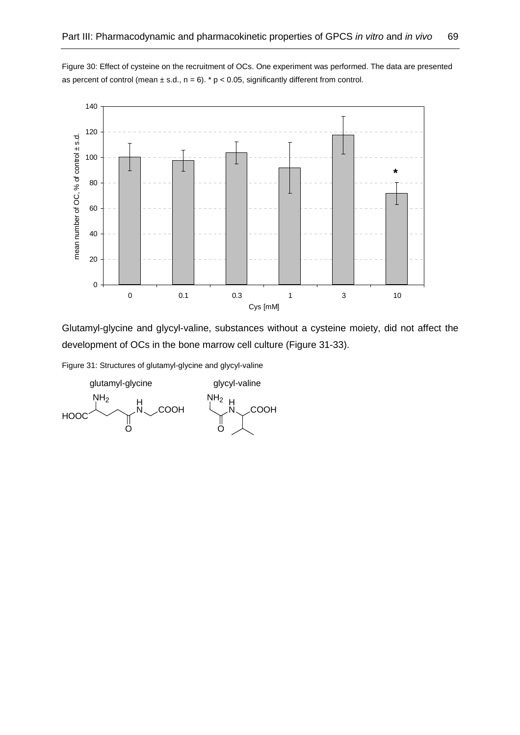

Figure 30: Effect of cysteine on the recruitment of OCs. One experiment was performed. The data are presented as percent of control (mean  $\pm$  s.d., n = 6). \* p < 0.05, significantly different from control.

Glutamyl-glycine and glycyl-valine, substances without a cysteine moiety, did not affect the development of OCs in the bone marrow cell culture (Figure 31-33).

Figure 31: Structures of glutamyl-glycine and glycyl-valine

**HOOC** 뷰 **COOH**  $NH<sub>2</sub>$ O H **COOH** NH<sub>2</sub> O glutamyl-glycine glycyl-valine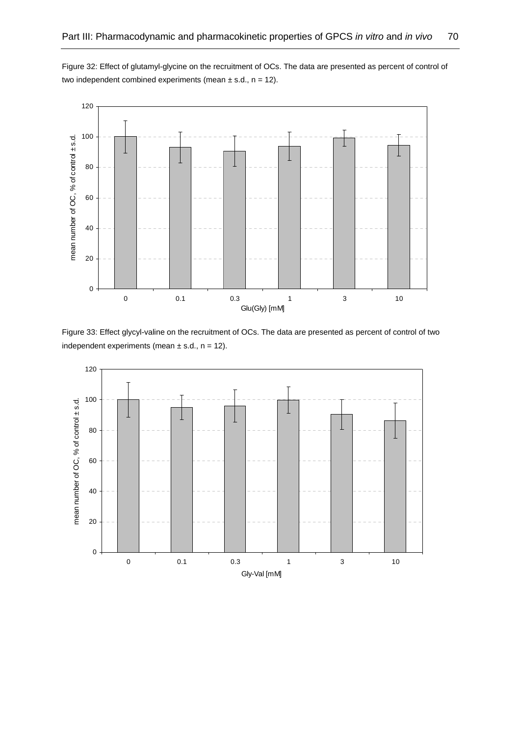Figure 32: Effect of glutamyl-glycine on the recruitment of OCs. The data are presented as percent of control of two independent combined experiments (mean  $\pm$  s.d., n = 12).



Figure 33: Effect glycyl-valine on the recruitment of OCs. The data are presented as percent of control of two independent experiments (mean  $\pm$  s.d., n = 12).

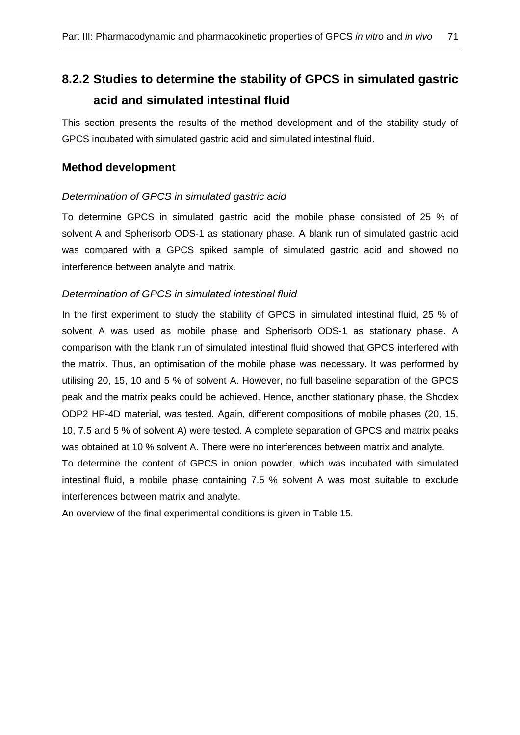# **8.2.2 Studies to determine the stability of GPCS in simulated gastric acid and simulated intestinal fluid**

This section presents the results of the method development and of the stability study of GPCS incubated with simulated gastric acid and simulated intestinal fluid.

## **Method development**

## Determination of GPCS in simulated gastric acid

To determine GPCS in simulated gastric acid the mobile phase consisted of 25 % of solvent A and Spherisorb ODS-1 as stationary phase. A blank run of simulated gastric acid was compared with a GPCS spiked sample of simulated gastric acid and showed no interference between analyte and matrix.

## Determination of GPCS in simulated intestinal fluid

In the first experiment to study the stability of GPCS in simulated intestinal fluid, 25 % of solvent A was used as mobile phase and Spherisorb ODS-1 as stationary phase. A comparison with the blank run of simulated intestinal fluid showed that GPCS interfered with the matrix. Thus, an optimisation of the mobile phase was necessary. It was performed by utilising 20, 15, 10 and 5 % of solvent A. However, no full baseline separation of the GPCS peak and the matrix peaks could be achieved. Hence, another stationary phase, the Shodex ODP2 HP-4D material, was tested. Again, different compositions of mobile phases (20, 15, 10, 7.5 and 5 % of solvent A) were tested. A complete separation of GPCS and matrix peaks was obtained at 10 % solvent A. There were no interferences between matrix and analyte.

To determine the content of GPCS in onion powder, which was incubated with simulated intestinal fluid, a mobile phase containing 7.5 % solvent A was most suitable to exclude interferences between matrix and analyte.

An overview of the final experimental conditions is given in Table 15.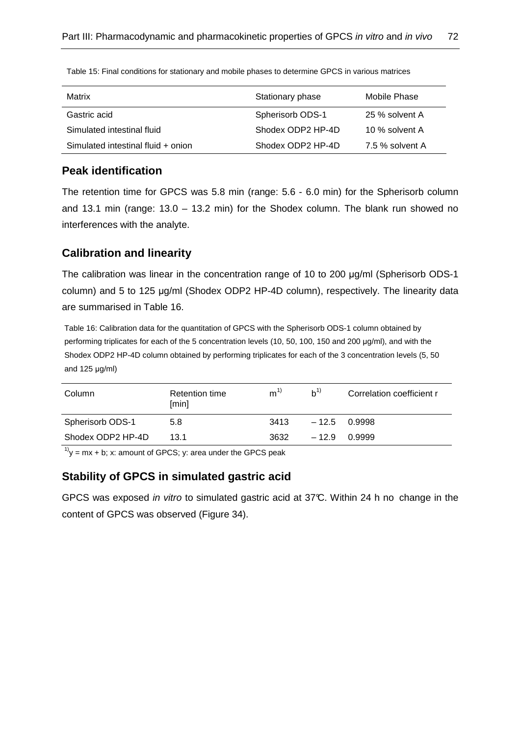| Matrix                             | Stationary phase  | Mobile Phase    |
|------------------------------------|-------------------|-----------------|
| Gastric acid                       | Spherisorb ODS-1  | 25 % solvent A  |
| Simulated intestinal fluid         | Shodex ODP2 HP-4D | 10 % solvent A  |
| Simulated intestinal fluid + onion | Shodex ODP2 HP-4D | 7.5 % solvent A |

Table 15: Final conditions for stationary and mobile phases to determine GPCS in various matrices

## **Peak identification**

The retention time for GPCS was 5.8 min (range: 5.6 - 6.0 min) for the Spherisorb column and 13.1 min (range: 13.0 – 13.2 min) for the Shodex column. The blank run showed no interferences with the analyte.

# **Calibration and linearity**

The calibration was linear in the concentration range of 10 to 200 µg/ml (Spherisorb ODS-1 column) and 5 to 125 µg/ml (Shodex ODP2 HP-4D column), respectively. The linearity data are summarised in Table 16.

Table 16: Calibration data for the quantitation of GPCS with the Spherisorb ODS-1 column obtained by performing triplicates for each of the 5 concentration levels (10, 50, 100, 150 and 200 µg/ml), and with the Shodex ODP2 HP-4D column obtained by performing triplicates for each of the 3 concentration levels (5, 50 and 125 µg/ml)

| Column            | Retention time<br>[min] | $m^{1}$ | $h^{1}$        | Correlation coefficient r |  |
|-------------------|-------------------------|---------|----------------|---------------------------|--|
| Spherisorb ODS-1  | 5.8                     | 3413    | $-12.5$ 0.9998 |                           |  |
| Shodex ODP2 HP-4D | 131                     | 3632    | $-12.9$        | O.9999                    |  |

 $1$ <sup>1</sup>y = mx + b; x: amount of GPCS; y: area under the GPCS peak

## **Stability of GPCS in simulated gastric acid**

GPCS was exposed in vitro to simulated gastric acid at 37°C. Within 24 h no change in the content of GPCS was observed (Figure 34).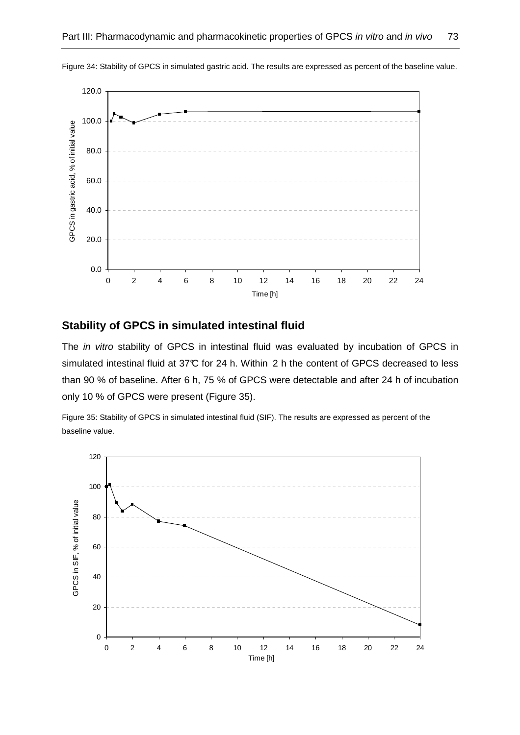

Figure 34: Stability of GPCS in simulated gastric acid. The results are expressed as percent of the baseline value.

## **Stability of GPCS in simulated intestinal fluid**

The in vitro stability of GPCS in intestinal fluid was evaluated by incubation of GPCS in simulated intestinal fluid at 37°C for 24 h. Within 2 h the content of GPCS decreased to less than 90 % of baseline. After 6 h, 75 % of GPCS were detectable and after 24 h of incubation only 10 % of GPCS were present (Figure 35).

Figure 35: Stability of GPCS in simulated intestinal fluid (SIF). The results are expressed as percent of the baseline value.

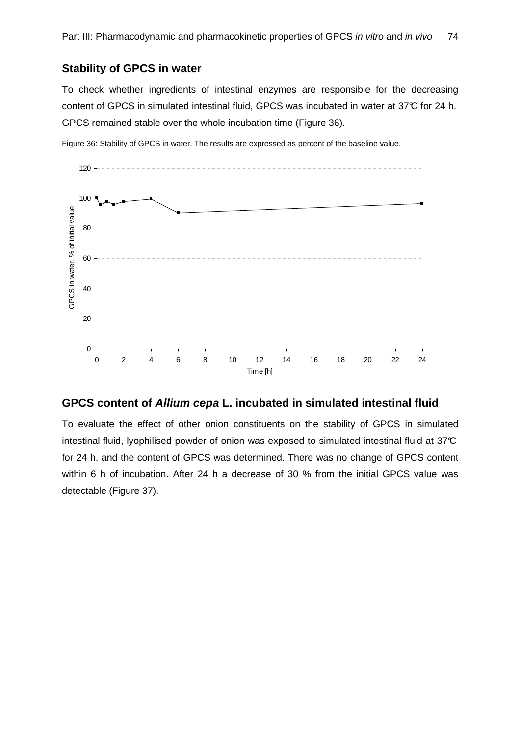## **Stability of GPCS in water**

To check whether ingredients of intestinal enzymes are responsible for the decreasing content of GPCS in simulated intestinal fluid, GPCS was incubated in water at 37°C for 24 h. GPCS remained stable over the whole incubation time (Figure 36).

Figure 36: Stability of GPCS in water. The results are expressed as percent of the baseline value.



## **GPCS content of Allium cepa L. incubated in simulated intestinal fluid**

To evaluate the effect of other onion constituents on the stability of GPCS in simulated intestinal fluid, lyophilised powder of onion was exposed to simulated intestinal fluid at 37°C for 24 h, and the content of GPCS was determined. There was no change of GPCS content within 6 h of incubation. After 24 h a decrease of 30 % from the initial GPCS value was detectable (Figure 37).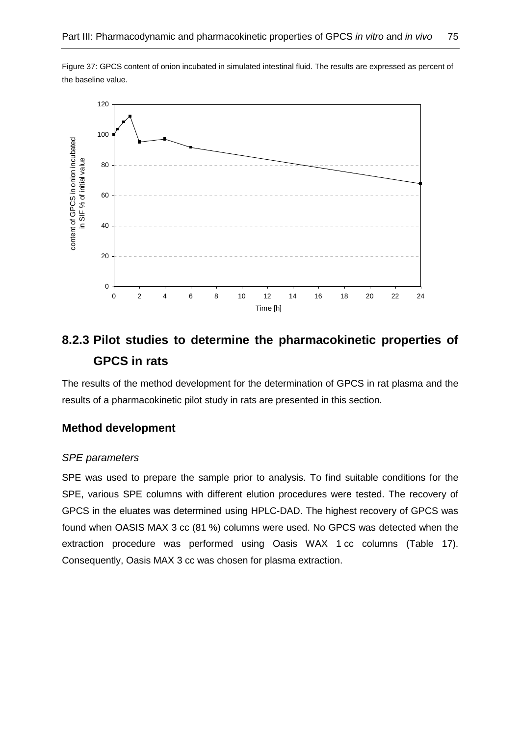



# **8.2.3 Pilot studies to determine the pharmacokinetic properties of GPCS in rats**

The results of the method development for the determination of GPCS in rat plasma and the results of a pharmacokinetic pilot study in rats are presented in this section.

## **Method development**

### SPE parameters

SPE was used to prepare the sample prior to analysis. To find suitable conditions for the SPE, various SPE columns with different elution procedures were tested. The recovery of GPCS in the eluates was determined using HPLC-DAD. The highest recovery of GPCS was found when OASIS MAX 3 cc (81 %) columns were used. No GPCS was detected when the extraction procedure was performed using Oasis WAX 1 cc columns (Table 17). Consequently, Oasis MAX 3 cc was chosen for plasma extraction.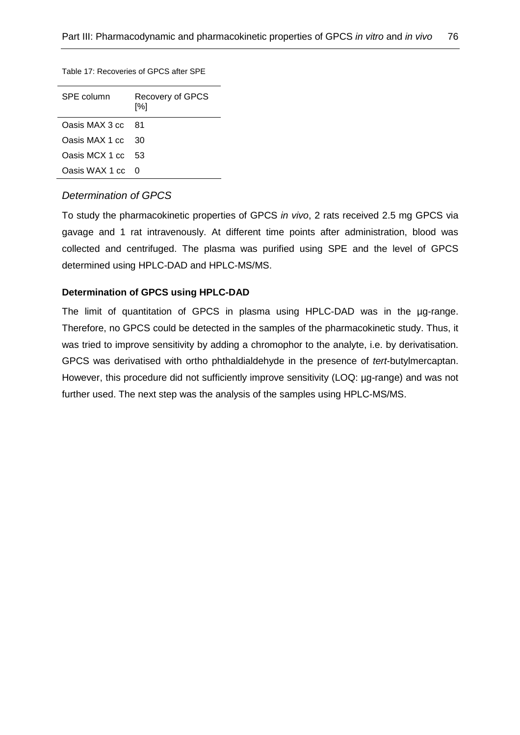#### Table 17: Recoveries of GPCS after SPE

| SPE column     | Recovery of GPCS<br>[%] |  |  |
|----------------|-------------------------|--|--|
| Oasis MAX 3 cc | - 81                    |  |  |
| Oasis MAX 1 cc | 30                      |  |  |
| Oasis MCX 1 cc | 53                      |  |  |
| Oasis WAX 1 cc | O                       |  |  |

### Determination of GPCS

To study the pharmacokinetic properties of GPCS in vivo, 2 rats received 2.5 mg GPCS via gavage and 1 rat intravenously. At different time points after administration, blood was collected and centrifuged. The plasma was purified using SPE and the level of GPCS determined using HPLC-DAD and HPLC-MS/MS.

### **Determination of GPCS using HPLC-DAD**

The limit of quantitation of GPCS in plasma using HPLC-DAD was in the µg-range. Therefore, no GPCS could be detected in the samples of the pharmacokinetic study. Thus, it was tried to improve sensitivity by adding a chromophor to the analyte, i.e. by derivatisation. GPCS was derivatised with ortho phthaldialdehyde in the presence of tert-butylmercaptan. However, this procedure did not sufficiently improve sensitivity (LOQ: µg-range) and was not further used. The next step was the analysis of the samples using HPLC-MS/MS.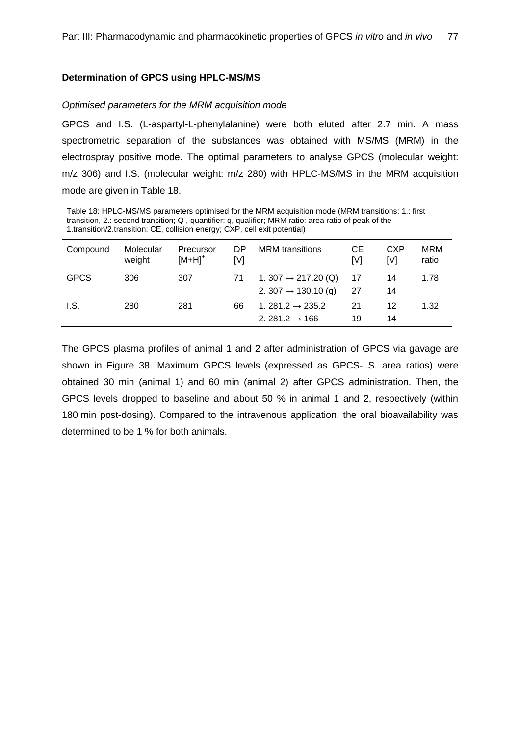### **Determination of GPCS using HPLC-MS/MS**

#### Optimised parameters for the MRM acquisition mode

GPCS and I.S. (L-aspartyl-L-phenylalanine) were both eluted after 2.7 min. A mass spectrometric separation of the substances was obtained with MS/MS (MRM) in the electrospray positive mode. The optimal parameters to analyse GPCS (molecular weight: m/z 306) and I.S. (molecular weight: m/z 280) with HPLC-MS/MS in the MRM acquisition mode are given in Table 18.

Table 18: HPLC-MS/MS parameters optimised for the MRM acquisition mode (MRM transitions: 1.: first transition, 2.: second transition; Q , quantifier; q, qualifier; MRM ratio: area ratio of peak of the 1.transition/2.transition; CE, collision energy; CXP, cell exit potential)

| Compound    | Molecular<br>weight | Precursor<br>$[M+H]$ <sup>+</sup> | DP<br>[V] | <b>MRM</b> transitions                                             | CЕ<br>[V] | <b>CXP</b><br>IV1 | <b>MRM</b><br>ratio |
|-------------|---------------------|-----------------------------------|-----------|--------------------------------------------------------------------|-----------|-------------------|---------------------|
| <b>GPCS</b> | 306                 | 307                               | 71        | 1. 307 $\rightarrow$ 217.20 (Q)<br>2. 307 $\rightarrow$ 130.10 (g) | 17<br>-27 | 14<br>14          | 1.78                |
| I.S.        | 280                 | 281                               | 66        | 1. 281.2 $\rightarrow$ 235.2<br>2. 281.2 $\rightarrow$ 166         | 21<br>19  | 12<br>14          | 1.32                |

The GPCS plasma profiles of animal 1 and 2 after administration of GPCS via gavage are shown in Figure 38. Maximum GPCS levels (expressed as GPCS-I.S. area ratios) were obtained 30 min (animal 1) and 60 min (animal 2) after GPCS administration. Then, the GPCS levels dropped to baseline and about 50 % in animal 1 and 2, respectively (within 180 min post-dosing). Compared to the intravenous application, the oral bioavailability was determined to be 1 % for both animals.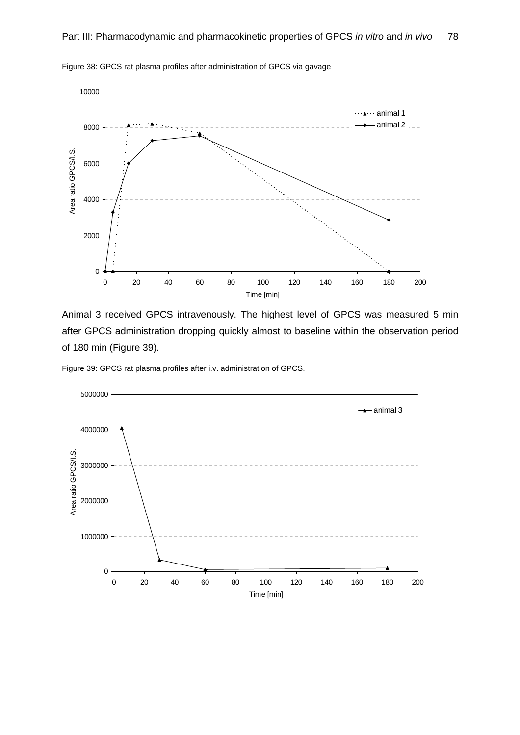

Figure 38: GPCS rat plasma profiles after administration of GPCS via gavage

Animal 3 received GPCS intravenously. The highest level of GPCS was measured 5 min after GPCS administration dropping quickly almost to baseline within the observation period of 180 min (Figure 39).

Figure 39: GPCS rat plasma profiles after i.v. administration of GPCS.

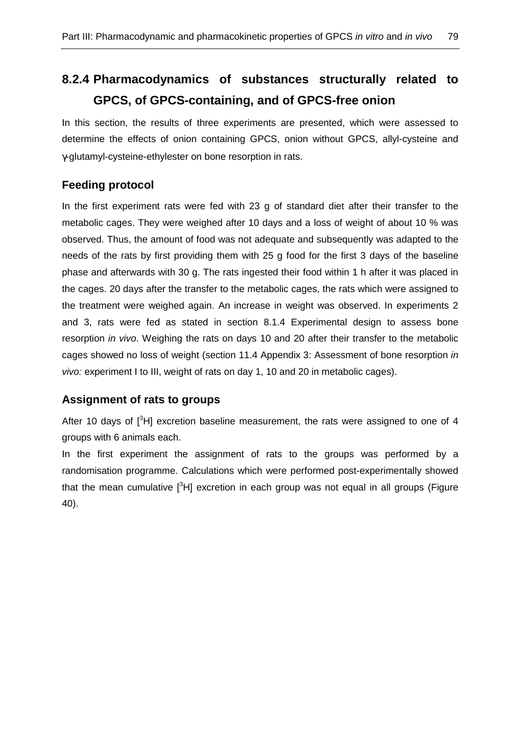# **8.2.4 Pharmacodynamics of substances structurally related to GPCS, of GPCS-containing, and of GPCS-free onion**

In this section, the results of three experiments are presented, which were assessed to determine the effects of onion containing GPCS, onion without GPCS, allyl-cysteine and γ-glutamyl-cysteine-ethylester on bone resorption in rats.

## **Feeding protocol**

In the first experiment rats were fed with 23 g of standard diet after their transfer to the metabolic cages. They were weighed after 10 days and a loss of weight of about 10 % was observed. Thus, the amount of food was not adequate and subsequently was adapted to the needs of the rats by first providing them with 25 g food for the first 3 days of the baseline phase and afterwards with 30 g. The rats ingested their food within 1 h after it was placed in the cages. 20 days after the transfer to the metabolic cages, the rats which were assigned to the treatment were weighed again. An increase in weight was observed. In experiments 2 and 3, rats were fed as stated in section 8.1.4 Experimental design to assess bone resorption in vivo. Weighing the rats on days 10 and 20 after their transfer to the metabolic cages showed no loss of weight (section 11.4 Appendix 3: Assessment of bone resorption in vivo: experiment I to III, weight of rats on day 1, 10 and 20 in metabolic cages).

## **Assignment of rats to groups**

After 10 days of  $\int_0^3 H$ ] excretion baseline measurement, the rats were assigned to one of 4 groups with 6 animals each.

In the first experiment the assignment of rats to the groups was performed by a randomisation programme. Calculations which were performed post-experimentally showed that the mean cumulative  $[3H]$  excretion in each group was not equal in all groups (Figure 40).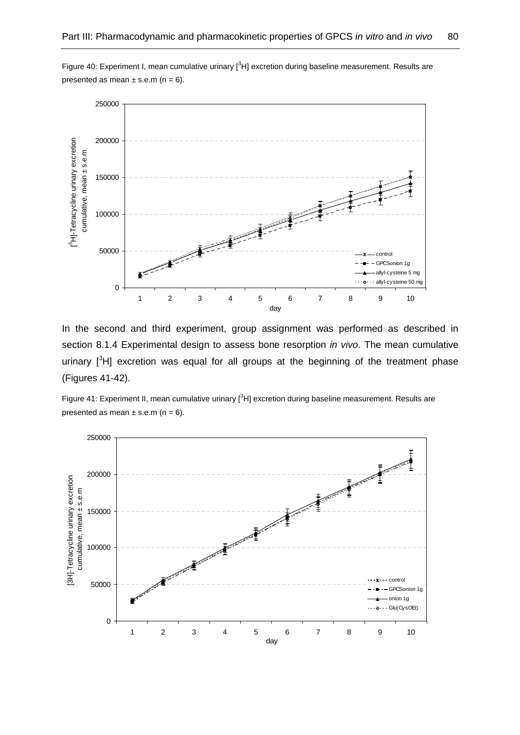



In the second and third experiment, group assignment was performed as described in section 8.1.4 Experimental design to assess bone resorption in vivo. The mean cumulative urinary  $\left[\begin{array}{cc}3H\end{array}\right]$  excretion was equal for all groups at the beginning of the treatment phase (Figures 41-42).

Figure 41: Experiment II, mean cumulative urinary [<sup>3</sup>H] excretion during baseline measurement. Results are presented as mean  $\pm$  s.e.m (n = 6).

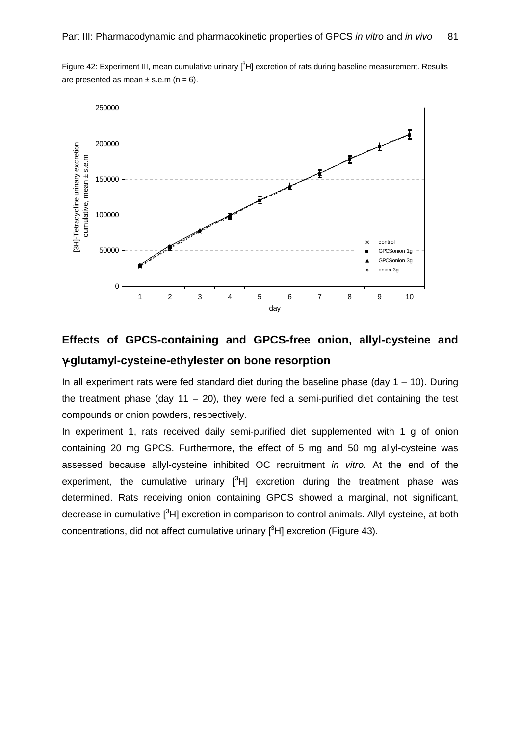Figure 42: Experiment III, mean cumulative urinary  $1<sup>3</sup>H$  excretion of rats during baseline measurement. Results are presented as mean  $\pm$  s.e.m (n = 6).



# **Effects of GPCS-containing and GPCS-free onion, allyl-cysteine and**  γ**-glutamyl-cysteine-ethylester on bone resorption**

In all experiment rats were fed standard diet during the baseline phase (day  $1 - 10$ ). During the treatment phase (day 11 – 20), they were fed a semi-purified diet containing the test compounds or onion powders, respectively.

In experiment 1, rats received daily semi-purified diet supplemented with 1 g of onion containing 20 mg GPCS. Furthermore, the effect of 5 mg and 50 mg allyl-cysteine was assessed because allyl-cysteine inhibited OC recruitment in vitro. At the end of the experiment, the cumulative urinary  $[{}^{3}H]$  excretion during the treatment phase was determined. Rats receiving onion containing GPCS showed a marginal, not significant, decrease in cumulative [<sup>3</sup>H] excretion in comparison to control animals. Allyl-cysteine, at both concentrations, did not affect cumulative urinary  $[{}^{3}H]$  excretion (Figure 43).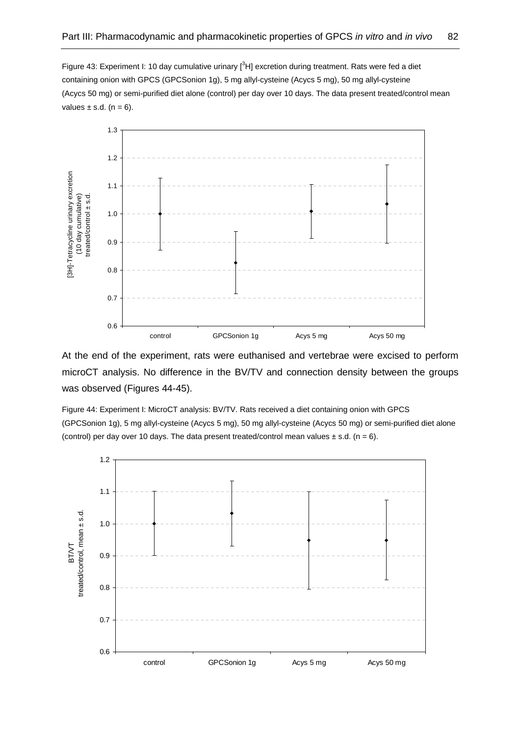Figure 43: Experiment I: 10 day cumulative urinary  $[{}^{3}H]$  excretion during treatment. Rats were fed a diet containing onion with GPCS (GPCSonion 1g), 5 mg allyl-cysteine (Acycs 5 mg), 50 mg allyl-cysteine (Acycs 50 mg) or semi-purified diet alone (control) per day over 10 days. The data present treated/control mean values  $\pm$  s.d. (n = 6).



At the end of the experiment, rats were euthanised and vertebrae were excised to perform microCT analysis. No difference in the BV/TV and connection density between the groups was observed (Figures 44-45).

Figure 44: Experiment I: MicroCT analysis: BV/TV. Rats received a diet containing onion with GPCS (GPCSonion 1g), 5 mg allyl-cysteine (Acycs 5 mg), 50 mg allyl-cysteine (Acycs 50 mg) or semi-purified diet alone (control) per day over 10 days. The data present treated/control mean values  $\pm$  s.d. (n = 6).

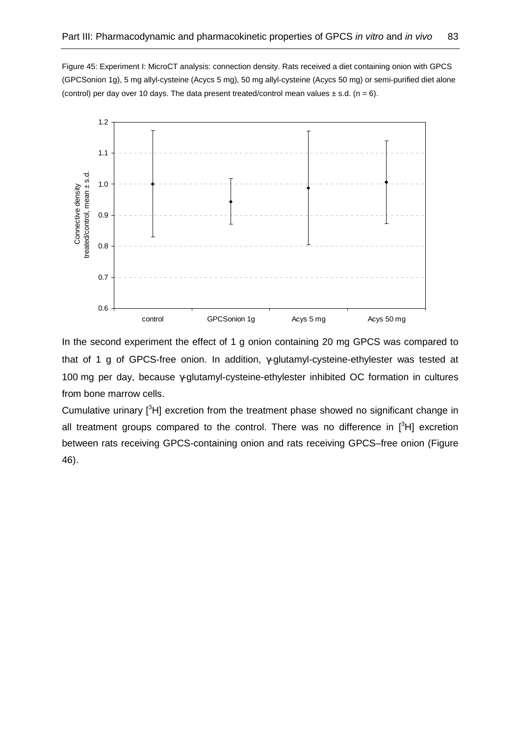Figure 45: Experiment I: MicroCT analysis: connection density. Rats received a diet containing onion with GPCS (GPCSonion 1g), 5 mg allyl-cysteine (Acycs 5 mg), 50 mg allyl-cysteine (Acycs 50 mg) or semi-purified diet alone (control) per day over 10 days. The data present treated/control mean values  $\pm$  s.d. (n = 6).



In the second experiment the effect of 1 g onion containing 20 mg GPCS was compared to that of 1 g of GPCS-free onion. In addition, γ-glutamyl-cysteine-ethylester was tested at 100 mg per day, because γ-glutamyl-cysteine-ethylester inhibited OC formation in cultures from bone marrow cells.

Cumulative urinary  $[{}^{3}H]$  excretion from the treatment phase showed no significant change in all treatment groups compared to the control. There was no difference in  $[{}^{3}H]$  excretion between rats receiving GPCS-containing onion and rats receiving GPCS–free onion (Figure 46).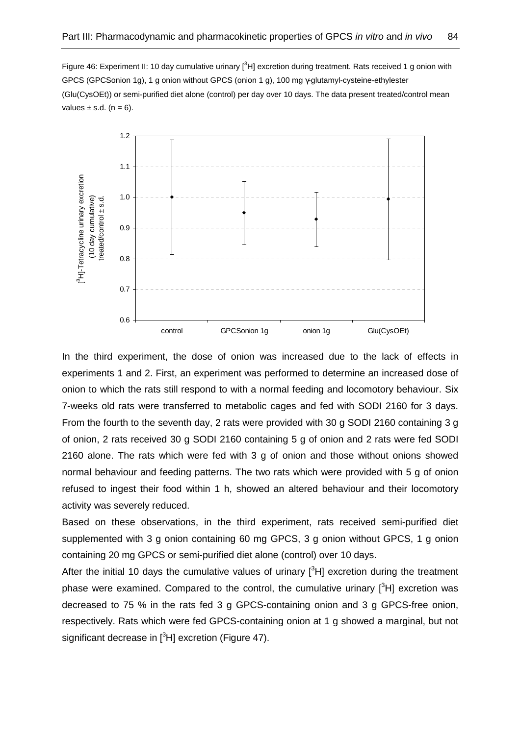Figure 46: Experiment II: 10 day cumulative urinary  $[^{3}H]$  excretion during treatment. Rats received 1 g onion with GPCS (GPCSonion 1g), 1 g onion without GPCS (onion 1 g), 100 mg γ-glutamyl-cysteine-ethylester (Glu(CysOEt)) or semi-purified diet alone (control) per day over 10 days. The data present treated/control mean values  $\pm$  s.d. (n = 6).



In the third experiment, the dose of onion was increased due to the lack of effects in experiments 1 and 2. First, an experiment was performed to determine an increased dose of onion to which the rats still respond to with a normal feeding and locomotory behaviour. Six 7-weeks old rats were transferred to metabolic cages and fed with SODI 2160 for 3 days. From the fourth to the seventh day, 2 rats were provided with 30 g SODI 2160 containing 3 g of onion, 2 rats received 30 g SODI 2160 containing 5 g of onion and 2 rats were fed SODI 2160 alone. The rats which were fed with 3 g of onion and those without onions showed normal behaviour and feeding patterns. The two rats which were provided with 5 g of onion refused to ingest their food within 1 h, showed an altered behaviour and their locomotory activity was severely reduced.

Based on these observations, in the third experiment, rats received semi-purified diet supplemented with 3 g onion containing 60 mg GPCS, 3 g onion without GPCS, 1 g onion containing 20 mg GPCS or semi-purified diet alone (control) over 10 days.

After the initial 10 days the cumulative values of urinary  $[3H]$  excretion during the treatment phase were examined. Compared to the control, the cumulative urinary  $[{}^{3}H]$  excretion was decreased to 75 % in the rats fed 3 g GPCS-containing onion and 3 g GPCS-free onion, respectively. Rats which were fed GPCS-containing onion at 1 g showed a marginal, but not significant decrease in  $[{}^3H]$  excretion (Figure 47).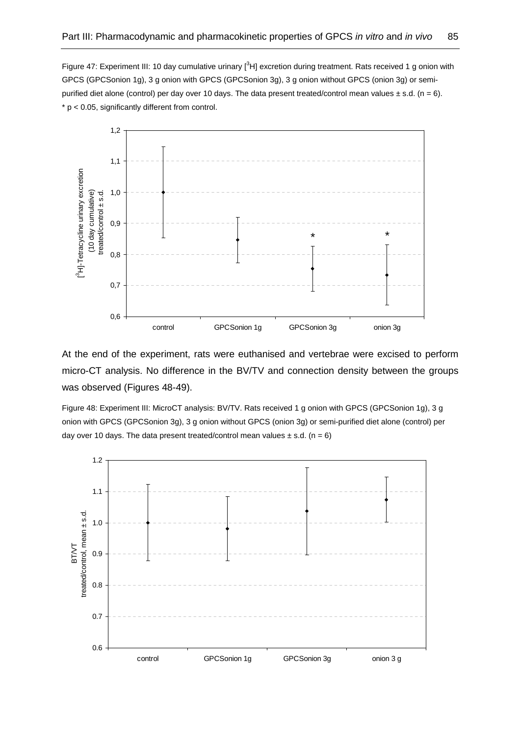Figure 47: Experiment III: 10 day cumulative urinary  $[3H]$  excretion during treatment. Rats received 1 g onion with GPCS (GPCSonion 1g), 3 g onion with GPCS (GPCSonion 3g), 3 g onion without GPCS (onion 3g) or semipurified diet alone (control) per day over 10 days. The data present treated/control mean values  $\pm$  s.d. (n = 6).  $* p < 0.05$ , significantly different from control.



At the end of the experiment, rats were euthanised and vertebrae were excised to perform micro-CT analysis. No difference in the BV/TV and connection density between the groups was observed (Figures 48-49).

Figure 48: Experiment III: MicroCT analysis: BV/TV. Rats received 1 g onion with GPCS (GPCSonion 1g), 3 g onion with GPCS (GPCSonion 3g), 3 g onion without GPCS (onion 3g) or semi-purified diet alone (control) per day over 10 days. The data present treated/control mean values  $\pm$  s.d. (n = 6)

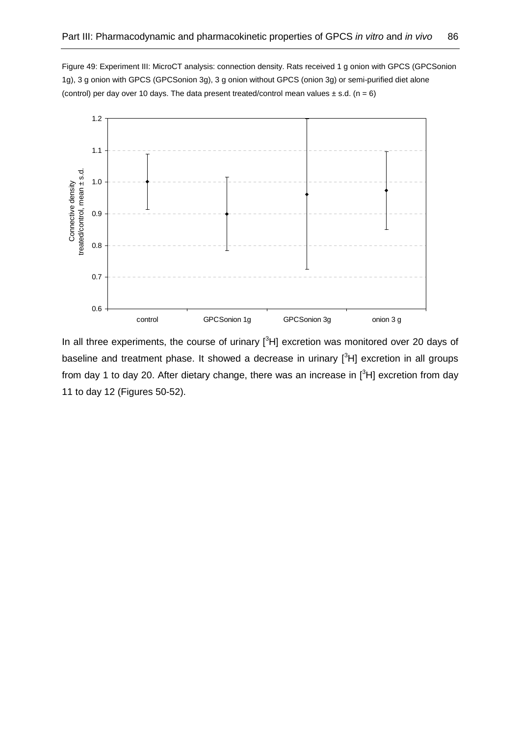Figure 49: Experiment III: MicroCT analysis: connection density. Rats received 1 g onion with GPCS (GPCSonion 1g), 3 g onion with GPCS (GPCSonion 3g), 3 g onion without GPCS (onion 3g) or semi-purified diet alone (control) per day over 10 days. The data present treated/control mean values  $\pm$  s.d. (n = 6)



In all three experiments, the course of urinary  $[{}^{3}H]$  excretion was monitored over 20 days of baseline and treatment phase. It showed a decrease in urinary  $[{}^{3}H]$  excretion in all groups from day 1 to day 20. After dietary change, there was an increase in  $[{}^{3}H]$  excretion from day 11 to day 12 (Figures 50-52).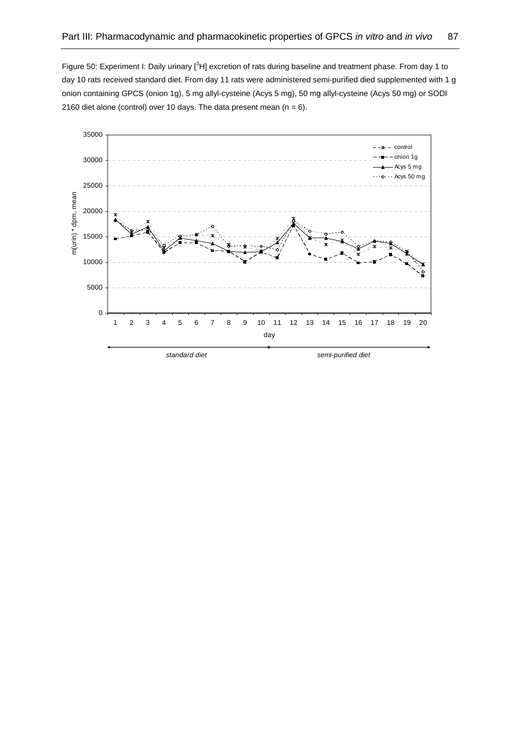Figure 50: Experiment I: Daily urinary [<sup>3</sup>H] excretion of rats during baseline and treatment phase. From day 1 to day 10 rats received standard diet. From day 11 rats were administered semi-purified died supplemented with 1 g onion containing GPCS (onion 1g), 5 mg allyl-cysteine (Acys 5 mg), 50 mg allyl-cysteine (Acys 50 mg) or SODI 2160 diet alone (control) over 10 days. The data present mean  $(n = 6)$ .

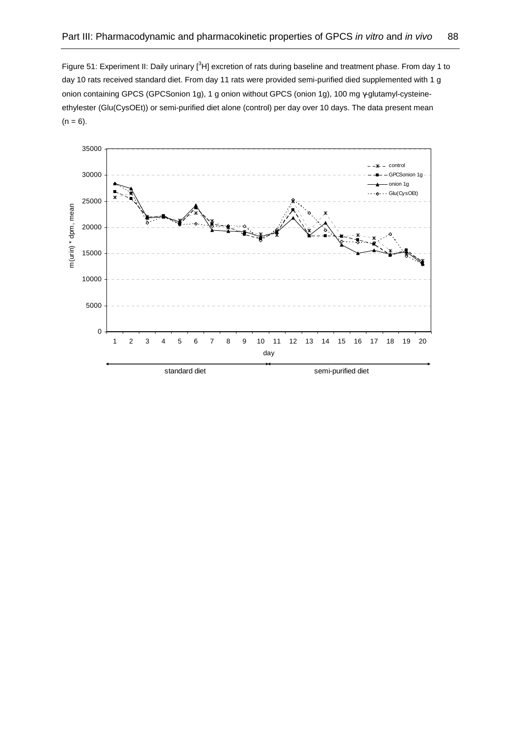Figure 51: Experiment II: Daily urinary [<sup>3</sup>H] excretion of rats during baseline and treatment phase. From day 1 to day 10 rats received standard diet. From day 11 rats were provided semi-purified died supplemented with 1 g onion containing GPCS (GPCSonion 1g), 1 g onion without GPCS (onion 1g), 100 mg γ-glutamyl-cysteineethylester (Glu(CysOEt)) or semi-purified diet alone (control) per day over 10 days. The data present mean  $(n = 6)$ .

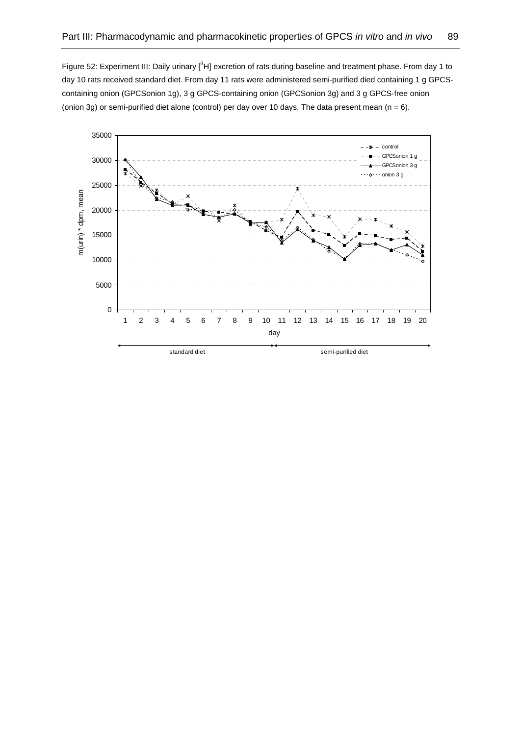Figure 52: Experiment III: Daily urinary [<sup>3</sup>H] excretion of rats during baseline and treatment phase. From day 1 to day 10 rats received standard diet. From day 11 rats were administered semi-purified died containing 1 g GPCScontaining onion (GPCSonion 1g), 3 g GPCS-containing onion (GPCSonion 3g) and 3 g GPCS-free onion (onion 3g) or semi-purified diet alone (control) per day over 10 days. The data present mean ( $n = 6$ ).

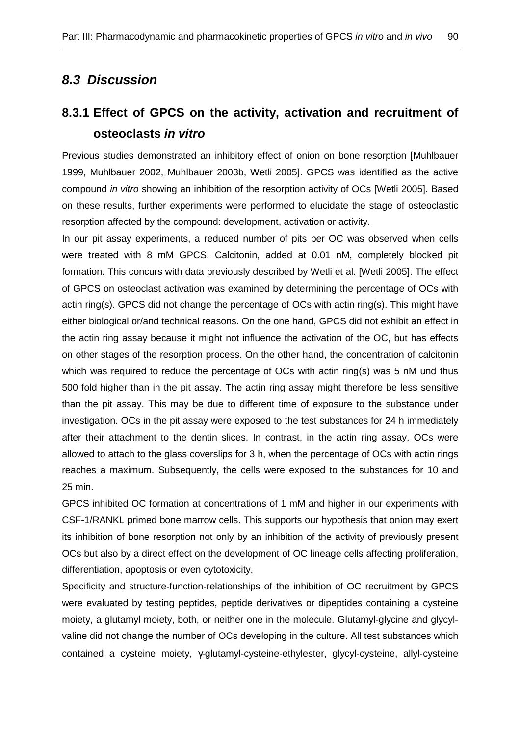# **8.3 Discussion**

# **8.3.1 Effect of GPCS on the activity, activation and recruitment of osteoclasts in vitro**

Previous studies demonstrated an inhibitory effect of onion on bone resorption [Muhlbauer 1999, Muhlbauer 2002, Muhlbauer 2003b, Wetli 2005]. GPCS was identified as the active compound in vitro showing an inhibition of the resorption activity of OCs [Wetli 2005]. Based on these results, further experiments were performed to elucidate the stage of osteoclastic resorption affected by the compound: development, activation or activity.

In our pit assay experiments, a reduced number of pits per OC was observed when cells were treated with 8 mM GPCS. Calcitonin, added at 0.01 nM, completely blocked pit formation. This concurs with data previously described by Wetli et al. [Wetli 2005]. The effect of GPCS on osteoclast activation was examined by determining the percentage of OCs with actin ring(s). GPCS did not change the percentage of OCs with actin ring(s). This might have either biological or/and technical reasons. On the one hand, GPCS did not exhibit an effect in the actin ring assay because it might not influence the activation of the OC, but has effects on other stages of the resorption process. On the other hand, the concentration of calcitonin which was required to reduce the percentage of OCs with actin ring(s) was 5 nM und thus 500 fold higher than in the pit assay. The actin ring assay might therefore be less sensitive than the pit assay. This may be due to different time of exposure to the substance under investigation. OCs in the pit assay were exposed to the test substances for 24 h immediately after their attachment to the dentin slices. In contrast, in the actin ring assay, OCs were allowed to attach to the glass coverslips for 3 h, when the percentage of OCs with actin rings reaches a maximum. Subsequently, the cells were exposed to the substances for 10 and 25 min.

GPCS inhibited OC formation at concentrations of 1 mM and higher in our experiments with CSF-1/RANKL primed bone marrow cells. This supports our hypothesis that onion may exert its inhibition of bone resorption not only by an inhibition of the activity of previously present OCs but also by a direct effect on the development of OC lineage cells affecting proliferation, differentiation, apoptosis or even cytotoxicity.

Specificity and structure-function-relationships of the inhibition of OC recruitment by GPCS were evaluated by testing peptides, peptide derivatives or dipeptides containing a cysteine moiety, a glutamyl moiety, both, or neither one in the molecule. Glutamyl-glycine and glycylvaline did not change the number of OCs developing in the culture. All test substances which contained a cysteine moiety, γ-glutamyl-cysteine-ethylester, glycyl-cysteine, allyl-cysteine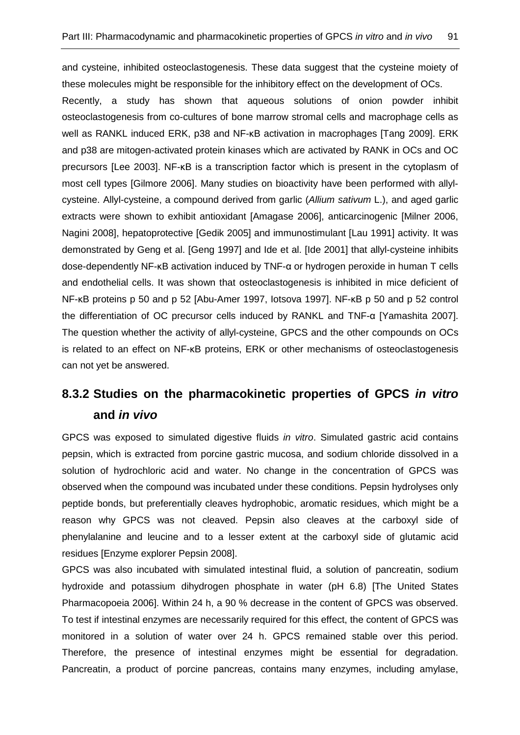and cysteine, inhibited osteoclastogenesis. These data suggest that the cysteine moiety of these molecules might be responsible for the inhibitory effect on the development of OCs.

Recently, a study has shown that aqueous solutions of onion powder inhibit osteoclastogenesis from co-cultures of bone marrow stromal cells and macrophage cells as well as RANKL induced ERK, p38 and NF-κB activation in macrophages [Tang 2009]. ERK and p38 are mitogen-activated protein kinases which are activated by RANK in OCs and OC precursors [Lee 2003]. NF-κB is a transcription factor which is present in the cytoplasm of most cell types [Gilmore 2006]. Many studies on bioactivity have been performed with allylcysteine. Allyl-cysteine, a compound derived from garlic (Allium sativum L.), and aged garlic extracts were shown to exhibit antioxidant [Amagase 2006], anticarcinogenic [Milner 2006, Nagini 2008], hepatoprotective [Gedik 2005] and immunostimulant [Lau 1991] activity. It was demonstrated by Geng et al. [Geng 1997] and Ide et al. [Ide 2001] that allyl-cysteine inhibits dose-dependently NF-κB activation induced by TNF-α or hydrogen peroxide in human T cells and endothelial cells. It was shown that osteoclastogenesis is inhibited in mice deficient of NF-κB proteins p 50 and p 52 [Abu-Amer 1997, Iotsova 1997]. NF-κB p 50 and p 52 control the differentiation of OC precursor cells induced by RANKL and TNF-α [Yamashita 2007]. The question whether the activity of allyl-cysteine, GPCS and the other compounds on OCs is related to an effect on NF-κB proteins, ERK or other mechanisms of osteoclastogenesis can not yet be answered.

# **8.3.2 Studies on the pharmacokinetic properties of GPCS in vitro and in vivo**

GPCS was exposed to simulated digestive fluids in vitro. Simulated gastric acid contains pepsin, which is extracted from porcine gastric mucosa, and sodium chloride dissolved in a solution of hydrochloric acid and water. No change in the concentration of GPCS was observed when the compound was incubated under these conditions. Pepsin hydrolyses only peptide bonds, but preferentially cleaves hydrophobic, aromatic residues, which might be a reason why GPCS was not cleaved. Pepsin also cleaves at the carboxyl side of phenylalanine and leucine and to a lesser extent at the carboxyl side of glutamic acid residues [Enzyme explorer Pepsin 2008].

GPCS was also incubated with simulated intestinal fluid, a solution of pancreatin, sodium hydroxide and potassium dihydrogen phosphate in water (pH 6.8) [The United States Pharmacopoeia 2006]. Within 24 h, a 90 % decrease in the content of GPCS was observed. To test if intestinal enzymes are necessarily required for this effect, the content of GPCS was monitored in a solution of water over 24 h. GPCS remained stable over this period. Therefore, the presence of intestinal enzymes might be essential for degradation. Pancreatin, a product of porcine pancreas, contains many enzymes, including amylase,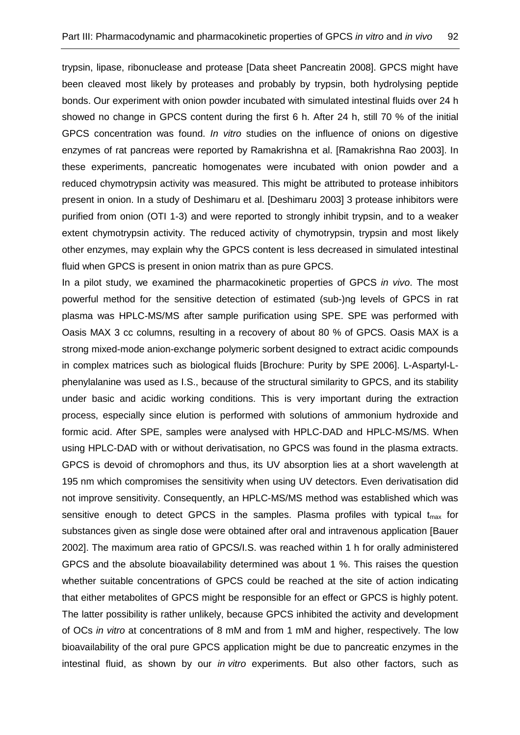trypsin, lipase, ribonuclease and protease [Data sheet Pancreatin 2008]. GPCS might have been cleaved most likely by proteases and probably by trypsin, both hydrolysing peptide bonds. Our experiment with onion powder incubated with simulated intestinal fluids over 24 h showed no change in GPCS content during the first 6 h. After 24 h, still 70 % of the initial GPCS concentration was found. In vitro studies on the influence of onions on digestive enzymes of rat pancreas were reported by Ramakrishna et al. [Ramakrishna Rao 2003]. In these experiments, pancreatic homogenates were incubated with onion powder and a reduced chymotrypsin activity was measured. This might be attributed to protease inhibitors present in onion. In a study of Deshimaru et al. [Deshimaru 2003] 3 protease inhibitors were purified from onion (OTI 1-3) and were reported to strongly inhibit trypsin, and to a weaker extent chymotrypsin activity. The reduced activity of chymotrypsin, trypsin and most likely other enzymes, may explain why the GPCS content is less decreased in simulated intestinal fluid when GPCS is present in onion matrix than as pure GPCS.

In a pilot study, we examined the pharmacokinetic properties of GPCS in vivo. The most powerful method for the sensitive detection of estimated (sub-)ng levels of GPCS in rat plasma was HPLC-MS/MS after sample purification using SPE. SPE was performed with Oasis MAX 3 cc columns, resulting in a recovery of about 80 % of GPCS. Oasis MAX is a strong mixed-mode anion-exchange polymeric sorbent designed to extract acidic compounds in complex matrices such as biological fluids [Brochure: Purity by SPE 2006]. L-Aspartyl-Lphenylalanine was used as I.S., because of the structural similarity to GPCS, and its stability under basic and acidic working conditions. This is very important during the extraction process, especially since elution is performed with solutions of ammonium hydroxide and formic acid. After SPE, samples were analysed with HPLC-DAD and HPLC-MS/MS. When using HPLC-DAD with or without derivatisation, no GPCS was found in the plasma extracts. GPCS is devoid of chromophors and thus, its UV absorption lies at a short wavelength at 195 nm which compromises the sensitivity when using UV detectors. Even derivatisation did not improve sensitivity. Consequently, an HPLC-MS/MS method was established which was sensitive enough to detect GPCS in the samples. Plasma profiles with typical  $t_{max}$  for substances given as single dose were obtained after oral and intravenous application [Bauer 2002]. The maximum area ratio of GPCS/I.S. was reached within 1 h for orally administered GPCS and the absolute bioavailability determined was about 1 %. This raises the question whether suitable concentrations of GPCS could be reached at the site of action indicating that either metabolites of GPCS might be responsible for an effect or GPCS is highly potent. The latter possibility is rather unlikely, because GPCS inhibited the activity and development of OCs in vitro at concentrations of 8 mM and from 1 mM and higher, respectively. The low bioavailability of the oral pure GPCS application might be due to pancreatic enzymes in the intestinal fluid, as shown by our *in vitro* experiments. But also other factors, such as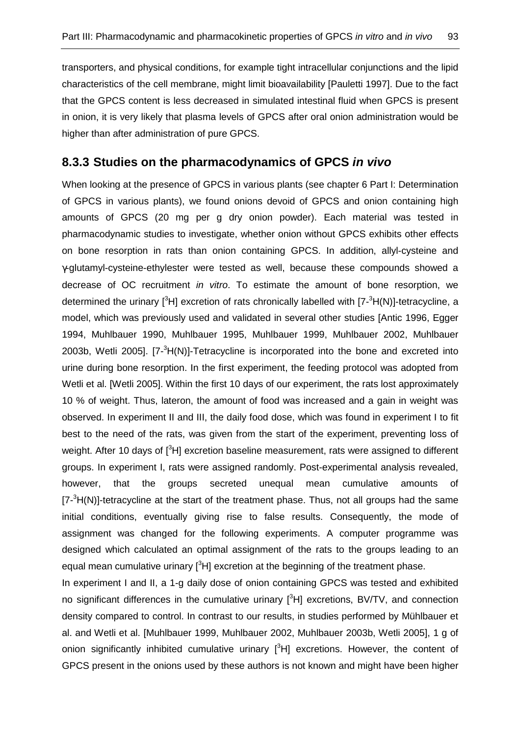transporters, and physical conditions, for example tight intracellular conjunctions and the lipid characteristics of the cell membrane, might limit bioavailability [Pauletti 1997]. Due to the fact that the GPCS content is less decreased in simulated intestinal fluid when GPCS is present in onion, it is very likely that plasma levels of GPCS after oral onion administration would be higher than after administration of pure GPCS.

## **8.3.3 Studies on the pharmacodynamics of GPCS in vivo**

When looking at the presence of GPCS in various plants (see chapter 6 Part I: Determination of GPCS in various plants), we found onions devoid of GPCS and onion containing high amounts of GPCS (20 mg per g dry onion powder). Each material was tested in pharmacodynamic studies to investigate, whether onion without GPCS exhibits other effects on bone resorption in rats than onion containing GPCS. In addition, allyl-cysteine and γ-glutamyl-cysteine-ethylester were tested as well, because these compounds showed a decrease of OC recruitment in vitro. To estimate the amount of bone resorption, we determined the urinary  $[3H]$  excretion of rats chronically labelled with  $[7-3H(N)]$ -tetracycline, a model, which was previously used and validated in several other studies [Antic 1996, Egger 1994, Muhlbauer 1990, Muhlbauer 1995, Muhlbauer 1999, Muhlbauer 2002, Muhlbauer 2003b, Wetli 2005].  $[7-3H(N)]$ -Tetracycline is incorporated into the bone and excreted into urine during bone resorption. In the first experiment, the feeding protocol was adopted from Wetli et al. [Wetli 2005]. Within the first 10 days of our experiment, the rats lost approximately 10 % of weight. Thus, lateron, the amount of food was increased and a gain in weight was observed. In experiment II and III, the daily food dose, which was found in experiment I to fit best to the need of the rats, was given from the start of the experiment, preventing loss of weight. After 10 days of  $\binom{3}{1}$  excretion baseline measurement, rats were assigned to different groups. In experiment I, rats were assigned randomly. Post-experimental analysis revealed, however, that the groups secreted unequal mean cumulative amounts of  $[7<sup>3</sup>H(N)]$ -tetracycline at the start of the treatment phase. Thus, not all groups had the same initial conditions, eventually giving rise to false results. Consequently, the mode of assignment was changed for the following experiments. A computer programme was designed which calculated an optimal assignment of the rats to the groups leading to an equal mean cumulative urinary  $[{}^{3}H]$  excretion at the beginning of the treatment phase.

In experiment I and II, a 1-g daily dose of onion containing GPCS was tested and exhibited no significant differences in the cumulative urinary  $[{}^{3}H]$  excretions, BV/TV, and connection density compared to control. In contrast to our results, in studies performed by Mühlbauer et al. and Wetli et al. [Muhlbauer 1999, Muhlbauer 2002, Muhlbauer 2003b, Wetli 2005], 1 g of onion significantly inhibited cumulative urinary  $[{}^{3}H]$  excretions. However, the content of GPCS present in the onions used by these authors is not known and might have been higher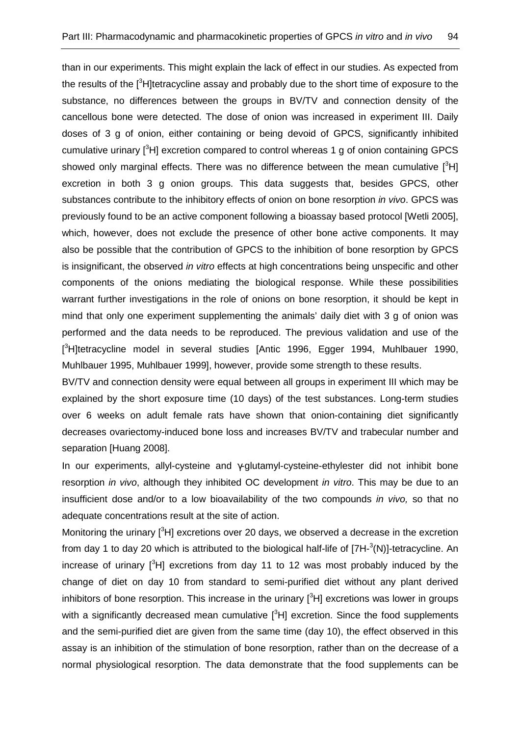than in our experiments. This might explain the lack of effect in our studies. As expected from the results of the <sup>[3</sup>H]tetracycline assay and probably due to the short time of exposure to the substance, no differences between the groups in BV/TV and connection density of the cancellous bone were detected. The dose of onion was increased in experiment III. Daily doses of 3 g of onion, either containing or being devoid of GPCS, significantly inhibited cumulative urinary  $[{}^{3}H]$  excretion compared to control whereas 1 g of onion containing GPCS showed only marginal effects. There was no difference between the mean cumulative  $[^3H]$ excretion in both 3 g onion groups. This data suggests that, besides GPCS, other substances contribute to the inhibitory effects of onion on bone resorption in vivo. GPCS was previously found to be an active component following a bioassay based protocol [Wetli 2005], which, however, does not exclude the presence of other bone active components. It may also be possible that the contribution of GPCS to the inhibition of bone resorption by GPCS is insignificant, the observed in vitro effects at high concentrations being unspecific and other components of the onions mediating the biological response. While these possibilities warrant further investigations in the role of onions on bone resorption, it should be kept in mind that only one experiment supplementing the animals' daily diet with 3 g of onion was performed and the data needs to be reproduced. The previous validation and use of the [<sup>3</sup>H]tetracycline model in several studies [Antic 1996, Egger 1994, Muhlbauer 1990, Muhlbauer 1995, Muhlbauer 1999], however, provide some strength to these results.

BV/TV and connection density were equal between all groups in experiment III which may be explained by the short exposure time (10 days) of the test substances. Long-term studies over 6 weeks on adult female rats have shown that onion-containing diet significantly decreases ovariectomy-induced bone loss and increases BV/TV and trabecular number and separation [Huang 2008].

In our experiments, allyl-cysteine and γ-glutamyl-cysteine-ethylester did not inhibit bone resorption *in vivo*, although they inhibited OC development *in vitro*. This may be due to an insufficient dose and/or to a low bioavailability of the two compounds in vivo, so that no adequate concentrations result at the site of action.

Monitoring the urinary  $\binom{3}{1}$  excretions over 20 days, we observed a decrease in the excretion from day 1 to day 20 which is attributed to the biological half-life of  $[7H<sup>-3</sup>(N)]$ -tetracycline. An increase of urinary  $[3H]$  excretions from day 11 to 12 was most probably induced by the change of diet on day 10 from standard to semi-purified diet without any plant derived inhibitors of bone resorption. This increase in the urinary  $[{}^{3}H]$  excretions was lower in groups with a significantly decreased mean cumulative  $[{}^{3}H]$  excretion. Since the food supplements and the semi-purified diet are given from the same time (day 10), the effect observed in this assay is an inhibition of the stimulation of bone resorption, rather than on the decrease of a normal physiological resorption. The data demonstrate that the food supplements can be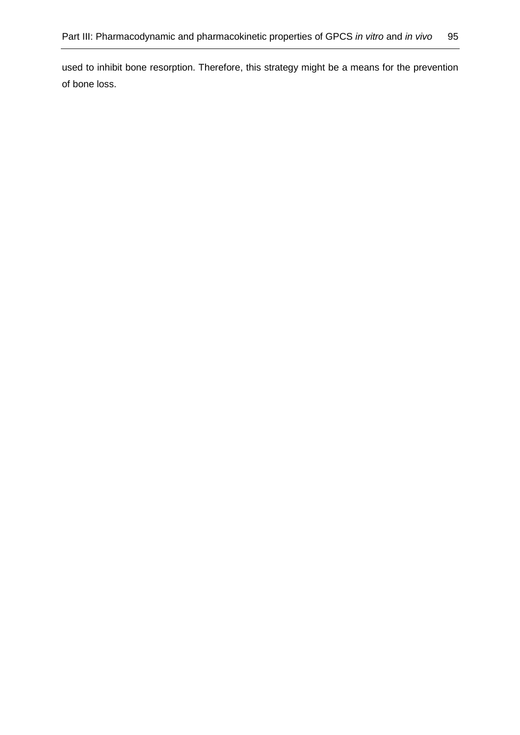used to inhibit bone resorption. Therefore, this strategy might be a means for the prevention of bone loss.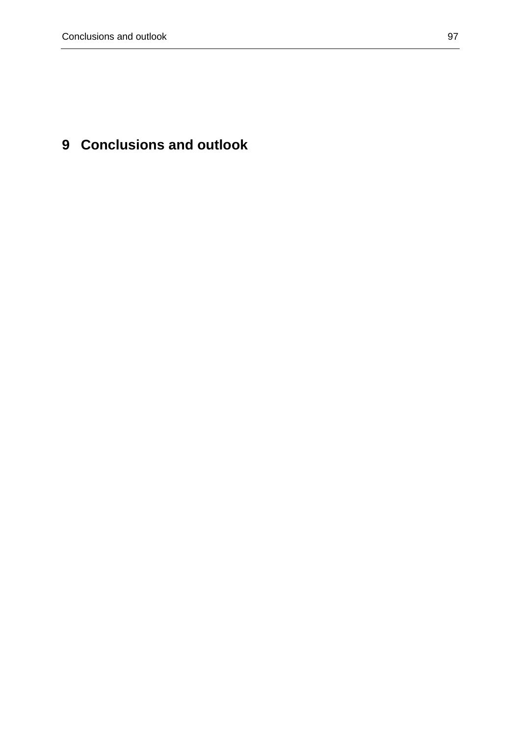# **9 Conclusions and outlook**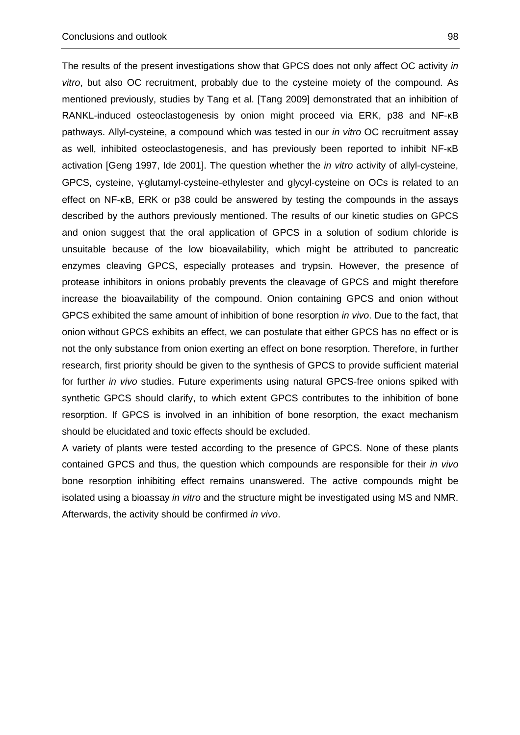The results of the present investigations show that GPCS does not only affect OC activity in vitro, but also OC recruitment, probably due to the cysteine moiety of the compound. As mentioned previously, studies by Tang et al. [Tang 2009] demonstrated that an inhibition of RANKL-induced osteoclastogenesis by onion might proceed via ERK, p38 and NF-κB pathways. Allyl-cysteine, a compound which was tested in our in vitro OC recruitment assay as well, inhibited osteoclastogenesis, and has previously been reported to inhibit NF-κB activation [Geng 1997, Ide 2001]. The question whether the *in vitro* activity of allyl-cysteine, GPCS, cysteine, γ-glutamyl-cysteine-ethylester and glycyl-cysteine on OCs is related to an effect on NF-κB, ERK or p38 could be answered by testing the compounds in the assays described by the authors previously mentioned. The results of our kinetic studies on GPCS and onion suggest that the oral application of GPCS in a solution of sodium chloride is unsuitable because of the low bioavailability, which might be attributed to pancreatic enzymes cleaving GPCS, especially proteases and trypsin. However, the presence of protease inhibitors in onions probably prevents the cleavage of GPCS and might therefore increase the bioavailability of the compound. Onion containing GPCS and onion without GPCS exhibited the same amount of inhibition of bone resorption in vivo. Due to the fact, that onion without GPCS exhibits an effect, we can postulate that either GPCS has no effect or is not the only substance from onion exerting an effect on bone resorption. Therefore, in further research, first priority should be given to the synthesis of GPCS to provide sufficient material for further in vivo studies. Future experiments using natural GPCS-free onions spiked with synthetic GPCS should clarify, to which extent GPCS contributes to the inhibition of bone resorption. If GPCS is involved in an inhibition of bone resorption, the exact mechanism should be elucidated and toxic effects should be excluded.

A variety of plants were tested according to the presence of GPCS. None of these plants contained GPCS and thus, the question which compounds are responsible for their in vivo bone resorption inhibiting effect remains unanswered. The active compounds might be isolated using a bioassay in vitro and the structure might be investigated using MS and NMR. Afterwards, the activity should be confirmed in vivo.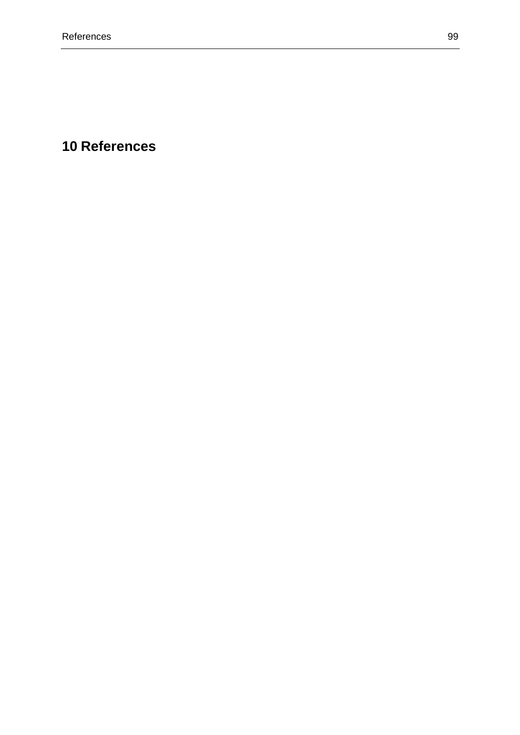## **10 References**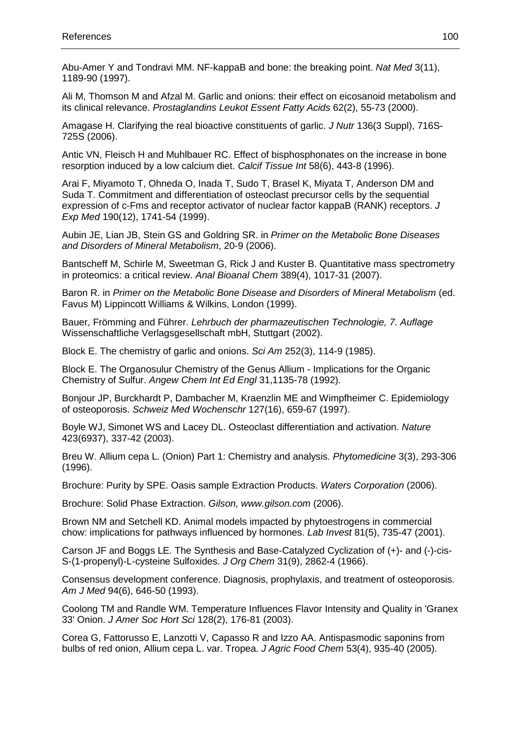Abu-Amer Y and Tondravi MM. NF-kappaB and bone: the breaking point. Nat Med 3(11), 1189-90 (1997).

Ali M, Thomson M and Afzal M. Garlic and onions: their effect on eicosanoid metabolism and its clinical relevance. Prostaglandins Leukot Essent Fatty Acids 62(2), 55-73 (2000).

Amagase H. Clarifying the real bioactive constituents of garlic. J Nutr 136(3 Suppl), 716S-725S (2006).

Antic VN, Fleisch H and Muhlbauer RC. Effect of bisphosphonates on the increase in bone resorption induced by a low calcium diet. Calcif Tissue Int 58(6), 443-8 (1996).

Arai F, Miyamoto T, Ohneda O, Inada T, Sudo T, Brasel K, Miyata T, Anderson DM and Suda T. Commitment and differentiation of osteoclast precursor cells by the sequential expression of c-Fms and receptor activator of nuclear factor kappaB (RANK) receptors. J Exp Med 190(12), 1741-54 (1999).

Aubin JE, Lian JB, Stein GS and Goldring SR. in Primer on the Metabolic Bone Diseases and Disorders of Mineral Metabolism, 20-9 (2006).

Bantscheff M, Schirle M, Sweetman G, Rick J and Kuster B. Quantitative mass spectrometry in proteomics: a critical review. Anal Bioanal Chem 389(4), 1017-31 (2007).

Baron R. in Primer on the Metabolic Bone Disease and Disorders of Mineral Metabolism (ed. Favus M) Lippincott Williams & Wilkins, London (1999).

Bauer, Frömming and Führer. Lehrbuch der pharmazeutischen Technologie, 7. Auflage Wissenschaftliche Verlagsgesellschaft mbH, Stuttgart (2002).

Block E. The chemistry of garlic and onions. Sci Am 252(3), 114-9 (1985).

Block E. The Organosulur Chemistry of the Genus Allium - Implications for the Organic Chemistry of Sulfur. Angew Chem Int Ed Engl 31,1135-78 (1992).

Bonjour JP, Burckhardt P, Dambacher M, Kraenzlin ME and Wimpfheimer C. Epidemiology of osteoporosis. Schweiz Med Wochenschr 127(16), 659-67 (1997).

Boyle WJ, Simonet WS and Lacey DL. Osteoclast differentiation and activation. Nature 423(6937), 337-42 (2003).

Breu W. Allium cepa L. (Onion) Part 1: Chemistry and analysis. Phytomedicine 3(3), 293-306 (1996).

Brochure: Purity by SPE. Oasis sample Extraction Products. Waters Corporation (2006).

Brochure: Solid Phase Extraction. Gilson, www.gilson.com (2006).

Brown NM and Setchell KD. Animal models impacted by phytoestrogens in commercial chow: implications for pathways influenced by hormones. Lab Invest 81(5), 735-47 (2001).

Carson JF and Boggs LE. The Synthesis and Base-Catalyzed Cyclization of (+)- and (-)-cis-S-(1-propenyl)-L-cysteine Sulfoxides. J Org Chem 31(9), 2862-4 (1966).

Consensus development conference. Diagnosis, prophylaxis, and treatment of osteoporosis. Am J Med 94(6), 646-50 (1993).

Coolong TM and Randle WM. Temperature Influences Flavor Intensity and Quality in 'Granex 33' Onion. J Amer Soc Hort Sci 128(2), 176-81 (2003).

Corea G, Fattorusso E, Lanzotti V, Capasso R and Izzo AA. Antispasmodic saponins from bulbs of red onion, Allium cepa L. var. Tropea. J Agric Food Chem 53(4), 935-40 (2005).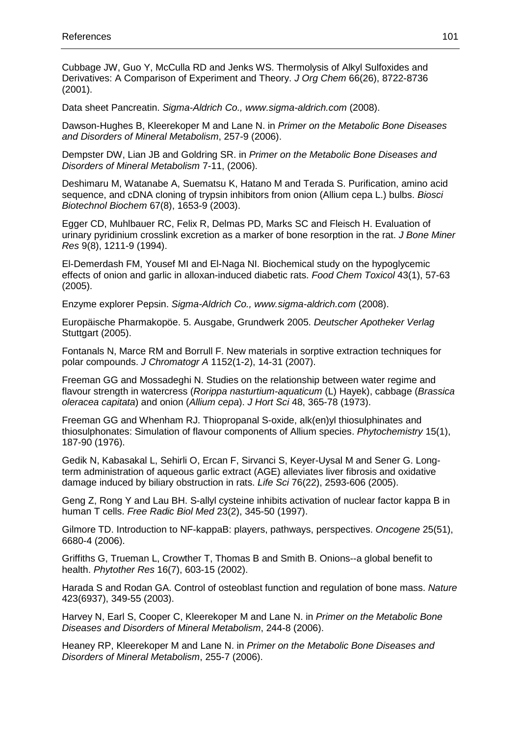Cubbage JW, Guo Y, McCulla RD and Jenks WS. Thermolysis of Alkyl Sulfoxides and Derivatives: A Comparison of Experiment and Theory. J Org Chem 66(26), 8722-8736 (2001).

Data sheet Pancreatin. Sigma-Aldrich Co., www.sigma-aldrich.com (2008).

Dawson-Hughes B, Kleerekoper M and Lane N. in Primer on the Metabolic Bone Diseases and Disorders of Mineral Metabolism, 257-9 (2006).

Dempster DW, Lian JB and Goldring SR. in Primer on the Metabolic Bone Diseases and Disorders of Mineral Metabolism 7-11, (2006).

Deshimaru M, Watanabe A, Suematsu K, Hatano M and Terada S. Purification, amino acid sequence, and cDNA cloning of trypsin inhibitors from onion (Allium cepa L.) bulbs. Biosci Biotechnol Biochem 67(8), 1653-9 (2003).

Egger CD, Muhlbauer RC, Felix R, Delmas PD, Marks SC and Fleisch H. Evaluation of urinary pyridinium crosslink excretion as a marker of bone resorption in the rat. J Bone Miner Res 9(8), 1211-9 (1994).

El-Demerdash FM, Yousef MI and El-Naga NI. Biochemical study on the hypoglycemic effects of onion and garlic in alloxan-induced diabetic rats. Food Chem Toxicol 43(1), 57-63 (2005).

Enzyme explorer Pepsin. Sigma-Aldrich Co., www.sigma-aldrich.com (2008).

Europäische Pharmakopöe. 5. Ausgabe, Grundwerk 2005. Deutscher Apotheker Verlag Stuttgart (2005).

Fontanals N, Marce RM and Borrull F. New materials in sorptive extraction techniques for polar compounds. J Chromatogr A 1152(1-2), 14-31 (2007).

Freeman GG and Mossadeghi N. Studies on the relationship between water regime and flavour strength in watercress (Rorippa nasturtium-aquaticum (L) Hayek), cabbage (Brassica oleracea capitata) and onion (Allium cepa). J Hort Sci 48, 365-78 (1973).

Freeman GG and Whenham RJ. Thiopropanal S-oxide, alk(en)yl thiosulphinates and thiosulphonates: Simulation of flavour components of Allium species. Phytochemistry 15(1), 187-90 (1976).

Gedik N, Kabasakal L, Sehirli O, Ercan F, Sirvanci S, Keyer-Uysal M and Sener G. Longterm administration of aqueous garlic extract (AGE) alleviates liver fibrosis and oxidative damage induced by biliary obstruction in rats. Life Sci 76(22), 2593-606 (2005).

Geng Z, Rong Y and Lau BH. S-allyl cysteine inhibits activation of nuclear factor kappa B in human T cells. Free Radic Biol Med 23(2), 345-50 (1997).

Gilmore TD. Introduction to NF-kappaB: players, pathways, perspectives. Oncogene 25(51), 6680-4 (2006).

Griffiths G, Trueman L, Crowther T, Thomas B and Smith B. Onions--a global benefit to health. Phytother Res 16(7), 603-15 (2002).

Harada S and Rodan GA. Control of osteoblast function and regulation of bone mass. Nature 423(6937), 349-55 (2003).

Harvey N, Earl S, Cooper C, Kleerekoper M and Lane N. in Primer on the Metabolic Bone Diseases and Disorders of Mineral Metabolism, 244-8 (2006).

Heaney RP, Kleerekoper M and Lane N. in Primer on the Metabolic Bone Diseases and Disorders of Mineral Metabolism, 255-7 (2006).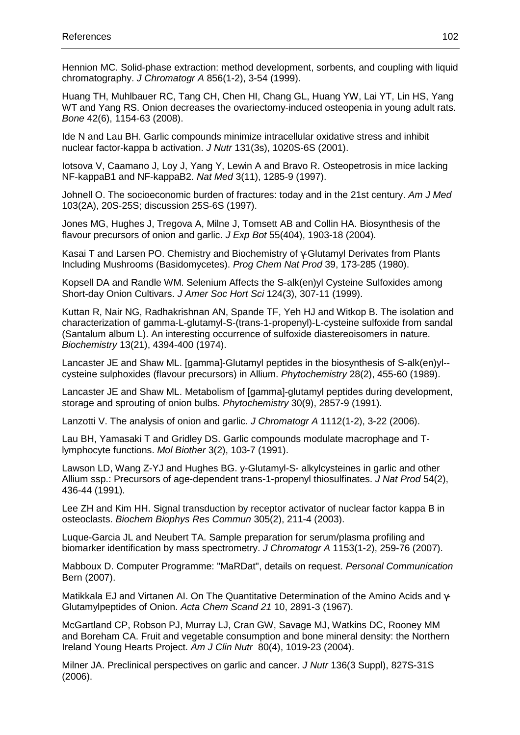Hennion MC. Solid-phase extraction: method development, sorbents, and coupling with liquid chromatography. J Chromatogr A 856(1-2), 3-54 (1999).

Huang TH, Muhlbauer RC, Tang CH, Chen HI, Chang GL, Huang YW, Lai YT, Lin HS, Yang WT and Yang RS. Onion decreases the ovariectomy-induced osteopenia in young adult rats. Bone 42(6), 1154-63 (2008).

Ide N and Lau BH. Garlic compounds minimize intracellular oxidative stress and inhibit nuclear factor-kappa b activation. J Nutr 131(3s), 1020S-6S (2001).

Iotsova V, Caamano J, Loy J, Yang Y, Lewin A and Bravo R. Osteopetrosis in mice lacking NF-kappaB1 and NF-kappaB2. Nat Med 3(11), 1285-9 (1997).

Johnell O. The socioeconomic burden of fractures: today and in the 21st century. Am J Med 103(2A), 20S-25S; discussion 25S-6S (1997).

Jones MG, Hughes J, Tregova A, Milne J, Tomsett AB and Collin HA. Biosynthesis of the flavour precursors of onion and garlic. J Exp Bot 55(404), 1903-18 (2004).

Kasai T and Larsen PO. Chemistry and Biochemistry of γ-Glutamyl Derivates from Plants Including Mushrooms (Basidomycetes). Prog Chem Nat Prod 39, 173-285 (1980).

Kopsell DA and Randle WM. Selenium Affects the S-alk(en)yl Cysteine Sulfoxides among Short-day Onion Cultivars. J Amer Soc Hort Sci 124(3), 307-11 (1999).

Kuttan R, Nair NG, Radhakrishnan AN, Spande TF, Yeh HJ and Witkop B. The isolation and characterization of gamma-L-glutamyl-S-(trans-1-propenyl)-L-cysteine sulfoxide from sandal (Santalum album L). An interesting occurrence of sulfoxide diastereoisomers in nature. Biochemistry 13(21), 4394-400 (1974).

Lancaster JE and Shaw ML. [gamma]-Glutamyl peptides in the biosynthesis of S-alk(en)yl- cysteine sulphoxides (flavour precursors) in Allium. Phytochemistry 28(2), 455-60 (1989).

Lancaster JE and Shaw ML. Metabolism of [gamma]-glutamyl peptides during development, storage and sprouting of onion bulbs. Phytochemistry 30(9), 2857-9 (1991).

Lanzotti V. The analysis of onion and garlic. J Chromatogr A 1112(1-2), 3-22 (2006).

Lau BH, Yamasaki T and Gridley DS. Garlic compounds modulate macrophage and Tlymphocyte functions. Mol Biother 3(2), 103-7 (1991).

Lawson LD, Wang Z-YJ and Hughes BG. y-Glutamyl-S- alkylcysteines in garlic and other Allium ssp.: Precursors of age-dependent trans-1-propenyl thiosulfinates. J Nat Prod 54(2), 436-44 (1991).

Lee ZH and Kim HH. Signal transduction by receptor activator of nuclear factor kappa B in osteoclasts. Biochem Biophys Res Commun 305(2), 211-4 (2003).

Luque-Garcia JL and Neubert TA. Sample preparation for serum/plasma profiling and biomarker identification by mass spectrometry. J Chromatogr A 1153(1-2), 259-76 (2007).

Mabboux D. Computer Programme: "MaRDat", details on request. Personal Communication Bern (2007).

Matikkala EJ and Virtanen AI. On The Quantitative Determination of the Amino Acids and γ-Glutamylpeptides of Onion. Acta Chem Scand 21 10, 2891-3 (1967).

McGartland CP, Robson PJ, Murray LJ, Cran GW, Savage MJ, Watkins DC, Rooney MM and Boreham CA. Fruit and vegetable consumption and bone mineral density: the Northern Ireland Young Hearts Project. Am J Clin Nutr 80(4), 1019-23 (2004).

Milner JA. Preclinical perspectives on garlic and cancer. J Nutr 136(3 Suppl), 827S-31S (2006).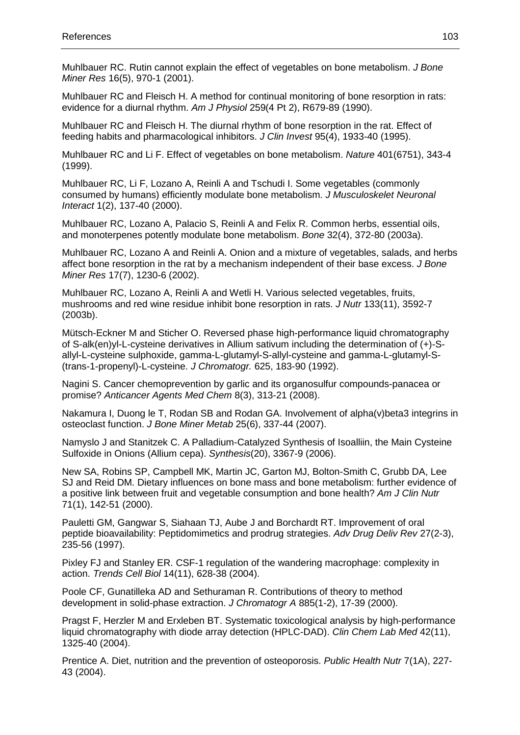Muhlbauer RC. Rutin cannot explain the effect of vegetables on bone metabolism. *J Bone* Miner Res 16(5), 970-1 (2001).

Muhlbauer RC and Fleisch H. A method for continual monitoring of bone resorption in rats: evidence for a diurnal rhythm. Am J Physiol 259(4 Pt 2), R679-89 (1990).

Muhlbauer RC and Fleisch H. The diurnal rhythm of bone resorption in the rat. Effect of feeding habits and pharmacological inhibitors. J Clin Invest 95(4), 1933-40 (1995).

Muhlbauer RC and Li F. Effect of vegetables on bone metabolism. Nature 401(6751), 343-4 (1999).

Muhlbauer RC, Li F, Lozano A, Reinli A and Tschudi I. Some vegetables (commonly consumed by humans) efficiently modulate bone metabolism. J Musculoskelet Neuronal Interact 1(2), 137-40 (2000).

Muhlbauer RC, Lozano A, Palacio S, Reinli A and Felix R. Common herbs, essential oils, and monoterpenes potently modulate bone metabolism. Bone 32(4), 372-80 (2003a).

Muhlbauer RC, Lozano A and Reinli A. Onion and a mixture of vegetables, salads, and herbs affect bone resorption in the rat by a mechanism independent of their base excess. J Bone Miner Res 17(7), 1230-6 (2002).

Muhlbauer RC, Lozano A, Reinli A and Wetli H. Various selected vegetables, fruits, mushrooms and red wine residue inhibit bone resorption in rats. J Nutr 133(11), 3592-7 (2003b).

Mütsch-Eckner M and Sticher O. Reversed phase high-performance liquid chromatography of S-alk(en)yl-L-cysteine derivatives in Allium sativum including the determination of (+)-Sallyl-L-cysteine sulphoxide, gamma-L-glutamyl-S-allyl-cysteine and gamma-L-glutamyl-S- (trans-1-propenyl)-L-cysteine. J Chromatogr. 625, 183-90 (1992).

Nagini S. Cancer chemoprevention by garlic and its organosulfur compounds-panacea or promise? Anticancer Agents Med Chem 8(3), 313-21 (2008).

Nakamura I, Duong le T, Rodan SB and Rodan GA. Involvement of alpha(v)beta3 integrins in osteoclast function. J Bone Miner Metab 25(6), 337-44 (2007).

Namyslo J and Stanitzek C. A Palladium-Catalyzed Synthesis of Isoalliin, the Main Cysteine Sulfoxide in Onions (Allium cepa). Synthesis(20), 3367-9 (2006).

New SA, Robins SP, Campbell MK, Martin JC, Garton MJ, Bolton-Smith C, Grubb DA, Lee SJ and Reid DM. Dietary influences on bone mass and bone metabolism: further evidence of a positive link between fruit and vegetable consumption and bone health? Am J Clin Nutr 71(1), 142-51 (2000).

Pauletti GM, Gangwar S, Siahaan TJ, Aube J and Borchardt RT. Improvement of oral peptide bioavailability: Peptidomimetics and prodrug strategies. Adv Drug Deliv Rev 27(2-3), 235-56 (1997).

Pixley FJ and Stanley ER. CSF-1 regulation of the wandering macrophage: complexity in action. Trends Cell Biol 14(11), 628-38 (2004).

Poole CF, Gunatilleka AD and Sethuraman R. Contributions of theory to method development in solid-phase extraction. J Chromatogr A 885(1-2), 17-39 (2000).

Pragst F, Herzler M and Erxleben BT. Systematic toxicological analysis by high-performance liquid chromatography with diode array detection (HPLC-DAD). Clin Chem Lab Med 42(11), 1325-40 (2004).

Prentice A. Diet, nutrition and the prevention of osteoporosis. Public Health Nutr 7(1A), 227- 43 (2004).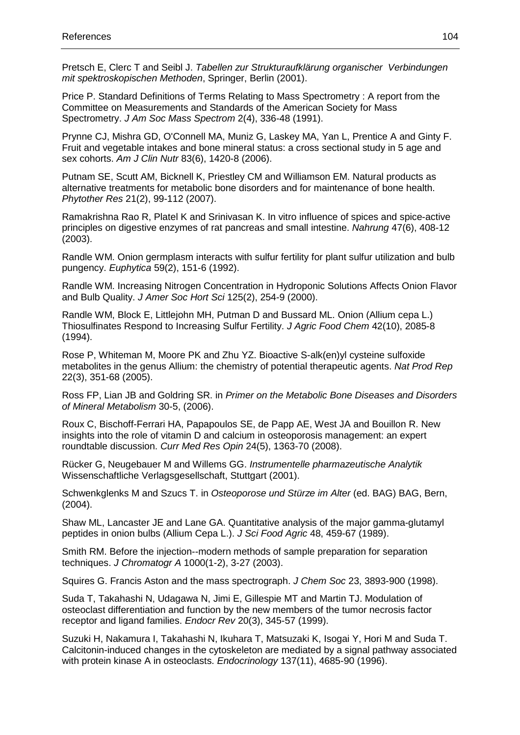Pretsch E, Clerc T and Seibl J. Tabellen zur Strukturaufklärung organischer Verbindungen mit spektroskopischen Methoden, Springer, Berlin (2001).

Price P. Standard Definitions of Terms Relating to Mass Spectrometry : A report from the Committee on Measurements and Standards of the American Society for Mass Spectrometry. J Am Soc Mass Spectrom 2(4), 336-48 (1991).

Prynne CJ, Mishra GD, O'Connell MA, Muniz G, Laskey MA, Yan L, Prentice A and Ginty F. Fruit and vegetable intakes and bone mineral status: a cross sectional study in 5 age and sex cohorts. Am J Clin Nutr 83(6), 1420-8 (2006).

Putnam SE, Scutt AM, Bicknell K, Priestley CM and Williamson EM. Natural products as alternative treatments for metabolic bone disorders and for maintenance of bone health. Phytother Res 21(2), 99-112 (2007).

Ramakrishna Rao R, Platel K and Srinivasan K. In vitro influence of spices and spice-active principles on digestive enzymes of rat pancreas and small intestine. Nahrung 47(6), 408-12 (2003).

Randle WM. Onion germplasm interacts with sulfur fertility for plant sulfur utilization and bulb pungency. Euphytica 59(2), 151-6 (1992).

Randle WM. Increasing Nitrogen Concentration in Hydroponic Solutions Affects Onion Flavor and Bulb Quality. J Amer Soc Hort Sci 125(2), 254-9 (2000).

Randle WM, Block E, Littlejohn MH, Putman D and Bussard ML. Onion (Allium cepa L.) Thiosulfinates Respond to Increasing Sulfur Fertility. J Agric Food Chem 42(10), 2085-8 (1994).

Rose P, Whiteman M, Moore PK and Zhu YZ. Bioactive S-alk(en)yl cysteine sulfoxide metabolites in the genus Allium: the chemistry of potential therapeutic agents. Nat Prod Rep 22(3), 351-68 (2005).

Ross FP, Lian JB and Goldring SR. in Primer on the Metabolic Bone Diseases and Disorders of Mineral Metabolism 30-5, (2006).

Roux C, Bischoff-Ferrari HA, Papapoulos SE, de Papp AE, West JA and Bouillon R. New insights into the role of vitamin D and calcium in osteoporosis management: an expert roundtable discussion. Curr Med Res Opin 24(5), 1363-70 (2008).

Rücker G, Neugebauer M and Willems GG. Instrumentelle pharmazeutische Analytik Wissenschaftliche Verlagsgesellschaft, Stuttgart (2001).

Schwenkglenks M and Szucs T. in Osteoporose und Stürze im Alter (ed. BAG) BAG, Bern, (2004).

Shaw ML, Lancaster JE and Lane GA. Quantitative analysis of the major gamma-glutamyl peptides in onion bulbs (Allium Cepa L.). J Sci Food Agric 48, 459-67 (1989).

Smith RM. Before the injection--modern methods of sample preparation for separation techniques. J Chromatogr A 1000(1-2), 3-27 (2003).

Squires G. Francis Aston and the mass spectrograph. J Chem Soc 23, 3893-900 (1998).

Suda T, Takahashi N, Udagawa N, Jimi E, Gillespie MT and Martin TJ. Modulation of osteoclast differentiation and function by the new members of the tumor necrosis factor receptor and ligand families. Endocr Rev 20(3), 345-57 (1999).

Suzuki H, Nakamura I, Takahashi N, Ikuhara T, Matsuzaki K, Isogai Y, Hori M and Suda T. Calcitonin-induced changes in the cytoskeleton are mediated by a signal pathway associated with protein kinase A in osteoclasts. *Endocrinology* 137(11), 4685-90 (1996).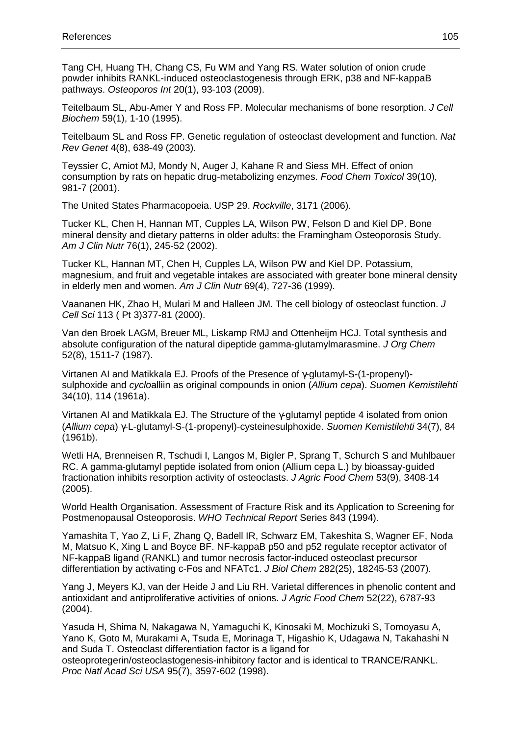Tang CH, Huang TH, Chang CS, Fu WM and Yang RS. Water solution of onion crude powder inhibits RANKL-induced osteoclastogenesis through ERK, p38 and NF-kappaB pathways. Osteoporos Int 20(1), 93-103 (2009).

Teitelbaum SL, Abu-Amer Y and Ross FP. Molecular mechanisms of bone resorption. J Cell Biochem 59(1), 1-10 (1995).

Teitelbaum SL and Ross FP. Genetic regulation of osteoclast development and function. Nat Rev Genet 4(8), 638-49 (2003).

Teyssier C, Amiot MJ, Mondy N, Auger J, Kahane R and Siess MH. Effect of onion consumption by rats on hepatic drug-metabolizing enzymes. Food Chem Toxicol 39(10), 981-7 (2001).

The United States Pharmacopoeia. USP 29. Rockville, 3171 (2006).

Tucker KL, Chen H, Hannan MT, Cupples LA, Wilson PW, Felson D and Kiel DP. Bone mineral density and dietary patterns in older adults: the Framingham Osteoporosis Study. Am J Clin Nutr 76(1), 245-52 (2002).

Tucker KL, Hannan MT, Chen H, Cupples LA, Wilson PW and Kiel DP. Potassium, magnesium, and fruit and vegetable intakes are associated with greater bone mineral density in elderly men and women. Am J Clin Nutr 69(4), 727-36 (1999).

Vaananen HK, Zhao H, Mulari M and Halleen JM. The cell biology of osteoclast function. J Cell Sci 113 ( Pt 3)377-81 (2000).

Van den Broek LAGM, Breuer ML, Liskamp RMJ and Ottenheijm HCJ. Total synthesis and absolute configuration of the natural dipeptide gamma-glutamylmarasmine. J Org Chem 52(8), 1511-7 (1987).

Virtanen AI and Matikkala EJ. Proofs of the Presence of γ-glutamyl-S-(1-propenyl) sulphoxide and cycloalliin as original compounds in onion (Allium cepa). Suomen Kemistilehti 34(10), 114 (1961a).

Virtanen AI and Matikkala EJ. The Structure of the γ-glutamyl peptide 4 isolated from onion (Allium cepa) γ-L-glutamyl-S-(1-propenyl)-cysteinesulphoxide. Suomen Kemistilehti 34(7), 84 (1961b).

Wetli HA, Brenneisen R, Tschudi I, Langos M, Bigler P, Sprang T, Schurch S and Muhlbauer RC. A gamma-glutamyl peptide isolated from onion (Allium cepa L.) by bioassay-guided fractionation inhibits resorption activity of osteoclasts. J Agric Food Chem 53(9), 3408-14 (2005).

World Health Organisation. Assessment of Fracture Risk and its Application to Screening for Postmenopausal Osteoporosis. WHO Technical Report Series 843 (1994).

Yamashita T, Yao Z, Li F, Zhang Q, Badell IR, Schwarz EM, Takeshita S, Wagner EF, Noda M, Matsuo K, Xing L and Boyce BF. NF-kappaB p50 and p52 regulate receptor activator of NF-kappaB ligand (RANKL) and tumor necrosis factor-induced osteoclast precursor differentiation by activating c-Fos and NFATc1. J Biol Chem 282(25), 18245-53 (2007).

Yang J, Meyers KJ, van der Heide J and Liu RH. Varietal differences in phenolic content and antioxidant and antiproliferative activities of onions. J Agric Food Chem 52(22), 6787-93 (2004).

Yasuda H, Shima N, Nakagawa N, Yamaguchi K, Kinosaki M, Mochizuki S, Tomoyasu A, Yano K, Goto M, Murakami A, Tsuda E, Morinaga T, Higashio K, Udagawa N, Takahashi N and Suda T. Osteoclast differentiation factor is a ligand for

osteoprotegerin/osteoclastogenesis-inhibitory factor and is identical to TRANCE/RANKL. Proc Natl Acad Sci USA 95(7), 3597-602 (1998).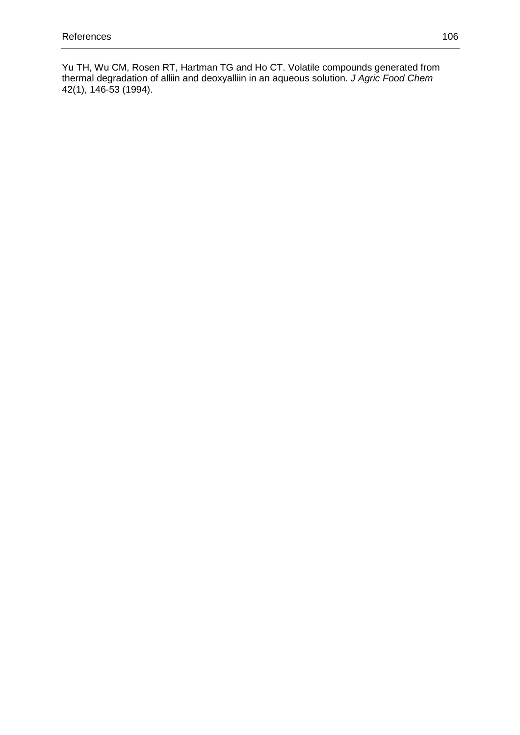Yu TH, Wu CM, Rosen RT, Hartman TG and Ho CT. Volatile compounds generated from thermal degradation of alliin and deoxyalliin in an aqueous solution. J Agric Food Chem 42(1), 146-53 (1994).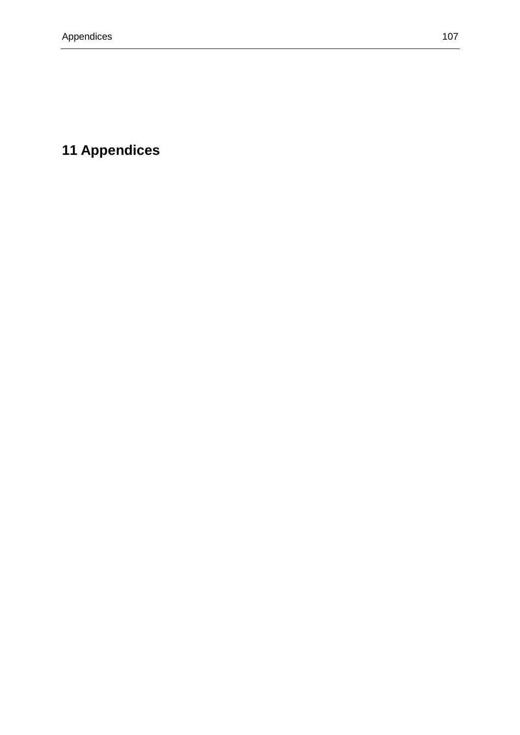## **11 Appendices**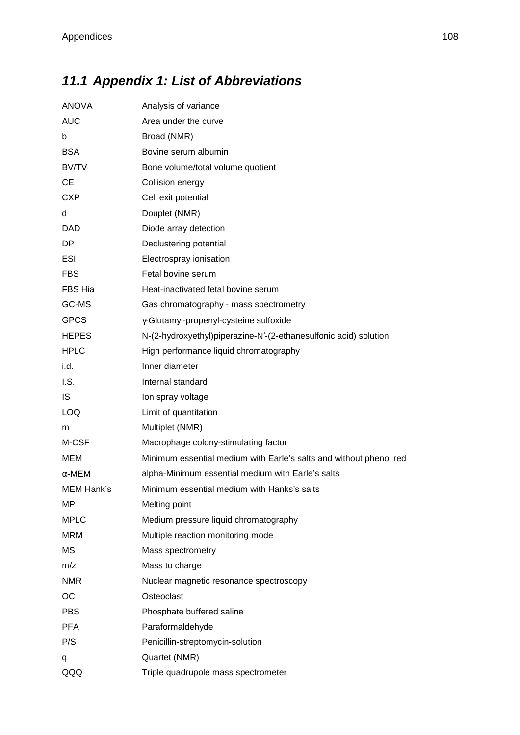## **11.1 Appendix 1: List of Abbreviations**

| <b>ANOVA</b>  | Analysis of variance                                               |
|---------------|--------------------------------------------------------------------|
| <b>AUC</b>    | Area under the curve                                               |
| b             | Broad (NMR)                                                        |
| <b>BSA</b>    | Bovine serum albumin                                               |
| BV/TV         | Bone volume/total volume quotient                                  |
| <b>CE</b>     | Collision energy                                                   |
| <b>CXP</b>    | Cell exit potential                                                |
| d             | Douplet (NMR)                                                      |
| <b>DAD</b>    | Diode array detection                                              |
| DP            | Declustering potential                                             |
| ESI           | Electrospray ionisation                                            |
| <b>FBS</b>    | Fetal bovine serum                                                 |
| FBS Hia       | Heat-inactivated fetal bovine serum                                |
| GC-MS         | Gas chromatography - mass spectrometry                             |
| <b>GPCS</b>   | y-Glutamyl-propenyl-cysteine sulfoxide                             |
| <b>HEPES</b>  | N-(2-hydroxyethyl)piperazine-N'-(2-ethanesulfonic acid) solution   |
| <b>HPLC</b>   | High performance liquid chromatography                             |
| i.d.          | Inner diameter                                                     |
| I.S.          | Internal standard                                                  |
| IS            | Ion spray voltage                                                  |
| <b>LOQ</b>    | Limit of quantitation                                              |
| m             | Multiplet (NMR)                                                    |
| M-CSF         | Macrophage colony-stimulating factor                               |
| MEM           | Minimum essential medium with Earle's salts and without phenol red |
| $\alpha$ -MEM | alpha-Minimum essential medium with Earle's salts                  |
| MEM Hank's    | Minimum essential medium with Hanks's salts                        |
| MP            | Melting point                                                      |
| <b>MPLC</b>   | Medium pressure liquid chromatography                              |
| <b>MRM</b>    | Multiple reaction monitoring mode                                  |
| MS            | Mass spectrometry                                                  |
| m/z           | Mass to charge                                                     |
| <b>NMR</b>    | Nuclear magnetic resonance spectroscopy                            |
| OC            | Osteoclast                                                         |
| <b>PBS</b>    | Phosphate buffered saline                                          |
| <b>PFA</b>    | Paraformaldehyde                                                   |
| P/S           | Penicillin-streptomycin-solution                                   |
| q             | Quartet (NMR)                                                      |
| QQQ           | Triple quadrupole mass spectrometer                                |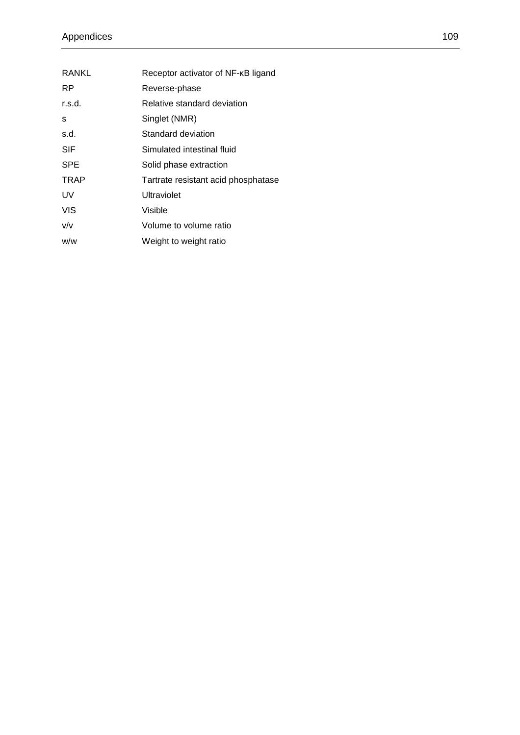| RANKL      | Receptor activator of NF-KB ligand  |
|------------|-------------------------------------|
| <b>RP</b>  | Reverse-phase                       |
| r.s.d.     | Relative standard deviation         |
| S          | Singlet (NMR)                       |
| s.d.       | Standard deviation                  |
| <b>SIF</b> | Simulated intestinal fluid          |
| SPE        | Solid phase extraction              |
| TRAP       | Tartrate resistant acid phosphatase |
| UV         | Ultraviolet                         |
| VIS        | Visible                             |
| v/v        | Volume to volume ratio              |
| w/w        | Weight to weight ratio              |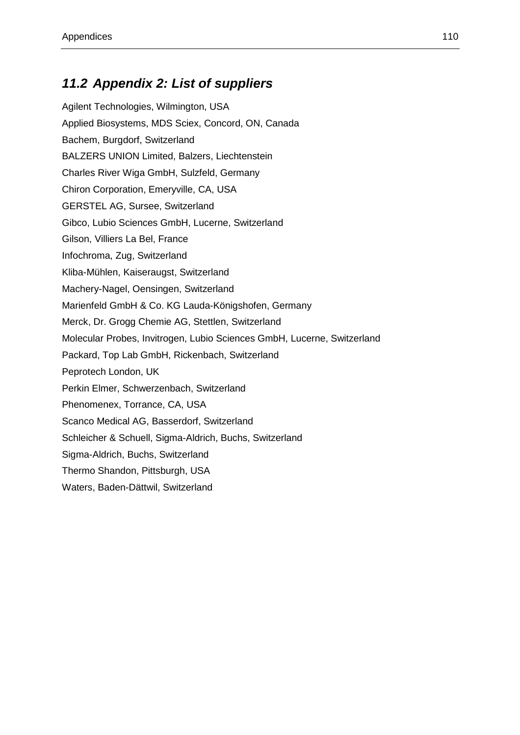## **11.2 Appendix 2: List of suppliers**

| Agilent Technologies, Wilmington, USA                                   |  |
|-------------------------------------------------------------------------|--|
| Applied Biosystems, MDS Sciex, Concord, ON, Canada                      |  |
| Bachem, Burgdorf, Switzerland                                           |  |
| <b>BALZERS UNION Limited, Balzers, Liechtenstein</b>                    |  |
| Charles River Wiga GmbH, Sulzfeld, Germany                              |  |
| Chiron Corporation, Emeryville, CA, USA                                 |  |
| <b>GERSTEL AG, Sursee, Switzerland</b>                                  |  |
| Gibco, Lubio Sciences GmbH, Lucerne, Switzerland                        |  |
| Gilson, Villiers La Bel, France                                         |  |
| Infochroma, Zug, Switzerland                                            |  |
| Kliba-Mühlen, Kaiseraugst, Switzerland                                  |  |
| Machery-Nagel, Oensingen, Switzerland                                   |  |
| Marienfeld GmbH & Co. KG Lauda-Königshofen, Germany                     |  |
| Merck, Dr. Grogg Chemie AG, Stettlen, Switzerland                       |  |
| Molecular Probes, Invitrogen, Lubio Sciences GmbH, Lucerne, Switzerland |  |
| Packard, Top Lab GmbH, Rickenbach, Switzerland                          |  |
| Peprotech London, UK                                                    |  |
| Perkin Elmer, Schwerzenbach, Switzerland                                |  |
| Phenomenex, Torrance, CA, USA                                           |  |
| Scanco Medical AG, Basserdorf, Switzerland                              |  |
| Schleicher & Schuell, Sigma-Aldrich, Buchs, Switzerland                 |  |
| Sigma-Aldrich, Buchs, Switzerland                                       |  |
| Thermo Shandon, Pittsburgh, USA                                         |  |
| Waters, Baden-Dättwil, Switzerland                                      |  |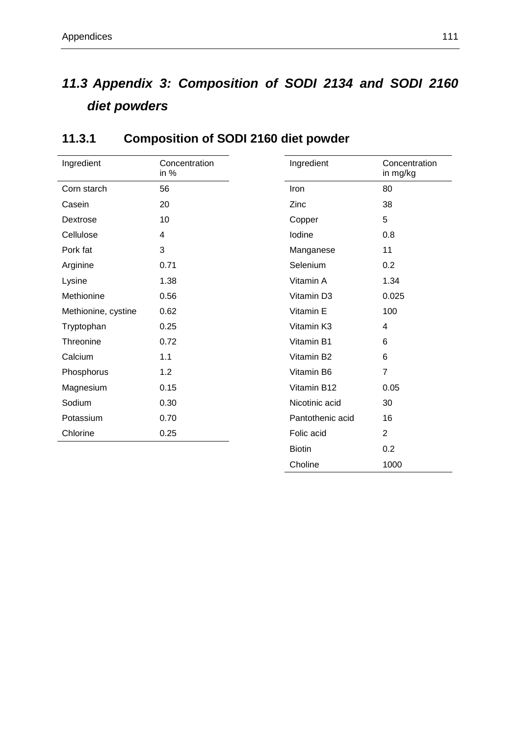## **11.3 Appendix 3: Composition of SODI 2134 and SODI 2160 diet powders**

| Ingredient          | Concentration<br>in % | Ingredient       | Concentration<br>in mg/kg |
|---------------------|-----------------------|------------------|---------------------------|
| Corn starch         | 56                    | Iron             | 80                        |
| Casein              | 20                    | Zinc             | 38                        |
| Dextrose            | 10                    | Copper           | 5                         |
| Cellulose           | 4                     | lodine           | 0.8                       |
| Pork fat            | 3                     | Manganese        | 11                        |
| Arginine            | 0.71                  | Selenium         | 0.2                       |
| Lysine              | 1.38                  | Vitamin A        | 1.34                      |
| Methionine          | 0.56                  | Vitamin D3       | 0.025                     |
| Methionine, cystine | 0.62                  | Vitamin E        | 100                       |
| Tryptophan          | 0.25                  | Vitamin K3       | 4                         |
| Threonine           | 0.72                  | Vitamin B1       | 6                         |
| Calcium             | 1.1                   | Vitamin B2       | 6                         |
| Phosphorus          | 1.2                   | Vitamin B6       | $\overline{7}$            |
| Magnesium           | 0.15                  | Vitamin B12      | 0.05                      |
| Sodium              | 0.30                  | Nicotinic acid   | 30                        |
| Potassium           | 0.70                  | Pantothenic acid | 16                        |
| Chlorine            | 0.25                  | Folic acid       | $\overline{2}$            |
|                     |                       | <b>Biotin</b>    | 0.2                       |
|                     |                       | Choline          | 1000                      |

#### **11.3.1 Composition of SODI 2160 diet powder**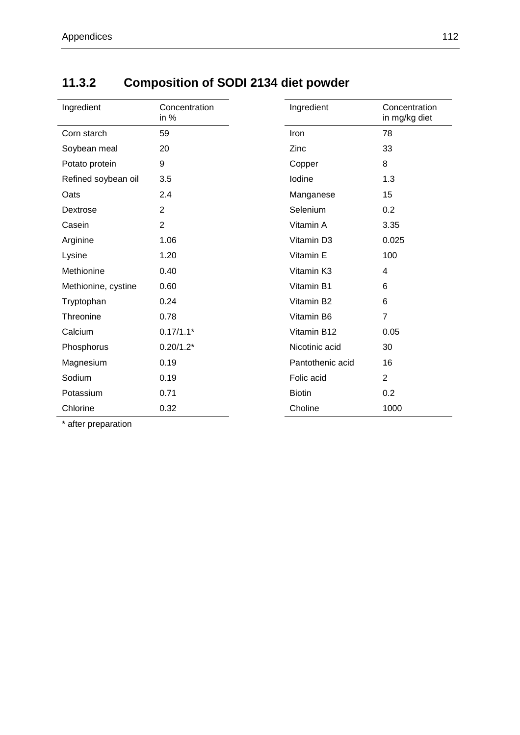#### **11.3.2 Composition of SODI 2134 diet powder**

| Ingredient          | Concentration<br>in $%$ | Ingredient       | Concentration<br>in mg/kg diet |  |
|---------------------|-------------------------|------------------|--------------------------------|--|
| Corn starch         | 59                      | Iron             | 78                             |  |
| Soybean meal        | 20                      | Zinc             | 33                             |  |
| Potato protein      | 9                       | Copper           | 8                              |  |
| Refined soybean oil | 3.5                     | lodine           | 1.3                            |  |
| Oats                | 2.4                     | Manganese        | 15                             |  |
| Dextrose            | $\overline{2}$          | Selenium         | 0.2                            |  |
| Casein              | $\overline{2}$          | Vitamin A        | 3.35                           |  |
| Arginine            | 1.06                    | Vitamin D3       | 0.025                          |  |
| Lysine              | 1.20                    | Vitamin E        | 100                            |  |
| Methionine          | 0.40                    | Vitamin K3       | 4                              |  |
| Methionine, cystine | 0.60                    | Vitamin B1       | 6                              |  |
| Tryptophan          | 0.24                    | Vitamin B2       | 6                              |  |
| Threonine           | 0.78                    | Vitamin B6       | $\overline{7}$                 |  |
| Calcium             | $0.17/1.1*$             | Vitamin B12      | 0.05                           |  |
| Phosphorus          | $0.20/1.2*$             | Nicotinic acid   | 30                             |  |
| Magnesium           | 0.19                    | Pantothenic acid | 16                             |  |
| Sodium              | 0.19                    | Folic acid       | $\overline{2}$                 |  |
| Potassium           | 0.71                    | <b>Biotin</b>    | 0.2                            |  |
| Chlorine            | 0.32                    | Choline          | 1000                           |  |

\* after preparation